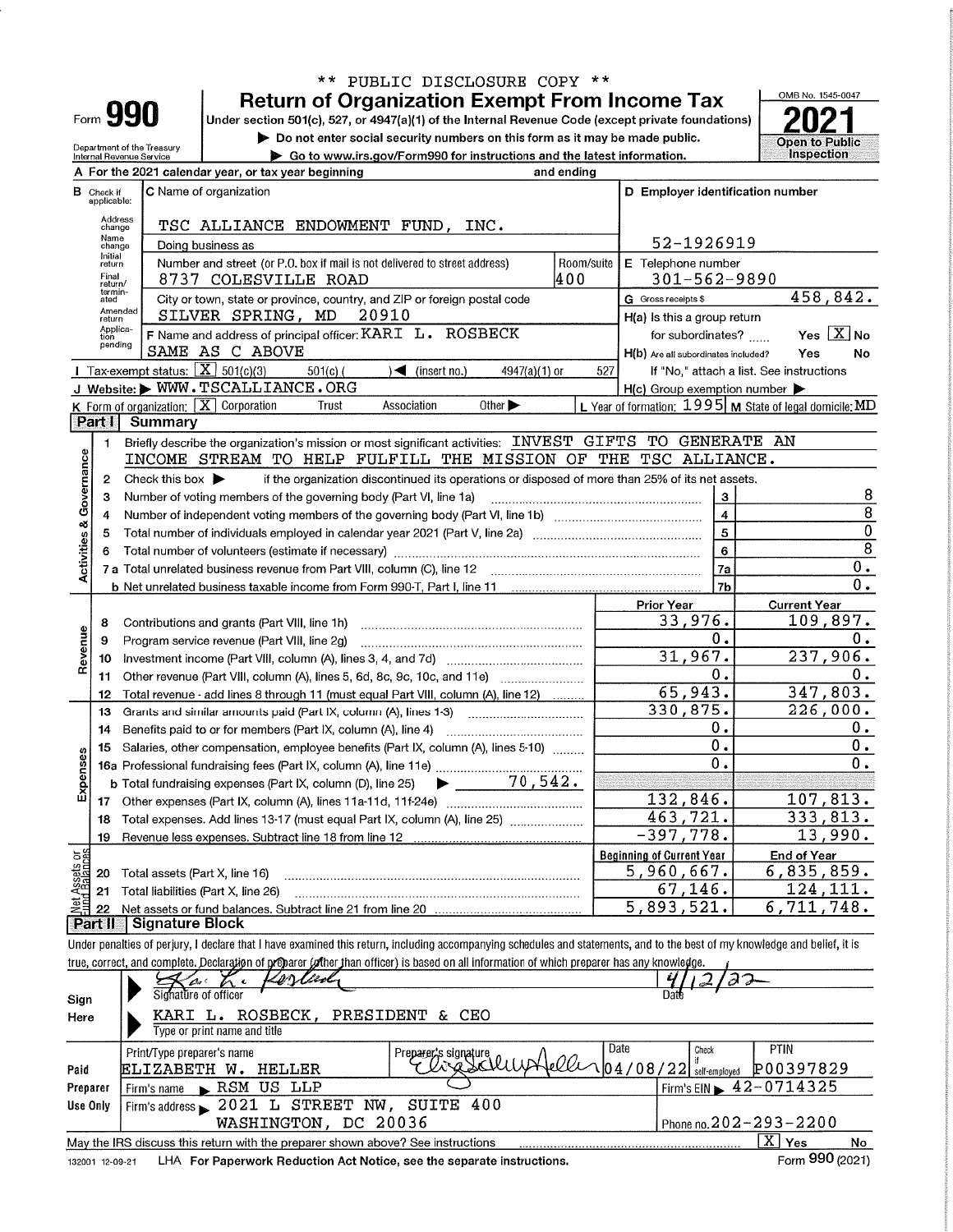|                               |                   |                                                                 |                                                                                                                                                                            | ** PUBLIC DISCLOSURE COPY **                                                                    |            |                                                     |                                                           |
|-------------------------------|-------------------|-----------------------------------------------------------------|----------------------------------------------------------------------------------------------------------------------------------------------------------------------------|-------------------------------------------------------------------------------------------------|------------|-----------------------------------------------------|-----------------------------------------------------------|
|                               |                   |                                                                 |                                                                                                                                                                            | <b>Return of Organization Exempt From Income Tax</b>                                            |            |                                                     | OMB No. 1545-0047                                         |
|                               |                   | Form <b>990</b>                                                 | Under section 501(c), 527, or 4947(a)(1) of the Internal Revenue Code (except private foundations)                                                                         |                                                                                                 |            |                                                     |                                                           |
|                               |                   |                                                                 |                                                                                                                                                                            | Do not enter social security numbers on this form as it may be made public.                     |            |                                                     | <b>Open to Public</b>                                     |
|                               |                   | Department of the Treasury<br>Internal Revenue Service          |                                                                                                                                                                            | Go to www.irs.gov/Form990 for instructions and the latest information.                          |            |                                                     | Inspection                                                |
|                               |                   |                                                                 | A For the 2021 calendar year, or tax year beginning                                                                                                                        |                                                                                                 | and ending |                                                     |                                                           |
|                               | <b>B</b> Check if |                                                                 | C Name of organization                                                                                                                                                     |                                                                                                 |            | D Employer identification number                    |                                                           |
|                               | applicable:       |                                                                 |                                                                                                                                                                            |                                                                                                 |            |                                                     |                                                           |
|                               | Address<br>change |                                                                 |                                                                                                                                                                            |                                                                                                 |            |                                                     |                                                           |
|                               | Name<br>change    | 52-1926919                                                      |                                                                                                                                                                            |                                                                                                 |            |                                                     |                                                           |
|                               | Initial<br>return |                                                                 | Doing business as<br>Number and street (or P.O. box if mail is not delivered to street address)                                                                            |                                                                                                 | Room/suite | E Telephone number                                  |                                                           |
|                               | Final<br>return/  |                                                                 | 8737 COLESVILLE ROAD                                                                                                                                                       |                                                                                                 | 400        | 301-562-9890                                        |                                                           |
|                               | termin-<br>ated   |                                                                 | City or town, state or province, country, and ZIP or foreign postal code                                                                                                   |                                                                                                 |            | G Gross receipts \$                                 | 458,842.                                                  |
|                               | Amended<br>return |                                                                 | SILVER SPRING, MD<br>20910                                                                                                                                                 |                                                                                                 |            | H(a) is this a group return                         |                                                           |
|                               | Applica-<br>tion  |                                                                 | F Name and address of principal officer: KARI L. ROSBECK                                                                                                                   |                                                                                                 |            | for subordinates?                                   | Yes $X$ No                                                |
|                               | pending           |                                                                 | SAME AS C ABOVE                                                                                                                                                            |                                                                                                 |            | H(b) Are all subordinates included?                 | Yes<br>No                                                 |
|                               |                   | Tax-exempt status: $X \overline{X}$ 501(c)(3)                   | $501(c)$ (                                                                                                                                                                 | $\sqrt{ }$ (insert no.)<br>4947(a)(1) or                                                        | 527        |                                                     | If "No," attach a list. See instructions                  |
|                               |                   |                                                                 | J Website: WWW.TSCALLIANCE.ORG                                                                                                                                             |                                                                                                 |            | $H(c)$ Group exemption number $\blacktriangleright$ |                                                           |
|                               |                   | <b>K</b> Form of organization: $\boxed{\mathbf{X}}$ Corporation | Trust                                                                                                                                                                      | Other $\blacktriangleright$<br>Association                                                      |            |                                                     | L Year of formation: $1995$ M State of legal domicile: MD |
|                               | Part I            | Summary                                                         |                                                                                                                                                                            |                                                                                                 |            |                                                     |                                                           |
|                               | 1.                |                                                                 | Briefly describe the organization's mission or most significant activities: INVEST GIFTS TO GENERATE AN                                                                    |                                                                                                 |            |                                                     |                                                           |
| Activities & Governance       |                   |                                                                 | INCOME STREAM TO HELP FULFILL THE MISSION OF THE TSC ALLIANCE.                                                                                                             |                                                                                                 |            |                                                     |                                                           |
|                               | 2                 | Check this box $\blacktriangleright$                            |                                                                                                                                                                            | if the organization discontinued its operations or disposed of more than 25% of its net assets. |            |                                                     |                                                           |
|                               | з                 |                                                                 | Number of voting members of the governing body (Part VI, line 1a)                                                                                                          |                                                                                                 |            | 3                                                   | 8                                                         |
|                               | 4                 |                                                                 |                                                                                                                                                                            |                                                                                                 |            | $\overline{\mathbf{4}}$                             | $\overline{8}$                                            |
|                               | 5                 |                                                                 |                                                                                                                                                                            |                                                                                                 |            | 5<br>6                                              | $\overline{0}$                                            |
|                               |                   |                                                                 | $\overline{8}$                                                                                                                                                             |                                                                                                 |            |                                                     |                                                           |
|                               |                   |                                                                 |                                                                                                                                                                            |                                                                                                 |            | 7a                                                  | 0.                                                        |
|                               |                   |                                                                 |                                                                                                                                                                            |                                                                                                 |            | 7b                                                  | $\overline{0}$ .                                          |
|                               |                   |                                                                 |                                                                                                                                                                            |                                                                                                 |            | <b>Prior Year</b>                                   | <b>Current Year</b>                                       |
|                               | 8                 |                                                                 | Contributions and grants (Part VIII, line 1h)                                                                                                                              |                                                                                                 |            | 33,976.                                             | 109,897.                                                  |
| Revenue                       | 9                 |                                                                 | Program service revenue (Part VIII, line 2g)                                                                                                                               |                                                                                                 |            | Ο.                                                  | 0.                                                        |
|                               | 10                |                                                                 |                                                                                                                                                                            |                                                                                                 |            | 31,967.                                             | 237,906.                                                  |
|                               | 11                |                                                                 | Other revenue (Part VIII, column (A), lines 5, 6d, 8c, 9c, 10c, and 11e)                                                                                                   |                                                                                                 |            | Ο.<br>65,943.                                       | 0.<br>347, 803.                                           |
|                               | 12                |                                                                 | Total revenue - add lines 8 through 11 (must equal Part VIII, column (A), line 12)                                                                                         |                                                                                                 |            | 330,875.                                            | 226,000.                                                  |
|                               | 13                |                                                                 | Grants and similar amounts paid (Part IX, column (A), lines 1-3)                                                                                                           |                                                                                                 |            | Ο.                                                  | $0$ .                                                     |
|                               | 14                |                                                                 | Benefits paid to or for members (Part IX, column (A), line 4)<br>Salaries, other compensation, employee benefits (Part IX, column (A), lines 5-10)                         |                                                                                                 |            | 0.                                                  | $0$ .                                                     |
| nses                          | 15                |                                                                 |                                                                                                                                                                            |                                                                                                 |            | 0.                                                  | 0.                                                        |
|                               |                   |                                                                 | <b>b</b> Total fundraising expenses (Part IX, column (D), line 25)                                                                                                         | 70,542.                                                                                         |            |                                                     |                                                           |
| Exper                         | 17                |                                                                 |                                                                                                                                                                            |                                                                                                 |            | 132,846.                                            | 107,813.                                                  |
|                               | 18                |                                                                 | Total expenses. Add lines 13-17 (must equal Part IX, column (A), line 25) [                                                                                                |                                                                                                 |            | 463,721.                                            | 333,813.                                                  |
|                               | 19                |                                                                 | Revenue less expenses. Subtract line 18 from line 12                                                                                                                       |                                                                                                 |            | $-397,778.$                                         | 13,990.                                                   |
|                               |                   |                                                                 |                                                                                                                                                                            |                                                                                                 |            | <b>Beginning of Current Year</b>                    | <b>End of Year</b>                                        |
| Net Assets or<br>und Balances | 20                | Total assets (Part X, line 16)                                  |                                                                                                                                                                            |                                                                                                 |            | 5,960,667.                                          | 6,835,859.                                                |
|                               | 21                | Total liabilities (Part X, line 26)                             |                                                                                                                                                                            |                                                                                                 |            | 67, 146.                                            | 124, 111.                                                 |
|                               | 22                |                                                                 |                                                                                                                                                                            |                                                                                                 |            | 5,893,521.                                          | 6,711,748.                                                |
|                               | <b>Part II</b>    | <b>Signature Block</b>                                          |                                                                                                                                                                            |                                                                                                 |            |                                                     |                                                           |
|                               |                   |                                                                 | Under penalties of perjury, I declare that I have examined this return, including accompanying schedules and statements, and to the best of my knowledge and belief, it is |                                                                                                 |            |                                                     |                                                           |
|                               |                   |                                                                 | true, correct, and complete. Declaration of proparer (ofther than officer) is based on all information of which preparer has any knowledge.                                |                                                                                                 |            |                                                     |                                                           |
|                               |                   |                                                                 | evi <i>lliol</i><br>$\epsilon$                                                                                                                                             |                                                                                                 |            |                                                     |                                                           |
| Sign                          |                   | Signature of officer                                            |                                                                                                                                                                            |                                                                                                 |            |                                                     |                                                           |
| Here                          |                   |                                                                 | KARI L. ROSBECK,                                                                                                                                                           | PRESIDENT & CEO                                                                                 |            |                                                     |                                                           |
|                               |                   |                                                                 | Type or print name and title                                                                                                                                               |                                                                                                 |            |                                                     |                                                           |
|                               |                   | Print/Type preparer's name                                      |                                                                                                                                                                            | Preparer's signature                                                                            |            | Date<br>Check                                       | <b>PTIN</b>                                               |
| Paid                          |                   |                                                                 | ELIZABETH W. HELLER                                                                                                                                                        |                                                                                                 |            | $04/08/22$ self-employed                            | P00397829                                                 |
| Preparer                      |                   | Firm's name                                                     | RSM US LLP                                                                                                                                                                 |                                                                                                 |            |                                                     | Firm's EIN $\geq 42 - 0714325$                            |
| Use Only                      |                   |                                                                 | Firm's address > 2021 L STREET NW, SUITE 400                                                                                                                               |                                                                                                 |            |                                                     |                                                           |
|                               |                   |                                                                 | WASHINGTON, DC 20036                                                                                                                                                       |                                                                                                 |            |                                                     | Phone no. 202-293-2200                                    |

|                 | May the IRS discuss this return with the preparer shown above? See instructions | <b>Yes</b>      | No |
|-----------------|---------------------------------------------------------------------------------|-----------------|----|
| 132001 12-09-21 | LHA For Paperwork Reduction Act Notice, see the separate instructions.          | Form 990 (2021) |    |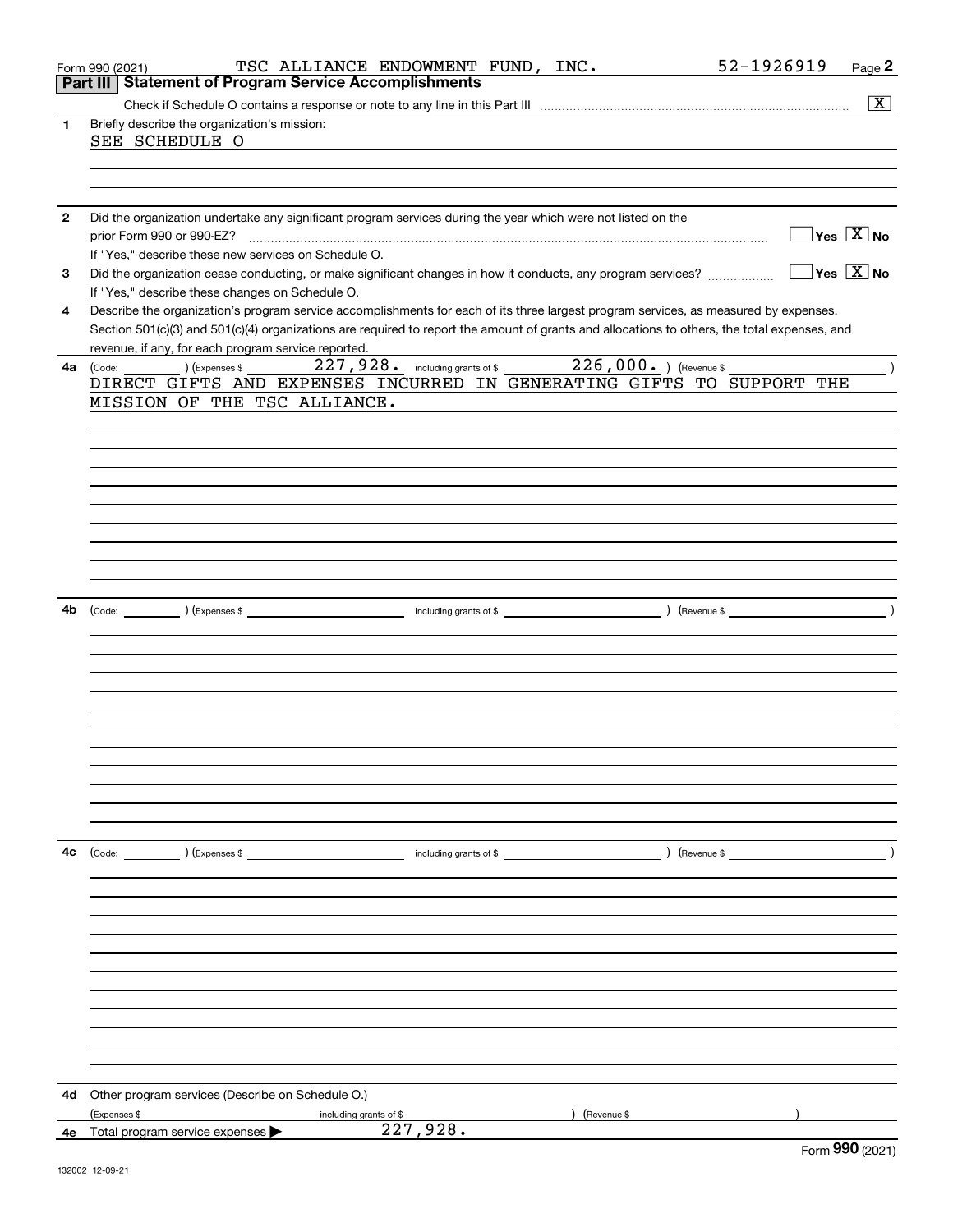|              | 52-1926919<br>TSC ALLIANCE ENDOWMENT FUND, INC.<br>Page 2<br>Form 990 (2021)                                                                                                    |
|--------------|---------------------------------------------------------------------------------------------------------------------------------------------------------------------------------|
|              | Part III   Statement of Program Service Accomplishments                                                                                                                         |
|              | $\overline{\text{X}}$                                                                                                                                                           |
| 1.           | Briefly describe the organization's mission:                                                                                                                                    |
|              | SEE SCHEDULE O                                                                                                                                                                  |
|              |                                                                                                                                                                                 |
|              |                                                                                                                                                                                 |
|              |                                                                                                                                                                                 |
| $\mathbf{2}$ | Did the organization undertake any significant program services during the year which were not listed on the                                                                    |
|              | $\sqrt{}$ Yes $\sqrt{X}$ No<br>prior Form 990 or 990-EZ?                                                                                                                        |
|              | If "Yes," describe these new services on Schedule O.                                                                                                                            |
| 3            | $\overline{\mathsf{Yes} \mathrel{\hspace{0.5pt}\mathsf{X}}}$ No<br>Did the organization cease conducting, or make significant changes in how it conducts, any program services? |
|              | If "Yes," describe these changes on Schedule O.                                                                                                                                 |
| 4            | Describe the organization's program service accomplishments for each of its three largest program services, as measured by expenses.                                            |
|              | Section 501(c)(3) and 501(c)(4) organizations are required to report the amount of grants and allocations to others, the total expenses, and                                    |
|              | revenue, if any, for each program service reported.                                                                                                                             |
| 4a           | 227,928. including grants of \$226,000. Thevenue \$<br>$(1)$ (Expenses \$<br>(Code:                                                                                             |
|              | DIRECT GIFTS AND EXPENSES INCURRED IN GENERATING GIFTS TO SUPPORT THE                                                                                                           |
|              | MISSION OF THE TSC ALLIANCE.                                                                                                                                                    |
|              |                                                                                                                                                                                 |
|              |                                                                                                                                                                                 |
|              |                                                                                                                                                                                 |
|              |                                                                                                                                                                                 |
|              |                                                                                                                                                                                 |
|              |                                                                                                                                                                                 |
|              |                                                                                                                                                                                 |
|              |                                                                                                                                                                                 |
|              |                                                                                                                                                                                 |
|              |                                                                                                                                                                                 |
| 4b           | $\rightarrow$                                                                                                                                                                   |
|              |                                                                                                                                                                                 |
|              |                                                                                                                                                                                 |
|              |                                                                                                                                                                                 |
|              |                                                                                                                                                                                 |
|              |                                                                                                                                                                                 |
|              |                                                                                                                                                                                 |
|              |                                                                                                                                                                                 |
|              |                                                                                                                                                                                 |
|              |                                                                                                                                                                                 |
|              |                                                                                                                                                                                 |
|              |                                                                                                                                                                                 |
|              |                                                                                                                                                                                 |
| 4с           |                                                                                                                                                                                 |
|              |                                                                                                                                                                                 |
|              |                                                                                                                                                                                 |
|              |                                                                                                                                                                                 |
|              |                                                                                                                                                                                 |
|              |                                                                                                                                                                                 |
|              |                                                                                                                                                                                 |
|              |                                                                                                                                                                                 |
|              |                                                                                                                                                                                 |
|              |                                                                                                                                                                                 |
|              |                                                                                                                                                                                 |
|              |                                                                                                                                                                                 |
|              |                                                                                                                                                                                 |
| 4d           | Other program services (Describe on Schedule O.)                                                                                                                                |
|              | (Expenses \$<br>(Revenue \$<br>including grants of \$                                                                                                                           |
| 4e           | 227,928.<br>Total program service expenses                                                                                                                                      |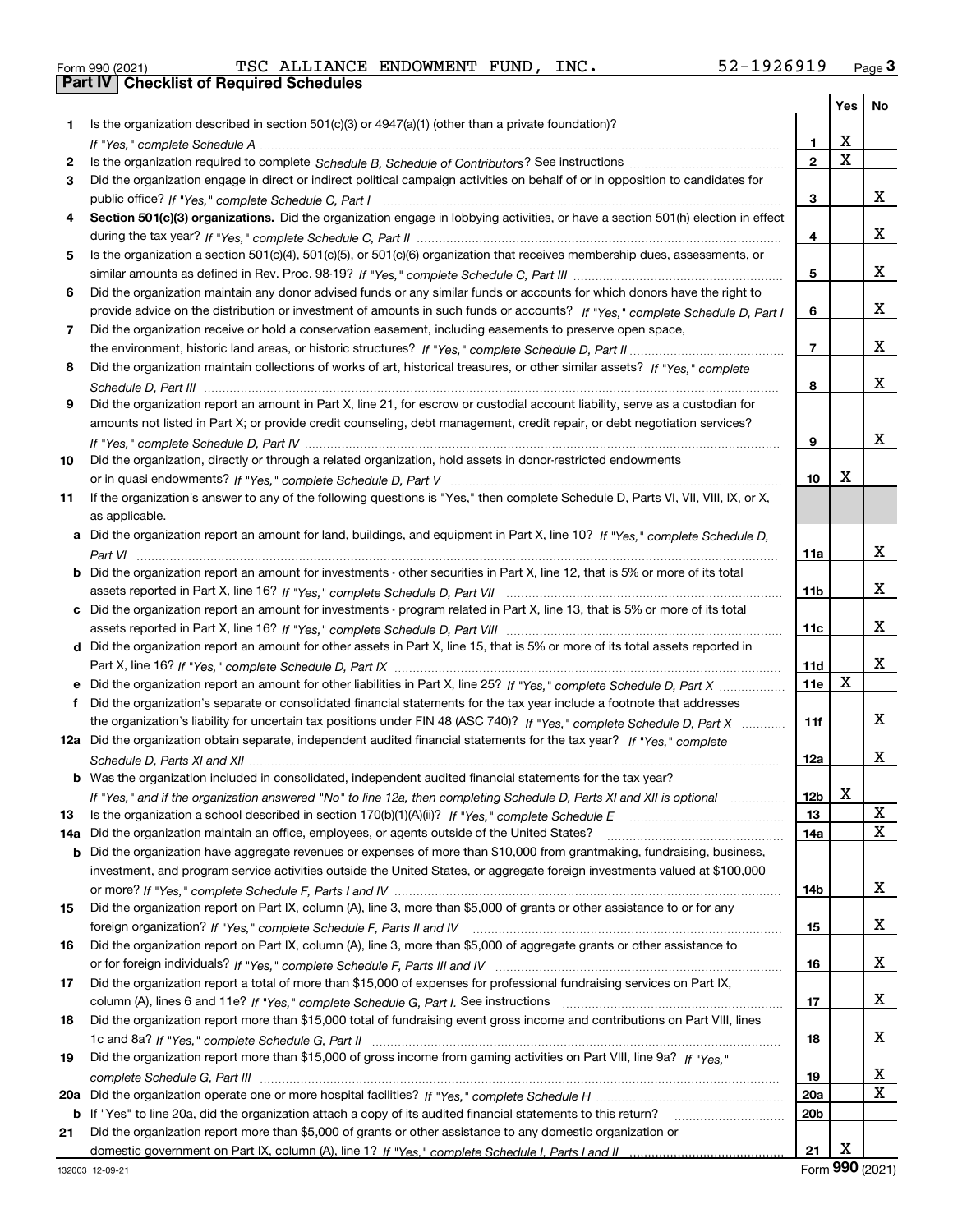|  | Form 990 (2021) |
|--|-----------------|

Form 990 (2021) TSC ALLIANCE ENDOWMENT FUND, INC. 52-1926919 <sub>Page</sub> 3<br>**Part IV | Checklist of Required Schedules** 

|     |                                                                                                                                       |                 | Yes                     | No |
|-----|---------------------------------------------------------------------------------------------------------------------------------------|-----------------|-------------------------|----|
| 1.  | Is the organization described in section $501(c)(3)$ or $4947(a)(1)$ (other than a private foundation)?                               |                 |                         |    |
|     |                                                                                                                                       | 1               | X                       |    |
| 2   |                                                                                                                                       | $\overline{2}$  | $\overline{\mathbf{x}}$ |    |
| 3   | Did the organization engage in direct or indirect political campaign activities on behalf of or in opposition to candidates for       |                 |                         |    |
|     |                                                                                                                                       | 3               |                         | x  |
| 4   | Section 501(c)(3) organizations. Did the organization engage in lobbying activities, or have a section 501(h) election in effect      |                 |                         |    |
|     |                                                                                                                                       | 4               |                         | x  |
| 5   | Is the organization a section 501(c)(4), 501(c)(5), or 501(c)(6) organization that receives membership dues, assessments, or          |                 |                         |    |
|     |                                                                                                                                       | 5               |                         | x  |
| 6   | Did the organization maintain any donor advised funds or any similar funds or accounts for which donors have the right to             |                 |                         |    |
|     | provide advice on the distribution or investment of amounts in such funds or accounts? If "Yes," complete Schedule D, Part I          | 6               |                         | x  |
| 7   | Did the organization receive or hold a conservation easement, including easements to preserve open space,                             |                 |                         |    |
|     |                                                                                                                                       | $\overline{7}$  |                         | x  |
| 8   | Did the organization maintain collections of works of art, historical treasures, or other similar assets? If "Yes," complete          |                 |                         |    |
|     |                                                                                                                                       | 8               |                         | x  |
| 9   | Did the organization report an amount in Part X, line 21, for escrow or custodial account liability, serve as a custodian for         |                 |                         |    |
|     | amounts not listed in Part X; or provide credit counseling, debt management, credit repair, or debt negotiation services?             |                 |                         |    |
|     |                                                                                                                                       | 9               |                         | x  |
| 10  | Did the organization, directly or through a related organization, hold assets in donor-restricted endowments                          |                 |                         |    |
|     |                                                                                                                                       | 10              | Χ                       |    |
| 11  | If the organization's answer to any of the following questions is "Yes," then complete Schedule D, Parts VI, VII, VIII, IX, or X,     |                 |                         |    |
|     | as applicable.                                                                                                                        |                 |                         |    |
|     | a Did the organization report an amount for land, buildings, and equipment in Part X, line 10? If "Yes," complete Schedule D,         |                 |                         |    |
|     |                                                                                                                                       | 11a             |                         | x  |
|     | <b>b</b> Did the organization report an amount for investments - other securities in Part X, line 12, that is 5% or more of its total |                 |                         |    |
|     |                                                                                                                                       | 11 <sub>b</sub> |                         | X. |
|     | c Did the organization report an amount for investments - program related in Part X, line 13, that is 5% or more of its total         |                 |                         |    |
|     |                                                                                                                                       | 11c             |                         | X. |
|     | d Did the organization report an amount for other assets in Part X, line 15, that is 5% or more of its total assets reported in       |                 |                         | x  |
|     |                                                                                                                                       | 11d             | $\mathbf X$             |    |
|     | e Did the organization report an amount for other liabilities in Part X, line 25? If "Yes," complete Schedule D, Part X               | 11e             |                         |    |
|     | f Did the organization's separate or consolidated financial statements for the tax year include a footnote that addresses             |                 |                         | X. |
|     | the organization's liability for uncertain tax positions under FIN 48 (ASC 740)? If "Yes," complete Schedule D, Part X                | 11f             |                         |    |
|     | 12a Did the organization obtain separate, independent audited financial statements for the tax year? If "Yes," complete               |                 |                         | x  |
|     |                                                                                                                                       | 12a             |                         |    |
|     | <b>b</b> Was the organization included in consolidated, independent audited financial statements for the tax year?                    |                 | A                       |    |
| 13  | If "Yes," and if the organization answered "No" to line 12a, then completing Schedule D, Parts XI and XII is optional manum           | 12b<br>13       |                         | X  |
| 14a | Did the organization maintain an office, employees, or agents outside of the United States?                                           | 14a             |                         | X  |
|     | <b>b</b> Did the organization have aggregate revenues or expenses of more than \$10,000 from grantmaking, fundraising, business,      |                 |                         |    |
|     | investment, and program service activities outside the United States, or aggregate foreign investments valued at \$100,000            |                 |                         |    |
|     |                                                                                                                                       | 14b             |                         | x  |
| 15  | Did the organization report on Part IX, column (A), line 3, more than \$5,000 of grants or other assistance to or for any             |                 |                         |    |
|     |                                                                                                                                       | 15              |                         | x  |
| 16  | Did the organization report on Part IX, column (A), line 3, more than \$5,000 of aggregate grants or other assistance to              |                 |                         |    |
|     |                                                                                                                                       | 16              |                         | x  |
| 17  | Did the organization report a total of more than \$15,000 of expenses for professional fundraising services on Part IX,               |                 |                         |    |
|     |                                                                                                                                       | 17              |                         | x  |
| 18  | Did the organization report more than \$15,000 total of fundraising event gross income and contributions on Part VIII, lines          |                 |                         |    |
|     |                                                                                                                                       | 18              |                         | x  |
| 19  | Did the organization report more than \$15,000 of gross income from gaming activities on Part VIII, line 9a? If "Yes."                |                 |                         |    |
|     |                                                                                                                                       | 19              |                         | x  |
|     |                                                                                                                                       | <b>20a</b>      |                         | х  |
|     | b If "Yes" to line 20a, did the organization attach a copy of its audited financial statements to this return?                        | 20 <sub>b</sub> |                         |    |
| 21  | Did the organization report more than \$5,000 of grants or other assistance to any domestic organization or                           |                 |                         |    |
|     |                                                                                                                                       | 21              | X                       |    |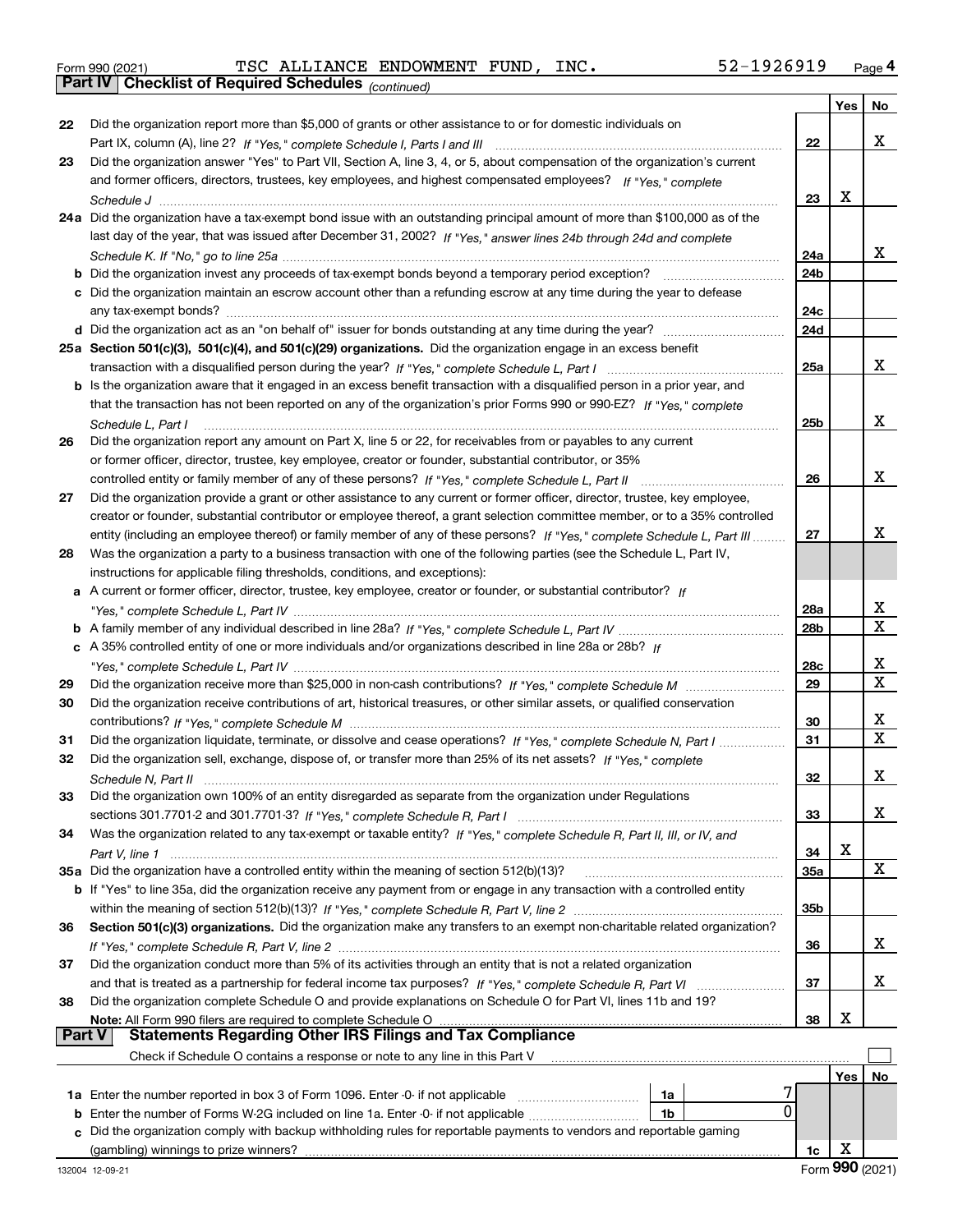|  | Form 990 (2021) |
|--|-----------------|
|  |                 |

*(continued)* Form 990 (2021) TSC ALLIANCE ENDOWMENT FUND, INC. 52-1926919 <sub>Page</sub> 4<br>**Part IV | Checklist of Required Schedules** <sub>(continued)</sub>

|               |                                                                                                                              |                 | Yes | No          |
|---------------|------------------------------------------------------------------------------------------------------------------------------|-----------------|-----|-------------|
| 22            | Did the organization report more than \$5,000 of grants or other assistance to or for domestic individuals on                |                 |     |             |
|               |                                                                                                                              | 22              |     | x           |
| 23            | Did the organization answer "Yes" to Part VII, Section A, line 3, 4, or 5, about compensation of the organization's current  |                 |     |             |
|               | and former officers, directors, trustees, key employees, and highest compensated employees? If "Yes," complete               |                 |     |             |
|               |                                                                                                                              | 23              | X   |             |
|               | 24a Did the organization have a tax-exempt bond issue with an outstanding principal amount of more than \$100,000 as of the  |                 |     |             |
|               | last day of the year, that was issued after December 31, 2002? If "Yes," answer lines 24b through 24d and complete           |                 |     |             |
|               |                                                                                                                              | 24a             |     | x           |
|               |                                                                                                                              | 24 <sub>b</sub> |     |             |
|               | c Did the organization maintain an escrow account other than a refunding escrow at any time during the year to defease       |                 |     |             |
|               |                                                                                                                              | 24c             |     |             |
|               |                                                                                                                              | 24d             |     |             |
|               | 25a Section 501(c)(3), 501(c)(4), and 501(c)(29) organizations. Did the organization engage in an excess benefit             |                 |     |             |
|               |                                                                                                                              | 25a             |     | x           |
|               | b Is the organization aware that it engaged in an excess benefit transaction with a disqualified person in a prior year, and |                 |     |             |
|               | that the transaction has not been reported on any of the organization's prior Forms 990 or 990-EZ? If "Yes," complete        |                 |     |             |
|               | Schedule L, Part I                                                                                                           | 25 <sub>b</sub> |     | x           |
| 26            | Did the organization report any amount on Part X, line 5 or 22, for receivables from or payables to any current              |                 |     |             |
|               | or former officer, director, trustee, key employee, creator or founder, substantial contributor, or 35%                      |                 |     |             |
|               | controlled entity or family member of any of these persons? If "Yes," complete Schedule L, Part II                           | 26              |     | x           |
| 27            | Did the organization provide a grant or other assistance to any current or former officer, director, trustee, key employee,  |                 |     |             |
|               | creator or founder, substantial contributor or employee thereof, a grant selection committee member, or to a 35% controlled  |                 |     |             |
|               | entity (including an employee thereof) or family member of any of these persons? If "Yes," complete Schedule L, Part III     | 27              |     | x           |
| 28            | Was the organization a party to a business transaction with one of the following parties (see the Schedule L, Part IV,       |                 |     |             |
|               | instructions for applicable filing thresholds, conditions, and exceptions):                                                  |                 |     |             |
| а             | A current or former officer, director, trustee, key employee, creator or founder, or substantial contributor? If             |                 |     |             |
|               |                                                                                                                              | 28a             |     | x<br>X      |
|               |                                                                                                                              | 28 <sub>b</sub> |     |             |
|               | c A 35% controlled entity of one or more individuals and/or organizations described in line 28a or 28b? If                   | <b>28c</b>      |     | x           |
|               |                                                                                                                              | 29              |     | $\mathbf X$ |
| 29<br>30      | Did the organization receive contributions of art, historical treasures, or other similar assets, or qualified conservation  |                 |     |             |
|               |                                                                                                                              | 30              |     | х           |
| 31            | Did the organization liquidate, terminate, or dissolve and cease operations? If "Yes," complete Schedule N, Part I           | 31              |     | X           |
| 32            | Did the organization sell, exchange, dispose of, or transfer more than 25% of its net assets? If "Yes," complete             |                 |     |             |
|               |                                                                                                                              | 32              |     | х           |
| 33            | Did the organization own 100% of an entity disregarded as separate from the organization under Regulations                   |                 |     |             |
|               |                                                                                                                              | 33              |     | x           |
| 34            | Was the organization related to any tax-exempt or taxable entity? If "Yes," complete Schedule R, Part II, III, or IV, and    |                 |     |             |
|               |                                                                                                                              | 34              | х   |             |
|               | 35a Did the organization have a controlled entity within the meaning of section 512(b)(13)?                                  | <b>35a</b>      |     | х           |
|               | b If "Yes" to line 35a, did the organization receive any payment from or engage in any transaction with a controlled entity  |                 |     |             |
|               |                                                                                                                              | 35b             |     |             |
| 36            | Section 501(c)(3) organizations. Did the organization make any transfers to an exempt non-charitable related organization?   |                 |     |             |
|               |                                                                                                                              | 36              |     | x           |
| 37            | Did the organization conduct more than 5% of its activities through an entity that is not a related organization             |                 |     |             |
|               |                                                                                                                              | 37              |     | x           |
| 38            | Did the organization complete Schedule O and provide explanations on Schedule O for Part VI, lines 11b and 19?               |                 |     |             |
|               | Note: All Form 990 filers are required to complete Schedule O                                                                | 38              | х   |             |
| <b>Part V</b> | <b>Statements Regarding Other IRS Filings and Tax Compliance</b>                                                             |                 |     |             |
|               | Check if Schedule O contains a response or note to any line in this Part V                                                   |                 |     |             |
|               |                                                                                                                              |                 | Yes | No          |
|               | 1a Enter the number reported in box 3 of Form 1096. Enter -0- if not applicable<br>1a                                        |                 |     |             |
| b             | 0<br>Enter the number of Forms W-2G included on line 1a. Enter -0- if not applicable<br>1b                                   |                 |     |             |
| c             | Did the organization comply with backup withholding rules for reportable payments to vendors and reportable gaming           |                 |     |             |
|               | (gambling) winnings to prize winners?                                                                                        | 1c              | х   |             |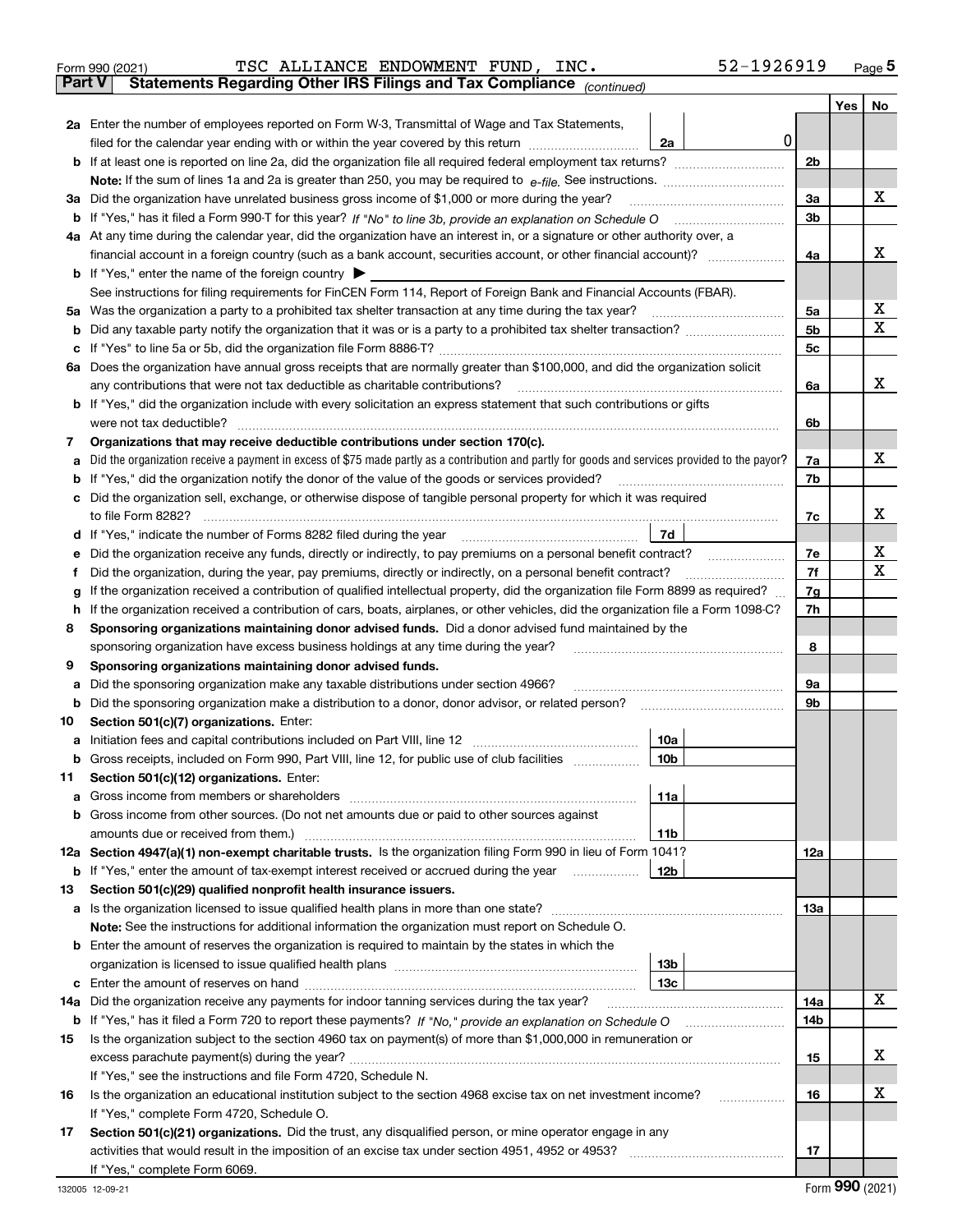| Form 990 (2021) |                                                                                                | TSC ALLIANCE ENDOWMENT FUND, INC. |  | 52-1926919 | Page $5$ |
|-----------------|------------------------------------------------------------------------------------------------|-----------------------------------|--|------------|----------|
|                 | <b>Part V</b> Statements Regarding Other IRS Filings and Tax Compliance <sub>(continued)</sub> |                                   |  |            |          |

*(continued)*

|        |                                                                                                                                                                                                                                                  |                |  | Yes   No |  |  |  |  |  |  |  |  |
|--------|--------------------------------------------------------------------------------------------------------------------------------------------------------------------------------------------------------------------------------------------------|----------------|--|----------|--|--|--|--|--|--|--|--|
|        | 2a Enter the number of employees reported on Form W-3, Transmittal of Wage and Tax Statements,                                                                                                                                                   |                |  |          |  |  |  |  |  |  |  |  |
|        | $\mathbf 0$<br>filed for the calendar year ending with or within the year covered by this return [11] [11] filed for the calendar year ending with or within the year covered by this return<br>2a                                               |                |  |          |  |  |  |  |  |  |  |  |
|        |                                                                                                                                                                                                                                                  | 2 <sub>b</sub> |  |          |  |  |  |  |  |  |  |  |
|        |                                                                                                                                                                                                                                                  |                |  |          |  |  |  |  |  |  |  |  |
|        | 3a Did the organization have unrelated business gross income of \$1,000 or more during the year?                                                                                                                                                 | 3a             |  | x        |  |  |  |  |  |  |  |  |
|        |                                                                                                                                                                                                                                                  | 3 <sub>b</sub> |  |          |  |  |  |  |  |  |  |  |
|        | 4a At any time during the calendar year, did the organization have an interest in, or a signature or other authority over, a                                                                                                                     |                |  |          |  |  |  |  |  |  |  |  |
|        |                                                                                                                                                                                                                                                  | 4a             |  | x        |  |  |  |  |  |  |  |  |
|        | <b>b</b> If "Yes," enter the name of the foreign country $\blacktriangleright$                                                                                                                                                                   |                |  |          |  |  |  |  |  |  |  |  |
|        | See instructions for filing requirements for FinCEN Form 114, Report of Foreign Bank and Financial Accounts (FBAR).                                                                                                                              |                |  |          |  |  |  |  |  |  |  |  |
| 5a     | Was the organization a party to a prohibited tax shelter transaction at any time during the tax year?                                                                                                                                            | 5a             |  | x        |  |  |  |  |  |  |  |  |
| b      |                                                                                                                                                                                                                                                  | 5 <sub>b</sub> |  | X        |  |  |  |  |  |  |  |  |
| с      |                                                                                                                                                                                                                                                  | 5c             |  |          |  |  |  |  |  |  |  |  |
|        | 6a Does the organization have annual gross receipts that are normally greater than \$100,000, and did the organization solicit                                                                                                                   |                |  |          |  |  |  |  |  |  |  |  |
|        | any contributions that were not tax deductible as charitable contributions?                                                                                                                                                                      | 6a             |  | x        |  |  |  |  |  |  |  |  |
|        | b If "Yes," did the organization include with every solicitation an express statement that such contributions or gifts                                                                                                                           |                |  |          |  |  |  |  |  |  |  |  |
|        | were not tax deductible?                                                                                                                                                                                                                         | 6b             |  |          |  |  |  |  |  |  |  |  |
| 7      | Organizations that may receive deductible contributions under section 170(c).                                                                                                                                                                    |                |  |          |  |  |  |  |  |  |  |  |
| а      | Did the organization receive a payment in excess of \$75 made partly as a contribution and partly for goods and services provided to the payor?                                                                                                  | 7a             |  | x        |  |  |  |  |  |  |  |  |
| b      | If "Yes," did the organization notify the donor of the value of the goods or services provided?                                                                                                                                                  | 7b             |  |          |  |  |  |  |  |  |  |  |
|        | Did the organization sell, exchange, or otherwise dispose of tangible personal property for which it was required                                                                                                                                |                |  |          |  |  |  |  |  |  |  |  |
|        |                                                                                                                                                                                                                                                  | 7c             |  | x        |  |  |  |  |  |  |  |  |
| d      | 7d<br>If "Yes," indicate the number of Forms 8282 filed during the year manufactured and the vertical property of the                                                                                                                            |                |  | х        |  |  |  |  |  |  |  |  |
| е      | Did the organization receive any funds, directly or indirectly, to pay premiums on a personal benefit contract?                                                                                                                                  | 7e<br>7f       |  | x        |  |  |  |  |  |  |  |  |
| f      | Did the organization, during the year, pay premiums, directly or indirectly, on a personal benefit contract?<br>If the organization received a contribution of qualified intellectual property, did the organization file Form 8899 as required? | 7g             |  |          |  |  |  |  |  |  |  |  |
| g<br>h | If the organization received a contribution of cars, boats, airplanes, or other vehicles, did the organization file a Form 1098-C?                                                                                                               | 7h             |  |          |  |  |  |  |  |  |  |  |
| 8      | Sponsoring organizations maintaining donor advised funds. Did a donor advised fund maintained by the                                                                                                                                             |                |  |          |  |  |  |  |  |  |  |  |
|        | sponsoring organization have excess business holdings at any time during the year?                                                                                                                                                               | 8              |  |          |  |  |  |  |  |  |  |  |
| 9      | Sponsoring organizations maintaining donor advised funds.                                                                                                                                                                                        |                |  |          |  |  |  |  |  |  |  |  |
| а      | Did the sponsoring organization make any taxable distributions under section 4966?                                                                                                                                                               | 9а             |  |          |  |  |  |  |  |  |  |  |
| b      | Did the sponsoring organization make a distribution to a donor, donor advisor, or related person?                                                                                                                                                | 9b             |  |          |  |  |  |  |  |  |  |  |
| 10     | Section 501(c)(7) organizations. Enter:                                                                                                                                                                                                          |                |  |          |  |  |  |  |  |  |  |  |
| а      | 10a<br>Initiation fees and capital contributions included on Part VIII, line 12 [[[[[[[[[[[[[[[[[[[[[[[[[[[]]]]]]]]]                                                                                                                             |                |  |          |  |  |  |  |  |  |  |  |
|        | 10 <sub>b</sub><br><b>b</b> Gross receipts, included on Form 990, Part VIII, line 12, for public use of club facilities                                                                                                                          |                |  |          |  |  |  |  |  |  |  |  |
|        | 11 Section 501(c)(12) organizations. Enter:                                                                                                                                                                                                      |                |  |          |  |  |  |  |  |  |  |  |
|        | 11a                                                                                                                                                                                                                                              |                |  |          |  |  |  |  |  |  |  |  |
|        | <b>b</b> Gross income from other sources. (Do not net amounts due or paid to other sources against                                                                                                                                               |                |  |          |  |  |  |  |  |  |  |  |
|        | 11 <sub>b</sub><br>amounts due or received from them.)                                                                                                                                                                                           |                |  |          |  |  |  |  |  |  |  |  |
|        | 12a Section 4947(a)(1) non-exempt charitable trusts. Is the organization filing Form 990 in lieu of Form 1041?                                                                                                                                   | 12a            |  |          |  |  |  |  |  |  |  |  |
|        | <b>b</b> If "Yes," enter the amount of tax-exempt interest received or accrued during the year <b>contained</b><br>12b                                                                                                                           |                |  |          |  |  |  |  |  |  |  |  |
| 13     | Section 501(c)(29) qualified nonprofit health insurance issuers.                                                                                                                                                                                 |                |  |          |  |  |  |  |  |  |  |  |
|        | a Is the organization licensed to issue qualified health plans in more than one state?                                                                                                                                                           | 13а            |  |          |  |  |  |  |  |  |  |  |
|        | Note: See the instructions for additional information the organization must report on Schedule O.                                                                                                                                                |                |  |          |  |  |  |  |  |  |  |  |
|        | <b>b</b> Enter the amount of reserves the organization is required to maintain by the states in which the                                                                                                                                        |                |  |          |  |  |  |  |  |  |  |  |
|        | 13b<br>13c                                                                                                                                                                                                                                       |                |  |          |  |  |  |  |  |  |  |  |
|        | 14a Did the organization receive any payments for indoor tanning services during the tax year?                                                                                                                                                   | 14a            |  | x        |  |  |  |  |  |  |  |  |
|        |                                                                                                                                                                                                                                                  | 14b            |  |          |  |  |  |  |  |  |  |  |
| 15     | Is the organization subject to the section 4960 tax on payment(s) of more than \$1,000,000 in remuneration or                                                                                                                                    |                |  |          |  |  |  |  |  |  |  |  |
|        |                                                                                                                                                                                                                                                  | 15             |  | x        |  |  |  |  |  |  |  |  |
|        | If "Yes," see the instructions and file Form 4720, Schedule N.                                                                                                                                                                                   |                |  |          |  |  |  |  |  |  |  |  |
| 16     | Is the organization an educational institution subject to the section 4968 excise tax on net investment income?                                                                                                                                  | 16             |  | х        |  |  |  |  |  |  |  |  |
|        | If "Yes," complete Form 4720, Schedule O.                                                                                                                                                                                                        |                |  |          |  |  |  |  |  |  |  |  |
| 17     | Section 501(c)(21) organizations. Did the trust, any disqualified person, or mine operator engage in any                                                                                                                                         |                |  |          |  |  |  |  |  |  |  |  |
|        |                                                                                                                                                                                                                                                  | 17             |  |          |  |  |  |  |  |  |  |  |
|        | If "Yes," complete Form 6069.                                                                                                                                                                                                                    |                |  |          |  |  |  |  |  |  |  |  |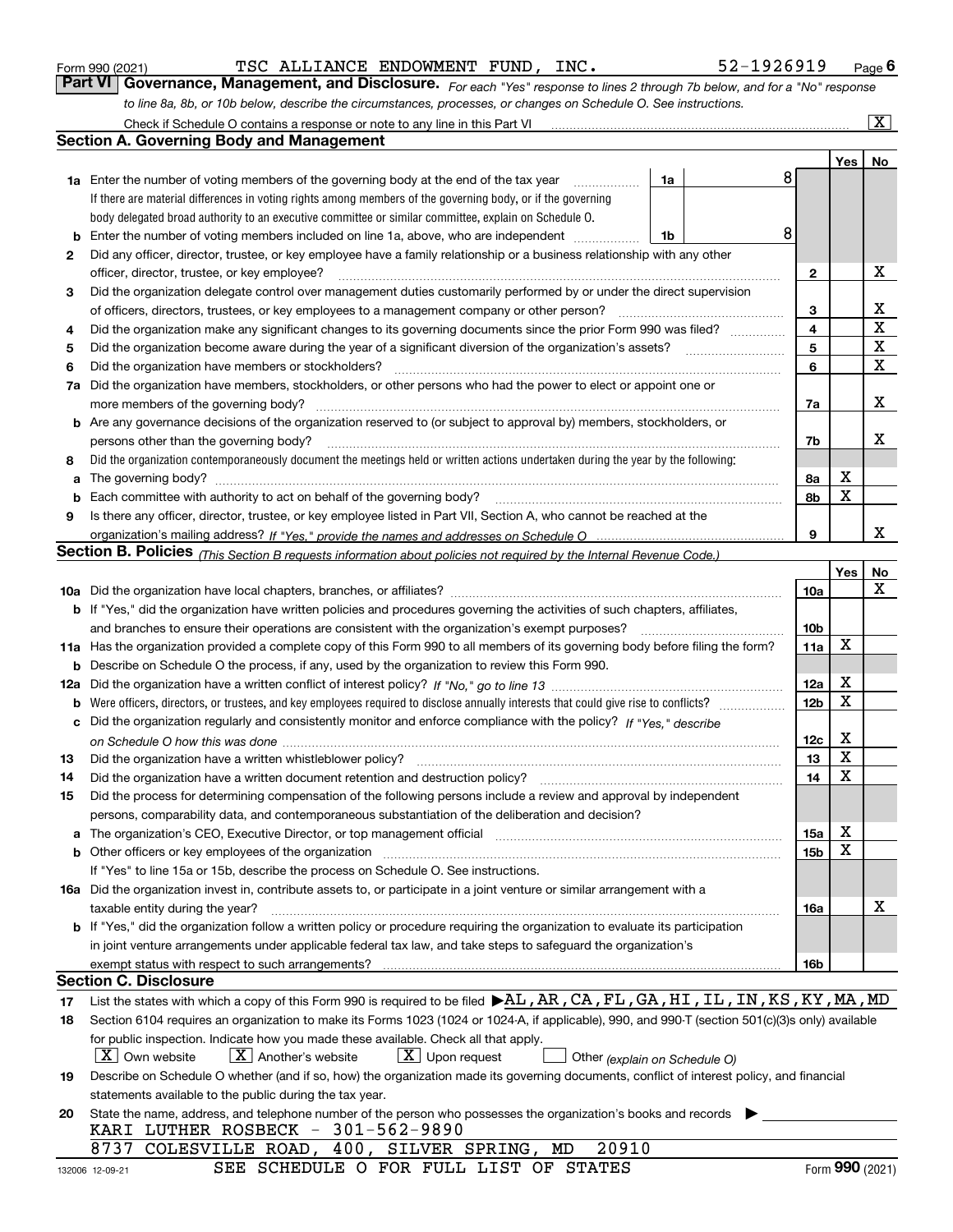|     | Check if Schedule O contains a response or note to any line in this Part VI                                                                                                   |                 |             | $\overline{\mathbf{X}}$ |  |  |  |  |  |  |  |  |  |
|-----|-------------------------------------------------------------------------------------------------------------------------------------------------------------------------------|-----------------|-------------|-------------------------|--|--|--|--|--|--|--|--|--|
|     | <b>Section A. Governing Body and Management</b>                                                                                                                               |                 |             |                         |  |  |  |  |  |  |  |  |  |
|     |                                                                                                                                                                               |                 | Yes         | No                      |  |  |  |  |  |  |  |  |  |
|     | <b>1a</b> Enter the number of voting members of the governing body at the end of the tax year<br>1a                                                                           | 8               |             |                         |  |  |  |  |  |  |  |  |  |
|     | If there are material differences in voting rights among members of the governing body, or if the governing                                                                   |                 |             |                         |  |  |  |  |  |  |  |  |  |
|     | body delegated broad authority to an executive committee or similar committee, explain on Schedule O.                                                                         |                 |             |                         |  |  |  |  |  |  |  |  |  |
| b   | Enter the number of voting members included on line 1a, above, who are independent<br>1b                                                                                      | 8               |             |                         |  |  |  |  |  |  |  |  |  |
| 2   | Did any officer, director, trustee, or key employee have a family relationship or a business relationship with any other                                                      |                 |             |                         |  |  |  |  |  |  |  |  |  |
|     | officer, director, trustee, or key employee?                                                                                                                                  |                 |             |                         |  |  |  |  |  |  |  |  |  |
| 3   | Did the organization delegate control over management duties customarily performed by or under the direct supervision                                                         |                 |             |                         |  |  |  |  |  |  |  |  |  |
|     | of officers, directors, trustees, or key employees to a management company or other person?                                                                                   |                 |             |                         |  |  |  |  |  |  |  |  |  |
| 4   | Did the organization make any significant changes to its governing documents since the prior Form 990 was filed?                                                              |                 |             |                         |  |  |  |  |  |  |  |  |  |
| 5   |                                                                                                                                                                               |                 |             |                         |  |  |  |  |  |  |  |  |  |
| 6   | Did the organization have members or stockholders?                                                                                                                            |                 |             |                         |  |  |  |  |  |  |  |  |  |
| 7a  | Did the organization have members, stockholders, or other persons who had the power to elect or appoint one or                                                                |                 |             |                         |  |  |  |  |  |  |  |  |  |
|     |                                                                                                                                                                               | 7a              |             | х                       |  |  |  |  |  |  |  |  |  |
|     | <b>b</b> Are any governance decisions of the organization reserved to (or subject to approval by) members, stockholders, or                                                   |                 |             |                         |  |  |  |  |  |  |  |  |  |
|     | persons other than the governing body?                                                                                                                                        | 7b              |             | x                       |  |  |  |  |  |  |  |  |  |
| 8   | Did the organization contemporaneously document the meetings held or written actions undertaken during the year by the following:                                             |                 |             |                         |  |  |  |  |  |  |  |  |  |
| а   |                                                                                                                                                                               | 8a              | X           |                         |  |  |  |  |  |  |  |  |  |
| b   |                                                                                                                                                                               | 8b              | $\mathbf X$ |                         |  |  |  |  |  |  |  |  |  |
| 9   | Is there any officer, director, trustee, or key employee listed in Part VII, Section A, who cannot be reached at the                                                          |                 |             |                         |  |  |  |  |  |  |  |  |  |
|     |                                                                                                                                                                               | 9               |             | х                       |  |  |  |  |  |  |  |  |  |
|     | Section B. Policies (This Section B requests information about policies not required by the Internal Revenue Code.)                                                           |                 |             |                         |  |  |  |  |  |  |  |  |  |
|     |                                                                                                                                                                               |                 | Yes         | No                      |  |  |  |  |  |  |  |  |  |
|     |                                                                                                                                                                               | 10a             |             | Х                       |  |  |  |  |  |  |  |  |  |
|     | <b>b</b> If "Yes," did the organization have written policies and procedures governing the activities of such chapters, affiliates,                                           |                 |             |                         |  |  |  |  |  |  |  |  |  |
|     | and branches to ensure their operations are consistent with the organization's exempt purposes?                                                                               | 10 <sub>b</sub> |             |                         |  |  |  |  |  |  |  |  |  |
|     | 11a Has the organization provided a complete copy of this Form 990 to all members of its governing body before filing the form?                                               | 11a             | X           |                         |  |  |  |  |  |  |  |  |  |
|     | <b>b</b> Describe on Schedule O the process, if any, used by the organization to review this Form 990.                                                                        |                 |             |                         |  |  |  |  |  |  |  |  |  |
| 12a |                                                                                                                                                                               | 12a             | X           |                         |  |  |  |  |  |  |  |  |  |
| b   |                                                                                                                                                                               | 12 <sub>b</sub> | X           |                         |  |  |  |  |  |  |  |  |  |
| с   | Did the organization regularly and consistently monitor and enforce compliance with the policy? If "Yes." describe                                                            |                 |             |                         |  |  |  |  |  |  |  |  |  |
|     |                                                                                                                                                                               | 12c             | X           |                         |  |  |  |  |  |  |  |  |  |
| 13  | Did the organization have a written whistleblower policy?                                                                                                                     | 13              | X           |                         |  |  |  |  |  |  |  |  |  |
| 14  | Did the organization have a written document retention and destruction policy? manufactured and the organization have a written document retention and destruction policy?    | 14              | X           |                         |  |  |  |  |  |  |  |  |  |
| 15  | Did the process for determining compensation of the following persons include a review and approval by independent                                                            |                 |             |                         |  |  |  |  |  |  |  |  |  |
|     | persons, comparability data, and contemporaneous substantiation of the deliberation and decision?                                                                             |                 |             |                         |  |  |  |  |  |  |  |  |  |
| а   | The organization's CEO, Executive Director, or top management official manufactured content content of the organization's CEO, Executive Director, or top management official | 15a             | х           |                         |  |  |  |  |  |  |  |  |  |
|     |                                                                                                                                                                               | 15 <sub>b</sub> | X           |                         |  |  |  |  |  |  |  |  |  |
|     | If "Yes" to line 15a or 15b, describe the process on Schedule O. See instructions.                                                                                            |                 |             |                         |  |  |  |  |  |  |  |  |  |
|     | 16a Did the organization invest in, contribute assets to, or participate in a joint venture or similar arrangement with a                                                     |                 |             |                         |  |  |  |  |  |  |  |  |  |
|     | taxable entity during the year?                                                                                                                                               | 16a             |             | х                       |  |  |  |  |  |  |  |  |  |
|     | b If "Yes," did the organization follow a written policy or procedure requiring the organization to evaluate its participation                                                |                 |             |                         |  |  |  |  |  |  |  |  |  |
|     | in joint venture arrangements under applicable federal tax law, and take steps to safeguard the organization's                                                                |                 |             |                         |  |  |  |  |  |  |  |  |  |
|     | exempt status with respect to such arrangements?                                                                                                                              | 16b             |             |                         |  |  |  |  |  |  |  |  |  |
|     | <b>Section C. Disclosure</b>                                                                                                                                                  |                 |             |                         |  |  |  |  |  |  |  |  |  |
| 17  | List the states with which a copy of this Form 990 is required to be filed $\blacktriangleright$ AL, AR, CA, FL, GA, HI, IL, IN, KS, KY, MA, MD                               |                 |             |                         |  |  |  |  |  |  |  |  |  |
| 18  | Section 6104 requires an organization to make its Forms 1023 (1024 or 1024-A, if applicable), 990, and 990-T (section 501(c)(3)s only) available                              |                 |             |                         |  |  |  |  |  |  |  |  |  |
|     | for public inspection. Indicate how you made these available. Check all that apply.                                                                                           |                 |             |                         |  |  |  |  |  |  |  |  |  |
|     | $X$ Upon request<br>$\lfloor X \rfloor$ Own website<br>$X$ Another's website<br>Other (explain on Schedule O)                                                                 |                 |             |                         |  |  |  |  |  |  |  |  |  |
| 19  | Describe on Schedule O whether (and if so, how) the organization made its governing documents, conflict of interest policy, and financial                                     |                 |             |                         |  |  |  |  |  |  |  |  |  |
|     | statements available to the public during the tax year.                                                                                                                       |                 |             |                         |  |  |  |  |  |  |  |  |  |
| 20  | State the name, address, and telephone number of the person who possesses the organization's books and records                                                                |                 |             |                         |  |  |  |  |  |  |  |  |  |
|     | KARI LUTHER ROSBECK - 301-562-9890                                                                                                                                            |                 |             |                         |  |  |  |  |  |  |  |  |  |
|     | 8737 COLESVILLE ROAD, 400, SILVER SPRING, MD<br>20910                                                                                                                         |                 |             |                         |  |  |  |  |  |  |  |  |  |

*to line 8a, 8b, or 10b below, describe the circumstances, processes, or changes on Schedule O. See instructions.*

Form 990 (2021) **Container Propert Concilent Property Concilent Property Concilent Property Concilent Property Concilent Page 6 Page 6 Page 6 Page 6 Page 6 Page 6 Page 6 Page 6 Page 6 Page 6 Page 6 Page 6 Page 6 Page 7 Pag** 

TSC ALLIANCE ENDOWMENT FUND, INC. 52-1926919

*For each "Yes" response to lines 2 through 7b below, and for a "No" response*

SEE SCHEDULE O FOR FULL LIST OF STATES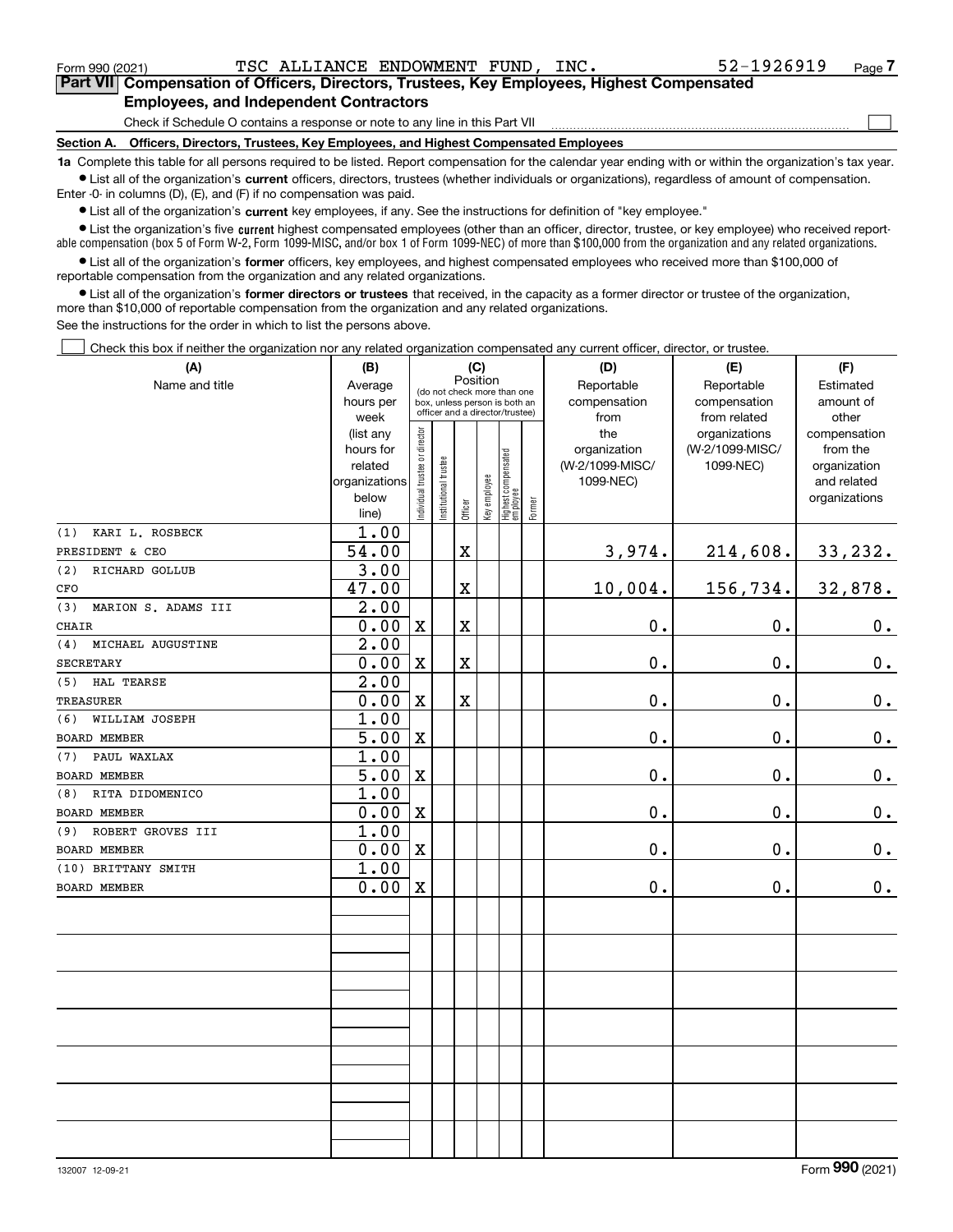$\mathcal{L}^{\text{max}}$ 

**7Part VII Compensation of Officers, Directors, Trustees, Key Employees, Highest Compensated Employees, and Independent Contractors**

Check if Schedule O contains a response or note to any line in this Part VII

**Section A. Officers, Directors, Trustees, Key Employees, and Highest Compensated Employees**

**1a**  Complete this table for all persons required to be listed. Report compensation for the calendar year ending with or within the organization's tax year. **•** List all of the organization's current officers, directors, trustees (whether individuals or organizations), regardless of amount of compensation.

Enter -0- in columns (D), (E), and (F) if no compensation was paid.

 $\bullet$  List all of the organization's  $\sf current$  key employees, if any. See the instructions for definition of "key employee."

**•** List the organization's five current highest compensated employees (other than an officer, director, trustee, or key employee) who received reportable compensation (box 5 of Form W-2, Form 1099-MISC, and/or box 1 of Form 1099-NEC) of more than \$100,000 from the organization and any related organizations.

**•** List all of the organization's former officers, key employees, and highest compensated employees who received more than \$100,000 of reportable compensation from the organization and any related organizations.

**former directors or trustees**  ¥ List all of the organization's that received, in the capacity as a former director or trustee of the organization, more than \$10,000 of reportable compensation from the organization and any related organizations.

See the instructions for the order in which to list the persons above.

Check this box if neither the organization nor any related organization compensated any current officer, director, or trustee.  $\mathcal{L}^{\text{max}}$ 

| (A)                        | (B)                    | (C)                           |                                                                  |                                         |              |                                   |            | (D)             | (E)                              | (F)                      |  |  |  |
|----------------------------|------------------------|-------------------------------|------------------------------------------------------------------|-----------------------------------------|--------------|-----------------------------------|------------|-----------------|----------------------------------|--------------------------|--|--|--|
| Name and title             | Average                |                               |                                                                  | Position<br>(do not check more than one |              |                                   | Reportable | Reportable      | Estimated                        |                          |  |  |  |
|                            | hours per              |                               | box, unless person is both an<br>officer and a director/trustee) |                                         |              |                                   |            | compensation    | compensation                     | amount of                |  |  |  |
|                            | week                   |                               |                                                                  |                                         |              |                                   |            | from<br>the     | from related                     | other                    |  |  |  |
|                            | (list any<br>hours for | ndividual trustee or director |                                                                  |                                         |              |                                   |            | organization    | organizations<br>(W-2/1099-MISC/ | compensation<br>from the |  |  |  |
|                            | related                |                               |                                                                  |                                         |              |                                   |            | (W-2/1099-MISC/ | 1099-NEC)                        | organization             |  |  |  |
|                            | organizations          |                               |                                                                  |                                         |              |                                   |            | 1099-NEC)       |                                  | and related              |  |  |  |
|                            | below                  |                               | Institutional trustee                                            |                                         |              |                                   |            |                 |                                  | organizations            |  |  |  |
|                            | line)                  |                               |                                                                  | Officer                                 | Key employee | Highest compensated<br>  employee | Former     |                 |                                  |                          |  |  |  |
| KARI L. ROSBECK<br>(1)     | 1.00                   |                               |                                                                  |                                         |              |                                   |            |                 |                                  |                          |  |  |  |
| PRESIDENT & CEO            | 54.00                  |                               |                                                                  | X                                       |              |                                   |            | 3,974.          | 214,608.                         | 33,232.                  |  |  |  |
| (2)<br>RICHARD GOLLUB      | 3.00                   |                               |                                                                  |                                         |              |                                   |            |                 |                                  |                          |  |  |  |
| CFO                        | 47.00                  |                               |                                                                  | X                                       |              |                                   |            | 10,004.         | 156,734.                         | 32,878.                  |  |  |  |
| MARION S. ADAMS III<br>(3) | 2.00                   |                               |                                                                  |                                         |              |                                   |            |                 |                                  |                          |  |  |  |
| CHAIR                      | 0.00                   | $\mathbf X$                   |                                                                  | X                                       |              |                                   |            | 0.              | 0.                               | $\mathbf 0$ .            |  |  |  |
| (4)<br>MICHAEL AUGUSTINE   | $\overline{2.00}$      |                               |                                                                  |                                         |              |                                   |            |                 |                                  |                          |  |  |  |
| <b>SECRETARY</b>           | 0.00                   | $\mathbf X$                   |                                                                  | X                                       |              |                                   |            | 0.              | 0.                               | $\mathbf 0$ .            |  |  |  |
| (5) HAL TEARSE             | 2.00                   |                               |                                                                  |                                         |              |                                   |            |                 |                                  |                          |  |  |  |
| <b>TREASURER</b>           | 0.00                   | $\mathbf X$                   |                                                                  | X                                       |              |                                   |            | $\mathbf 0$ .   | $\mathbf 0$ .                    | 0.                       |  |  |  |
| WILLIAM JOSEPH<br>(6)      | 1.00                   |                               |                                                                  |                                         |              |                                   |            |                 |                                  |                          |  |  |  |
| <b>BOARD MEMBER</b>        | 5.00                   | $\mathbf X$                   |                                                                  |                                         |              |                                   |            | $\mathbf 0$ .   | 0.                               | $\mathbf 0$ .            |  |  |  |
| (7) PAUL WAXLAX            | 1.00                   |                               |                                                                  |                                         |              |                                   |            |                 |                                  |                          |  |  |  |
| <b>BOARD MEMBER</b>        | 5.00                   | $\mathbf x$                   |                                                                  |                                         |              |                                   |            | $0$ .           | 0.                               | $\mathbf 0$ .            |  |  |  |
| (8) RITA DIDOMENICO        | 1.00                   |                               |                                                                  |                                         |              |                                   |            |                 |                                  |                          |  |  |  |
| <b>BOARD MEMBER</b>        | 0.00                   | $\mathbf X$                   |                                                                  |                                         |              |                                   |            | $0$ .           | 0.                               | 0.                       |  |  |  |
| (9) ROBERT GROVES III      | 1.00                   |                               |                                                                  |                                         |              |                                   |            |                 |                                  |                          |  |  |  |
| <b>BOARD MEMBER</b>        | 0.00                   | $\mathbf x$                   |                                                                  |                                         |              |                                   |            | $0$ .           | 0.                               | 0.                       |  |  |  |
| (10) BRITTANY SMITH        | 1.00                   |                               |                                                                  |                                         |              |                                   |            |                 |                                  |                          |  |  |  |
| <b>BOARD MEMBER</b>        | 0.00                   | $\mathbf X$                   |                                                                  |                                         |              |                                   |            | $\mathbf 0$ .   | 0.                               | 0.                       |  |  |  |
|                            |                        |                               |                                                                  |                                         |              |                                   |            |                 |                                  |                          |  |  |  |
|                            |                        |                               |                                                                  |                                         |              |                                   |            |                 |                                  |                          |  |  |  |
|                            |                        |                               |                                                                  |                                         |              |                                   |            |                 |                                  |                          |  |  |  |
|                            |                        |                               |                                                                  |                                         |              |                                   |            |                 |                                  |                          |  |  |  |
|                            |                        |                               |                                                                  |                                         |              |                                   |            |                 |                                  |                          |  |  |  |
|                            |                        |                               |                                                                  |                                         |              |                                   |            |                 |                                  |                          |  |  |  |
|                            |                        |                               |                                                                  |                                         |              |                                   |            |                 |                                  |                          |  |  |  |
|                            |                        |                               |                                                                  |                                         |              |                                   |            |                 |                                  |                          |  |  |  |
|                            |                        |                               |                                                                  |                                         |              |                                   |            |                 |                                  |                          |  |  |  |
|                            |                        |                               |                                                                  |                                         |              |                                   |            |                 |                                  |                          |  |  |  |
|                            |                        |                               |                                                                  |                                         |              |                                   |            |                 |                                  |                          |  |  |  |
|                            |                        |                               |                                                                  |                                         |              |                                   |            |                 |                                  |                          |  |  |  |
|                            |                        |                               |                                                                  |                                         |              |                                   |            |                 |                                  |                          |  |  |  |
|                            |                        |                               |                                                                  |                                         |              |                                   |            |                 |                                  |                          |  |  |  |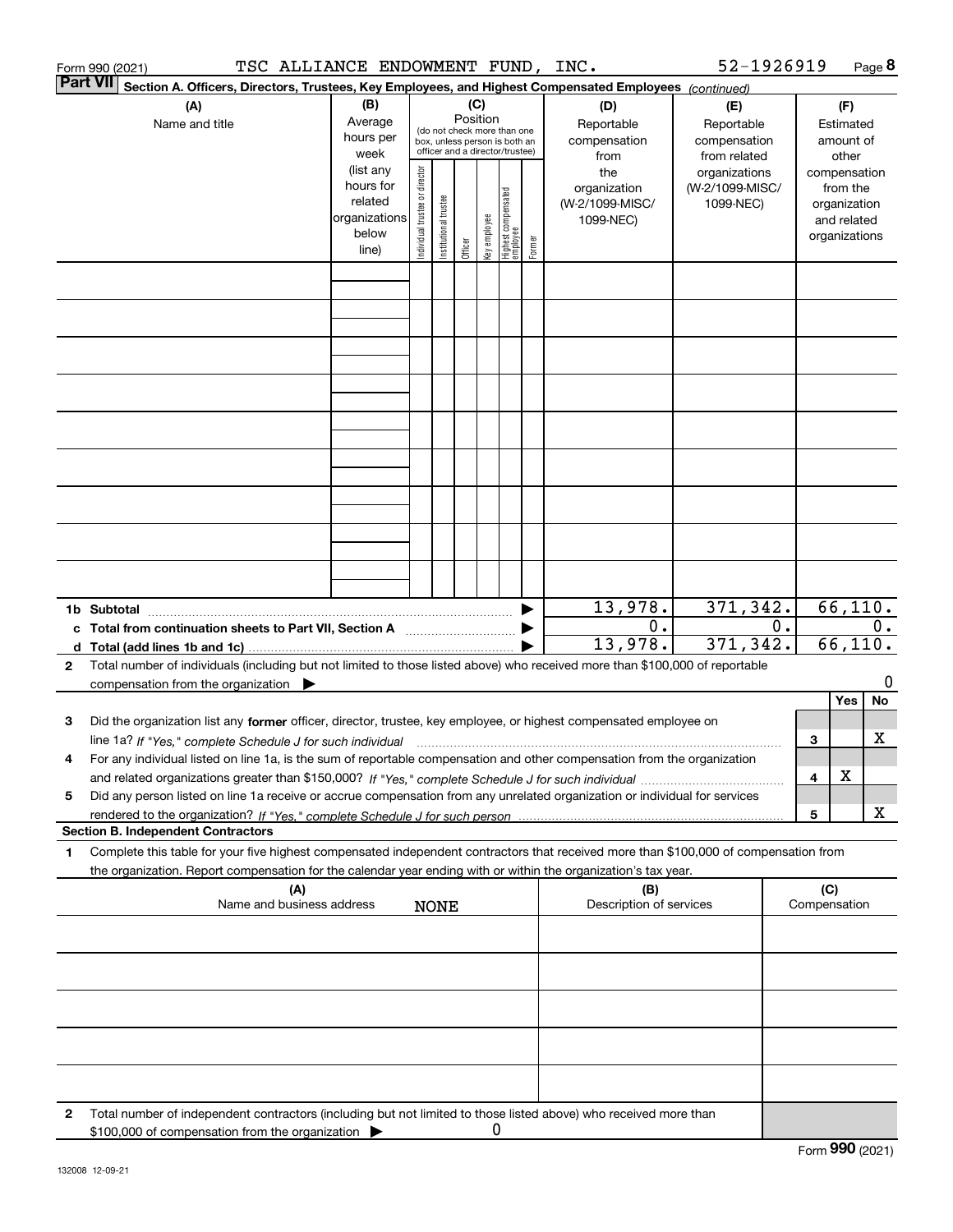| TSC ALLIANCE ENDOWMENT FUND, INC.<br>Form 990 (2021)                                                                                                                                                                                                                    |                                                                                                                                                                                                                                     |  |                                                                                                                    |         |   |  |        |                                           | 52-1926919                                        |    |     |                                                                          | Page 8 |
|-------------------------------------------------------------------------------------------------------------------------------------------------------------------------------------------------------------------------------------------------------------------------|-------------------------------------------------------------------------------------------------------------------------------------------------------------------------------------------------------------------------------------|--|--------------------------------------------------------------------------------------------------------------------|---------|---|--|--------|-------------------------------------------|---------------------------------------------------|----|-----|--------------------------------------------------------------------------|--------|
| Part VII<br>Section A. Officers, Directors, Trustees, Key Employees, and Highest Compensated Employees (continued)                                                                                                                                                      |                                                                                                                                                                                                                                     |  |                                                                                                                    |         |   |  |        |                                           |                                                   |    |     |                                                                          |        |
| (A)<br>Name and title                                                                                                                                                                                                                                                   | (B)<br>Average<br>hours per<br>week                                                                                                                                                                                                 |  | (C)<br>Position<br>(do not check more than one<br>box, unless person is both an<br>officer and a director/trustee) |         |   |  |        | (D)<br>Reportable<br>compensation<br>from | (E)<br>Reportable<br>compensation<br>from related |    |     | (F)<br>Estimated<br>amount of<br>other                                   |        |
|                                                                                                                                                                                                                                                                         | (list any<br>director<br>the<br>hours for<br>organization<br>Highest compensated<br>employee<br>Individual trustee or<br>Institutional trustee<br>related<br>(W-2/1099-MISC/<br>organizations<br>Key employee<br>1099-NEC)<br>below |  |                                                                                                                    |         |   |  |        |                                           | organizations<br>(W-2/1099-MISC/<br>1099-NEC)     |    |     | compensation<br>from the<br>organization<br>and related<br>organizations |        |
|                                                                                                                                                                                                                                                                         | line)                                                                                                                                                                                                                               |  |                                                                                                                    | Officer |   |  | Former |                                           |                                                   |    |     |                                                                          |        |
|                                                                                                                                                                                                                                                                         |                                                                                                                                                                                                                                     |  |                                                                                                                    |         |   |  |        |                                           |                                                   |    |     |                                                                          |        |
|                                                                                                                                                                                                                                                                         |                                                                                                                                                                                                                                     |  |                                                                                                                    |         |   |  |        |                                           |                                                   |    |     |                                                                          |        |
|                                                                                                                                                                                                                                                                         |                                                                                                                                                                                                                                     |  |                                                                                                                    |         |   |  |        |                                           |                                                   |    |     |                                                                          |        |
|                                                                                                                                                                                                                                                                         |                                                                                                                                                                                                                                     |  |                                                                                                                    |         |   |  |        |                                           |                                                   |    |     |                                                                          |        |
|                                                                                                                                                                                                                                                                         |                                                                                                                                                                                                                                     |  |                                                                                                                    |         |   |  |        |                                           |                                                   |    |     |                                                                          |        |
|                                                                                                                                                                                                                                                                         |                                                                                                                                                                                                                                     |  |                                                                                                                    |         |   |  |        |                                           |                                                   |    |     |                                                                          |        |
|                                                                                                                                                                                                                                                                         |                                                                                                                                                                                                                                     |  |                                                                                                                    |         |   |  |        |                                           |                                                   |    |     |                                                                          |        |
| 1b Subtotal                                                                                                                                                                                                                                                             |                                                                                                                                                                                                                                     |  |                                                                                                                    |         |   |  |        | 13,978.                                   | 371,342.                                          |    |     | 66, 110.                                                                 |        |
| c Total from continuation sheets to Part VII, Section A manufactured and response to Total from extension                                                                                                                                                               |                                                                                                                                                                                                                                     |  |                                                                                                                    |         |   |  |        | 0.<br>13,978.                             | 371, 342.                                         | 0. |     | 66, 110.                                                                 | 0.     |
| Total number of individuals (including but not limited to those listed above) who received more than \$100,000 of reportable<br>$\mathbf{2}$                                                                                                                            |                                                                                                                                                                                                                                     |  |                                                                                                                    |         |   |  |        |                                           |                                                   |    |     |                                                                          | 0      |
| compensation from the organization $\blacktriangleright$                                                                                                                                                                                                                |                                                                                                                                                                                                                                     |  |                                                                                                                    |         |   |  |        |                                           |                                                   |    |     | Yes                                                                      | No     |
| Did the organization list any former officer, director, trustee, key employee, or highest compensated employee on<br>з                                                                                                                                                  |                                                                                                                                                                                                                                     |  |                                                                                                                    |         |   |  |        |                                           |                                                   |    |     |                                                                          |        |
| line 1a? If "Yes," complete Schedule J for such individual material content in the first content of the Schedule J for such individual<br>For any individual listed on line 1a, is the sum of reportable compensation and other compensation from the organization<br>4 |                                                                                                                                                                                                                                     |  |                                                                                                                    |         |   |  |        |                                           |                                                   |    | 3   |                                                                          | х      |
|                                                                                                                                                                                                                                                                         |                                                                                                                                                                                                                                     |  |                                                                                                                    |         |   |  |        |                                           |                                                   |    | 4   | х                                                                        |        |
| Did any person listed on line 1a receive or accrue compensation from any unrelated organization or individual for services<br>5                                                                                                                                         |                                                                                                                                                                                                                                     |  |                                                                                                                    |         |   |  |        |                                           |                                                   |    | 5   |                                                                          | х      |
| <b>Section B. Independent Contractors</b><br>Complete this table for your five highest compensated independent contractors that received more than \$100,000 of compensation from<br>1                                                                                  |                                                                                                                                                                                                                                     |  |                                                                                                                    |         |   |  |        |                                           |                                                   |    |     |                                                                          |        |
| the organization. Report compensation for the calendar year ending with or within the organization's tax year.<br>(A)                                                                                                                                                   |                                                                                                                                                                                                                                     |  |                                                                                                                    |         |   |  |        | (B)                                       |                                                   |    | (C) |                                                                          |        |
| Name and business address                                                                                                                                                                                                                                               |                                                                                                                                                                                                                                     |  | <b>NONE</b>                                                                                                        |         |   |  |        | Description of services                   |                                                   |    |     | Compensation                                                             |        |
|                                                                                                                                                                                                                                                                         |                                                                                                                                                                                                                                     |  |                                                                                                                    |         |   |  |        |                                           |                                                   |    |     |                                                                          |        |
|                                                                                                                                                                                                                                                                         |                                                                                                                                                                                                                                     |  |                                                                                                                    |         |   |  |        |                                           |                                                   |    |     |                                                                          |        |
|                                                                                                                                                                                                                                                                         |                                                                                                                                                                                                                                     |  |                                                                                                                    |         |   |  |        |                                           |                                                   |    |     |                                                                          |        |
|                                                                                                                                                                                                                                                                         |                                                                                                                                                                                                                                     |  |                                                                                                                    |         |   |  |        |                                           |                                                   |    |     |                                                                          |        |
| Total number of independent contractors (including but not limited to those listed above) who received more than<br>2<br>\$100,000 of compensation from the organization $\blacktriangleright$                                                                          |                                                                                                                                                                                                                                     |  |                                                                                                                    |         | 0 |  |        |                                           |                                                   |    |     |                                                                          |        |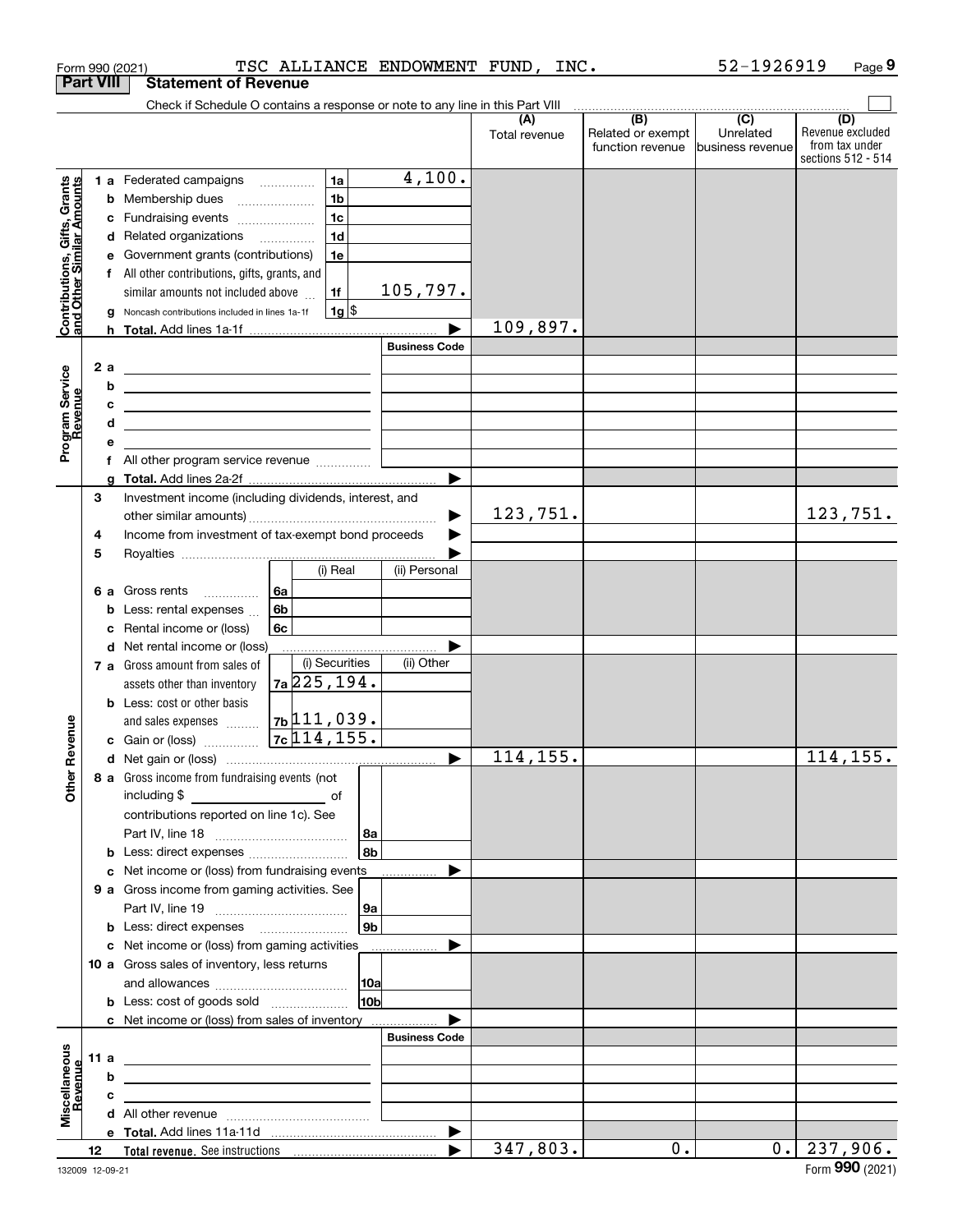|                                                           |                  |   | Form 990 (2021)                                                                                                        |    |                 | TSC ALLIANCE ENDOWMENT FUND, INC. |               |                                       | 52-1926919                    | Page 9                  |
|-----------------------------------------------------------|------------------|---|------------------------------------------------------------------------------------------------------------------------|----|-----------------|-----------------------------------|---------------|---------------------------------------|-------------------------------|-------------------------|
|                                                           | <b>Part VIII</b> |   | <b>Statement of Revenue</b>                                                                                            |    |                 |                                   |               |                                       |                               |                         |
|                                                           |                  |   | Check if Schedule O contains a response or note to any line in this Part VIII                                          |    |                 |                                   |               |                                       |                               |                         |
|                                                           |                  |   |                                                                                                                        |    |                 |                                   | (A)           | (B)                                   | $\overline{(C)}$<br>Unrelated | (D)<br>Revenue excluded |
|                                                           |                  |   |                                                                                                                        |    |                 |                                   | Total revenue | Related or exempt<br>function revenue | business revenue              | from tax under          |
|                                                           |                  |   |                                                                                                                        |    |                 |                                   |               |                                       |                               | sections 512 - 514      |
|                                                           |                  |   | 1 a Federated campaigns                                                                                                |    | 1a              | 4,100.                            |               |                                       |                               |                         |
|                                                           |                  |   | <b>b</b> Membership dues                                                                                               |    | 1 <sub>b</sub>  |                                   |               |                                       |                               |                         |
|                                                           |                  |   | c Fundraising events                                                                                                   |    | 1 <sub>c</sub>  |                                   |               |                                       |                               |                         |
|                                                           |                  |   | d Related organizations                                                                                                |    | 1 <sub>d</sub>  |                                   |               |                                       |                               |                         |
|                                                           |                  |   | e Government grants (contributions)                                                                                    |    | 1e              |                                   |               |                                       |                               |                         |
|                                                           |                  |   | f All other contributions, gifts, grants, and                                                                          |    |                 |                                   |               |                                       |                               |                         |
|                                                           |                  |   | similar amounts not included above                                                                                     |    | 1f              | 105, 797.                         |               |                                       |                               |                         |
| Contributions, Gifts, Grants<br>and Other Similar Amounts |                  |   | g Noncash contributions included in lines 1a-1f                                                                        |    | $1g$ \$         |                                   |               |                                       |                               |                         |
|                                                           |                  |   |                                                                                                                        |    |                 |                                   | 109,897.      |                                       |                               |                         |
|                                                           |                  |   |                                                                                                                        |    |                 | <b>Business Code</b>              |               |                                       |                               |                         |
|                                                           | 2a               |   |                                                                                                                        |    |                 |                                   |               |                                       |                               |                         |
|                                                           |                  | b | <u> 1989 - Johann Stein, marwolaethau a bhann an t-Amhainn an t-Amhainn an t-Amhainn an t-Amhainn an t-Amhainn a</u>   |    |                 |                                   |               |                                       |                               |                         |
| evenue                                                    |                  | c | <u> 1989 - Johann Stein, mars et al. 1989 - Anna ann an t-Anna ann an t-Anna ann an t-Anna ann an t-Anna ann an t-</u> |    |                 |                                   |               |                                       |                               |                         |
|                                                           |                  | d | <u> 1989 - Andrea Station, amerikansk politik (</u>                                                                    |    |                 |                                   |               |                                       |                               |                         |
| Program Service<br>Revenue                                |                  | е |                                                                                                                        |    |                 |                                   |               |                                       |                               |                         |
|                                                           |                  |   |                                                                                                                        |    |                 |                                   |               |                                       |                               |                         |
|                                                           |                  | a |                                                                                                                        |    |                 |                                   |               |                                       |                               |                         |
|                                                           | 3                |   | Investment income (including dividends, interest, and                                                                  |    |                 |                                   |               |                                       |                               |                         |
|                                                           |                  |   |                                                                                                                        |    |                 | ▶                                 | 123,751.      |                                       |                               | 123,751.                |
|                                                           | 4                |   | Income from investment of tax-exempt bond proceeds                                                                     |    |                 |                                   |               |                                       |                               |                         |
|                                                           | 5                |   |                                                                                                                        |    |                 |                                   |               |                                       |                               |                         |
|                                                           |                  |   |                                                                                                                        |    | (i) Real        | (ii) Personal                     |               |                                       |                               |                         |
|                                                           | 6а               |   | Gross rents                                                                                                            | 6а |                 |                                   |               |                                       |                               |                         |
|                                                           |                  | b | Less: rental expenses                                                                                                  | 6b |                 |                                   |               |                                       |                               |                         |
|                                                           |                  | с | Rental income or (loss)                                                                                                | 6c |                 |                                   |               |                                       |                               |                         |
|                                                           |                  |   | d Net rental income or (loss)                                                                                          |    |                 |                                   |               |                                       |                               |                         |
|                                                           |                  |   | 7 a Gross amount from sales of                                                                                         |    | (i) Securities  | (ii) Other                        |               |                                       |                               |                         |
|                                                           |                  |   | assets other than inventory                                                                                            |    | $7a$ 225, 194.  |                                   |               |                                       |                               |                         |
|                                                           |                  |   | <b>b</b> Less: cost or other basis                                                                                     |    |                 |                                   |               |                                       |                               |                         |
| wenue                                                     |                  |   | and sales expenses                                                                                                     |    | $7b$ 111,039.   |                                   |               |                                       |                               |                         |
|                                                           |                  |   | <b>c</b> Gain or (loss) $\ldots$                                                                                       |    | 7c 114, 155.    |                                   |               |                                       |                               |                         |
|                                                           |                  |   |                                                                                                                        |    |                 |                                   | 114, 155.     |                                       |                               | 114, 155.               |
| Other R                                                   |                  |   | 8 a Gross income from fundraising events (not                                                                          |    |                 |                                   |               |                                       |                               |                         |
|                                                           |                  |   |                                                                                                                        |    |                 |                                   |               |                                       |                               |                         |
|                                                           |                  |   | contributions reported on line 1c). See                                                                                |    |                 |                                   |               |                                       |                               |                         |
|                                                           |                  |   |                                                                                                                        |    | 8b              |                                   |               |                                       |                               |                         |
|                                                           |                  |   | <b>b</b> Less: direct expenses <i></i><br>c Net income or (loss) from fundraising events                               |    |                 |                                   |               |                                       |                               |                         |
|                                                           |                  |   | 9 a Gross income from gaming activities. See                                                                           |    |                 |                                   |               |                                       |                               |                         |
|                                                           |                  |   |                                                                                                                        |    | 9a              |                                   |               |                                       |                               |                         |
|                                                           |                  |   | <b>b</b> Less: direct expenses <i>manually contained</i>                                                               |    | 9b              |                                   |               |                                       |                               |                         |
|                                                           |                  |   | c Net income or (loss) from gaming activities                                                                          |    |                 |                                   |               |                                       |                               |                         |
|                                                           |                  |   | 10 a Gross sales of inventory, less returns                                                                            |    |                 |                                   |               |                                       |                               |                         |
|                                                           |                  |   |                                                                                                                        |    | 10a             |                                   |               |                                       |                               |                         |
|                                                           |                  |   |                                                                                                                        |    | 10 <sub>b</sub> |                                   |               |                                       |                               |                         |
|                                                           |                  |   | c Net income or (loss) from sales of inventory                                                                         |    |                 |                                   |               |                                       |                               |                         |
|                                                           |                  |   |                                                                                                                        |    |                 | <b>Business Code</b>              |               |                                       |                               |                         |
|                                                           | 11 a             |   | <u> 1989 - John Stein, september 1989 - John Stein, september 1989 - John Stein, september 1989 - John Stein, s</u>    |    |                 |                                   |               |                                       |                               |                         |
|                                                           |                  | b |                                                                                                                        |    |                 |                                   |               |                                       |                               |                         |
|                                                           |                  | с |                                                                                                                        |    |                 |                                   |               |                                       |                               |                         |
| Miscellaneous<br>Revenue                                  |                  |   |                                                                                                                        |    |                 |                                   |               |                                       |                               |                         |
|                                                           |                  |   |                                                                                                                        |    |                 | ▶                                 |               |                                       |                               |                         |
|                                                           | 12               |   |                                                                                                                        |    |                 | ▶                                 | 347,803.      | 0.                                    |                               | $0.$   237,906.         |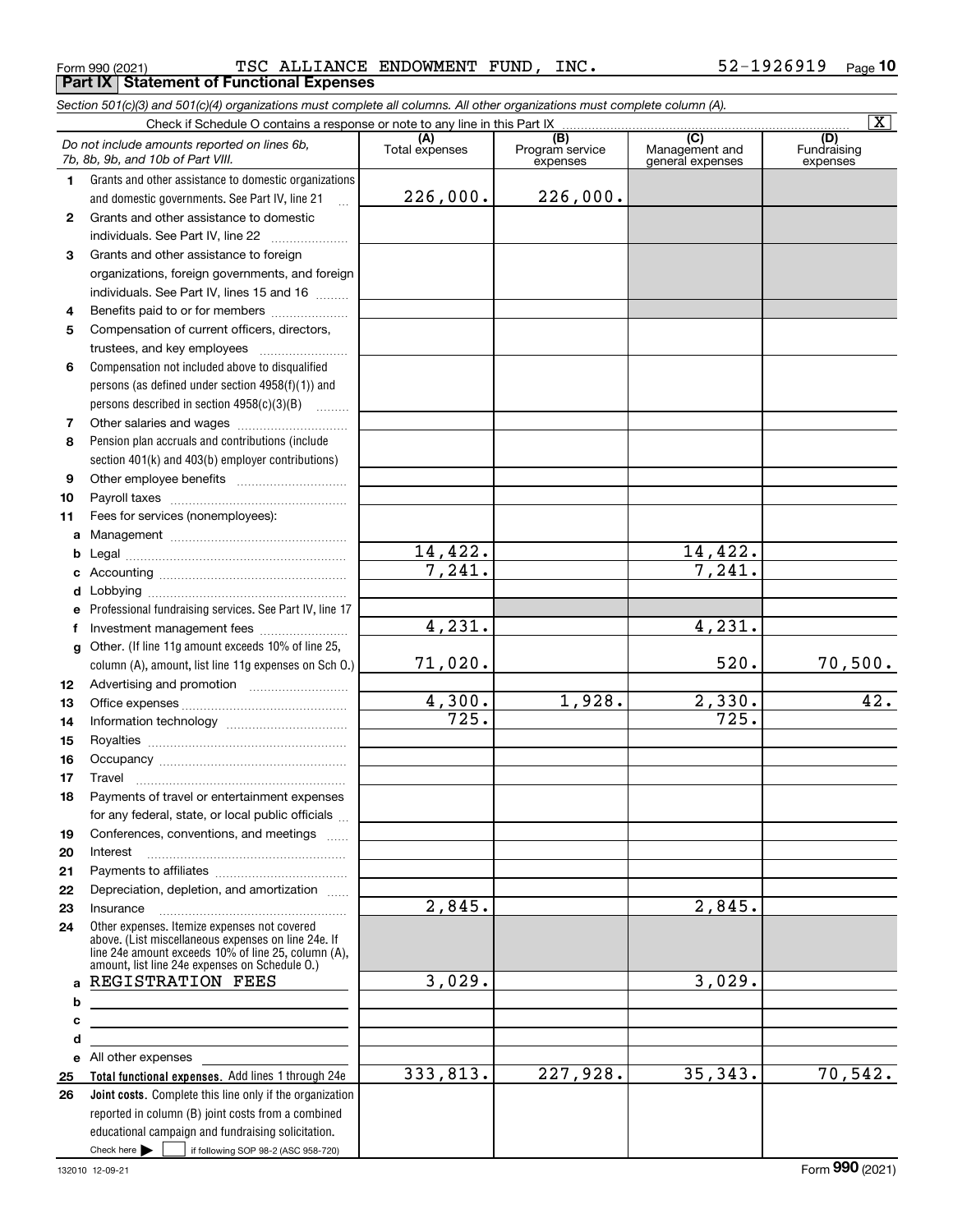All other expenses

Check here  $\begin{array}{|c|c|c|c|c|}\hline \text{ } & \text{ if following SOP 98-2 (ASC 958-720)} \hline \end{array}$ 

reported in column (B) joint costs from a combined educational campaign and fundraising solicitation.

**Total functional expenses.**  Add lines 1 through 24e **Joint costs.** Complete this line only if the organization

|          | TSC ALLIANCE ENDOWMENT FUND, INC.<br>Form 990 (2021)<br><b>Part IX   Statement of Functional Expenses</b>                                                                                                                                |                       |                                    |                                           | 52-1926919<br><u>Page</u> 1    |
|----------|------------------------------------------------------------------------------------------------------------------------------------------------------------------------------------------------------------------------------------------|-----------------------|------------------------------------|-------------------------------------------|--------------------------------|
|          | Section 501(c)(3) and 501(c)(4) organizations must complete all columns. All other organizations must complete column (A).                                                                                                               |                       |                                    |                                           |                                |
|          | Check if Schedule O contains a response or note to any line in this Part IX                                                                                                                                                              |                       |                                    |                                           | $\overline{\mathbf{X}}$        |
|          | Do not include amounts reported on lines 6b,<br>7b, 8b, 9b, and 10b of Part VIII.                                                                                                                                                        | (A)<br>Total expenses | (B)<br>Program service<br>expenses | (C)<br>Management and<br>general expenses | (D)<br>Fundraising<br>expenses |
| 1.       | Grants and other assistance to domestic organizations                                                                                                                                                                                    |                       |                                    |                                           |                                |
|          | and domestic governments. See Part IV, line 21                                                                                                                                                                                           | 226,000.              | 226,000.                           |                                           |                                |
| 2        | Grants and other assistance to domestic                                                                                                                                                                                                  |                       |                                    |                                           |                                |
|          | individuals. See Part IV, line 22                                                                                                                                                                                                        |                       |                                    |                                           |                                |
| 3        | Grants and other assistance to foreign                                                                                                                                                                                                   |                       |                                    |                                           |                                |
|          | organizations, foreign governments, and foreign                                                                                                                                                                                          |                       |                                    |                                           |                                |
|          | individuals. See Part IV, lines 15 and 16                                                                                                                                                                                                |                       |                                    |                                           |                                |
| 4        | Benefits paid to or for members                                                                                                                                                                                                          |                       |                                    |                                           |                                |
| 5        | Compensation of current officers, directors,                                                                                                                                                                                             |                       |                                    |                                           |                                |
|          | trustees, and key employees                                                                                                                                                                                                              |                       |                                    |                                           |                                |
| 6        | Compensation not included above to disqualified                                                                                                                                                                                          |                       |                                    |                                           |                                |
|          | persons (as defined under section $4958(f)(1)$ ) and                                                                                                                                                                                     |                       |                                    |                                           |                                |
|          | persons described in section $4958(c)(3)(B)$                                                                                                                                                                                             |                       |                                    |                                           |                                |
| 7        | Other salaries and wages<br>Pension plan accruals and contributions (include                                                                                                                                                             |                       |                                    |                                           |                                |
| 8        |                                                                                                                                                                                                                                          |                       |                                    |                                           |                                |
|          | section 401(k) and 403(b) employer contributions)                                                                                                                                                                                        |                       |                                    |                                           |                                |
| 9        |                                                                                                                                                                                                                                          |                       |                                    |                                           |                                |
| 10<br>11 | Fees for services (nonemployees):                                                                                                                                                                                                        |                       |                                    |                                           |                                |
| a        |                                                                                                                                                                                                                                          |                       |                                    |                                           |                                |
| b        |                                                                                                                                                                                                                                          | 14,422.               |                                    | 14,422.                                   |                                |
| c        |                                                                                                                                                                                                                                          | 7,241.                |                                    | 7,241.                                    |                                |
|          |                                                                                                                                                                                                                                          |                       |                                    |                                           |                                |
| е        | Professional fundraising services. See Part IV, line 17                                                                                                                                                                                  |                       |                                    |                                           |                                |
| f        | Investment management fees                                                                                                                                                                                                               | 4,231.                |                                    | 4,231.                                    |                                |
| g        | Other. (If line 11g amount exceeds 10% of line 25,                                                                                                                                                                                       |                       |                                    |                                           |                                |
|          | column (A), amount, list line 11g expenses on Sch O.)                                                                                                                                                                                    | 71,020.               |                                    | 520.                                      | 70,500.                        |
| 12       |                                                                                                                                                                                                                                          |                       |                                    |                                           |                                |
| 13       |                                                                                                                                                                                                                                          | 4,300.                | 1,928.                             | 2,330.                                    | 42.                            |
| 14       |                                                                                                                                                                                                                                          | 725.                  |                                    | 725.                                      |                                |
| 15       |                                                                                                                                                                                                                                          |                       |                                    |                                           |                                |
| 16       |                                                                                                                                                                                                                                          |                       |                                    |                                           |                                |
| 17       | Travel                                                                                                                                                                                                                                   |                       |                                    |                                           |                                |
| 18       | Payments of travel or entertainment expenses                                                                                                                                                                                             |                       |                                    |                                           |                                |
|          | for any federal, state, or local public officials                                                                                                                                                                                        |                       |                                    |                                           |                                |
| 19       | Conferences, conventions, and meetings                                                                                                                                                                                                   |                       |                                    |                                           |                                |
| 20       | Interest                                                                                                                                                                                                                                 |                       |                                    |                                           |                                |
| 21       |                                                                                                                                                                                                                                          |                       |                                    |                                           |                                |
| 22       | Depreciation, depletion, and amortization                                                                                                                                                                                                | 2,845.                |                                    | $\overline{2,845}$ .                      |                                |
| 23       | Insurance                                                                                                                                                                                                                                |                       |                                    |                                           |                                |
| 24<br>a  | Other expenses. Itemize expenses not covered<br>above. (List miscellaneous expenses on line 24e. If<br>line 24e amount exceeds 10% of line 25, column (A),<br>amount, list line 24e expenses on Schedule O.)<br><b>REGISTRATION FEES</b> | 3,029.                |                                    | 3,029.                                    |                                |
| b        |                                                                                                                                                                                                                                          |                       |                                    |                                           |                                |
|          |                                                                                                                                                                                                                                          |                       |                                    |                                           |                                |

333,813.

227,928. 35,343. 70,542.

520. 70,500.

> **cde25 26**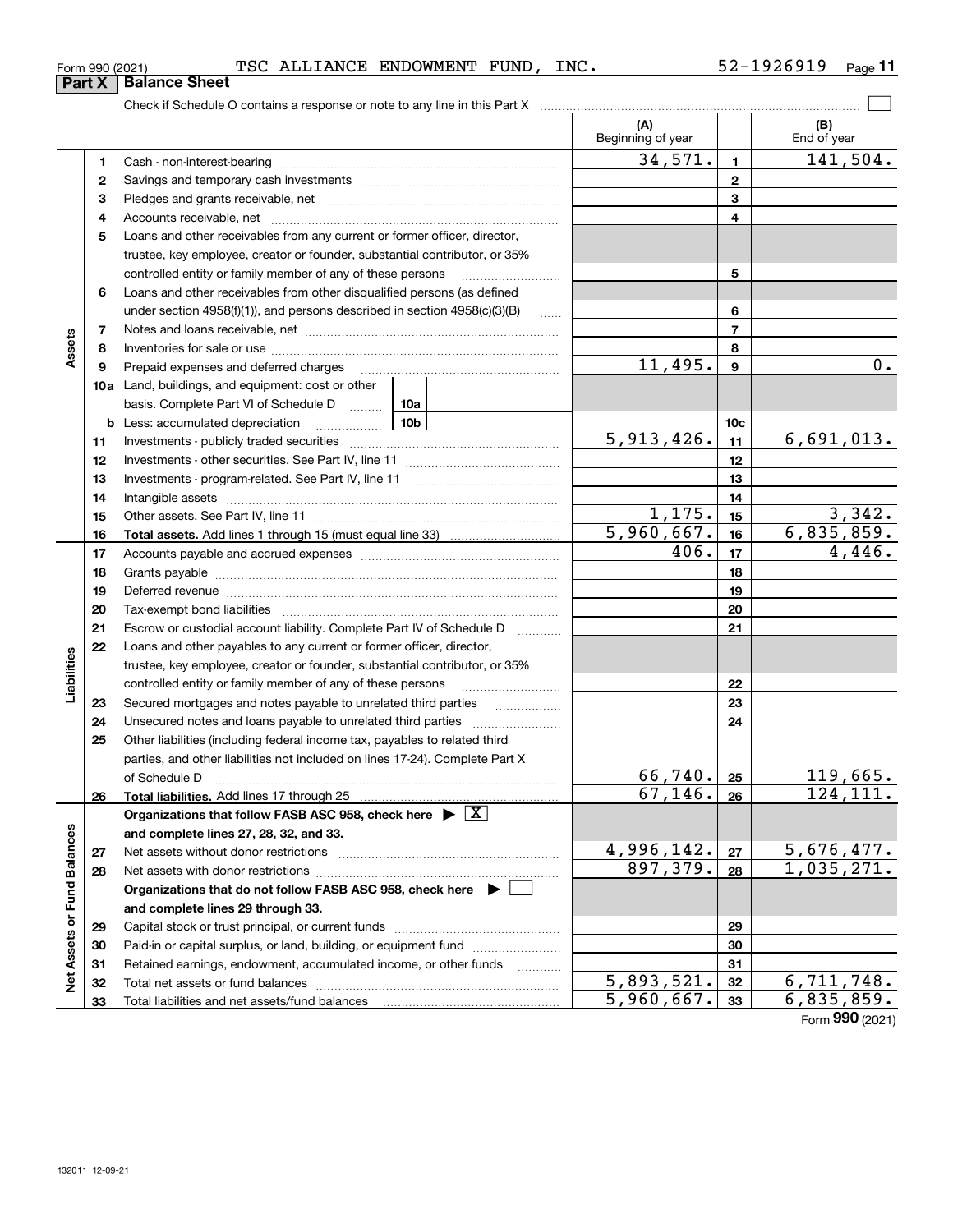| Form 990 (2021) |                                     | _ANCE_<br>$\mathbf{a}$ | END( | `OWMF.NͲ          | FUNI | INC. | Page |
|-----------------|-------------------------------------|------------------------|------|-------------------|------|------|------|
| <b>Part X</b>   | <b>Sheet</b>                        |                        |      |                   |      |      |      |
|                 | $\sim$<br>$\sim$ $\sim$ $\sim$<br>. |                        |      | $\cdots$ $\cdots$ |      |      |      |

|                             |    |                                                                                                                                                                                                                                | (A)<br>Beginning of year |                  | (B)<br>End of year |
|-----------------------------|----|--------------------------------------------------------------------------------------------------------------------------------------------------------------------------------------------------------------------------------|--------------------------|------------------|--------------------|
|                             | 1  |                                                                                                                                                                                                                                | 34,571.                  | $\blacksquare$   | 141,504.           |
|                             | 2  |                                                                                                                                                                                                                                |                          | $\mathbf{2}$     |                    |
|                             | 3  |                                                                                                                                                                                                                                |                          | 3                |                    |
|                             | 4  |                                                                                                                                                                                                                                |                          | 4                |                    |
|                             | 5  | Loans and other receivables from any current or former officer, director,                                                                                                                                                      |                          |                  |                    |
|                             |    | trustee, key employee, creator or founder, substantial contributor, or 35%                                                                                                                                                     |                          |                  |                    |
|                             |    | controlled entity or family member of any of these persons                                                                                                                                                                     |                          | 5                |                    |
|                             | 6  | Loans and other receivables from other disqualified persons (as defined                                                                                                                                                        |                          |                  |                    |
|                             |    | under section $4958(f)(1)$ , and persons described in section $4958(c)(3)(B)$                                                                                                                                                  | $\ldots$                 | 6                |                    |
|                             | 7  |                                                                                                                                                                                                                                |                          | $\overline{7}$   |                    |
| Assets                      | 8  |                                                                                                                                                                                                                                |                          | 8                |                    |
|                             | 9  | Prepaid expenses and deferred charges                                                                                                                                                                                          | 11,495.                  | $\boldsymbol{9}$ | 0.                 |
|                             |    | 10a Land, buildings, and equipment: cost or other                                                                                                                                                                              |                          |                  |                    |
|                             |    | basis. Complete Part VI of Schedule D  10a                                                                                                                                                                                     |                          |                  |                    |
|                             |    | 10b<br><b>b</b> Less: accumulated depreciation<br>. 1                                                                                                                                                                          |                          | 10 <sub>c</sub>  |                    |
|                             | 11 |                                                                                                                                                                                                                                | 5,913,426.               | 11               | 6,691,013.         |
|                             | 12 |                                                                                                                                                                                                                                |                          | 12               |                    |
|                             | 13 |                                                                                                                                                                                                                                |                          | 13               |                    |
|                             | 14 |                                                                                                                                                                                                                                |                          | 14               |                    |
|                             | 15 |                                                                                                                                                                                                                                | 1,175.                   | 15               | 3,342.             |
|                             | 16 |                                                                                                                                                                                                                                | 5,960,667.               | 16               | 6,835,859.         |
|                             | 17 |                                                                                                                                                                                                                                | 406.                     | 17               | 4,446.             |
|                             | 18 |                                                                                                                                                                                                                                |                          | 18               |                    |
|                             | 19 | Deferred revenue manual contracts and contracts are all the contracts and contracts are contracted and contracts are contracted and contract are contracted and contract are contracted and contract are contracted and contra |                          | 19               |                    |
|                             | 20 |                                                                                                                                                                                                                                |                          | 20               |                    |
|                             | 21 | Escrow or custodial account liability. Complete Part IV of Schedule D                                                                                                                                                          |                          | 21               |                    |
|                             | 22 | Loans and other payables to any current or former officer, director,                                                                                                                                                           |                          |                  |                    |
| Liabilities                 |    | trustee, key employee, creator or founder, substantial contributor, or 35%                                                                                                                                                     |                          |                  |                    |
|                             |    | controlled entity or family member of any of these persons                                                                                                                                                                     |                          | 22               |                    |
|                             | 23 | Secured mortgages and notes payable to unrelated third parties                                                                                                                                                                 |                          | 23               |                    |
|                             | 24 |                                                                                                                                                                                                                                |                          | 24               |                    |
|                             | 25 | Other liabilities (including federal income tax, payables to related third                                                                                                                                                     |                          |                  |                    |
|                             |    | parties, and other liabilities not included on lines 17-24). Complete Part X                                                                                                                                                   |                          |                  |                    |
|                             |    | of Schedule D                                                                                                                                                                                                                  | 66, 740.                 | 25               | 119,665.           |
|                             | 26 | Total liabilities. Add lines 17 through 25                                                                                                                                                                                     | 67, 146.                 | 26               | 124, 111.          |
|                             |    | Organizations that follow FASB ASC 958, check here $\blacktriangleright \lfloor X \rfloor$                                                                                                                                     |                          |                  |                    |
|                             |    | and complete lines 27, 28, 32, and 33.                                                                                                                                                                                         |                          |                  |                    |
|                             | 27 |                                                                                                                                                                                                                                | 4,996,142.               | 27               | 5,676,477.         |
|                             | 28 |                                                                                                                                                                                                                                | 897,379.                 | 28               | 1,035,271.         |
|                             |    | Organizations that do not follow FASB ASC 958, check here $\blacktriangleright$                                                                                                                                                |                          |                  |                    |
|                             |    | and complete lines 29 through 33.                                                                                                                                                                                              |                          |                  |                    |
| Net Assets or Fund Balances | 29 |                                                                                                                                                                                                                                |                          | 29               |                    |
|                             | 30 | Paid-in or capital surplus, or land, building, or equipment fund                                                                                                                                                               |                          | 30               |                    |
|                             | 31 | Retained earnings, endowment, accumulated income, or other funds                                                                                                                                                               |                          | 31               |                    |
|                             | 32 |                                                                                                                                                                                                                                | $\overline{5,893,521}$ . | 32               | 6,711,748.         |
|                             | 33 |                                                                                                                                                                                                                                | 5,960,667.               | 33               | 6,835,859.         |

Form (2021) **990**

## **Part X Balance** S

| Form 990 (2021 |  |
|----------------|--|
|                |  |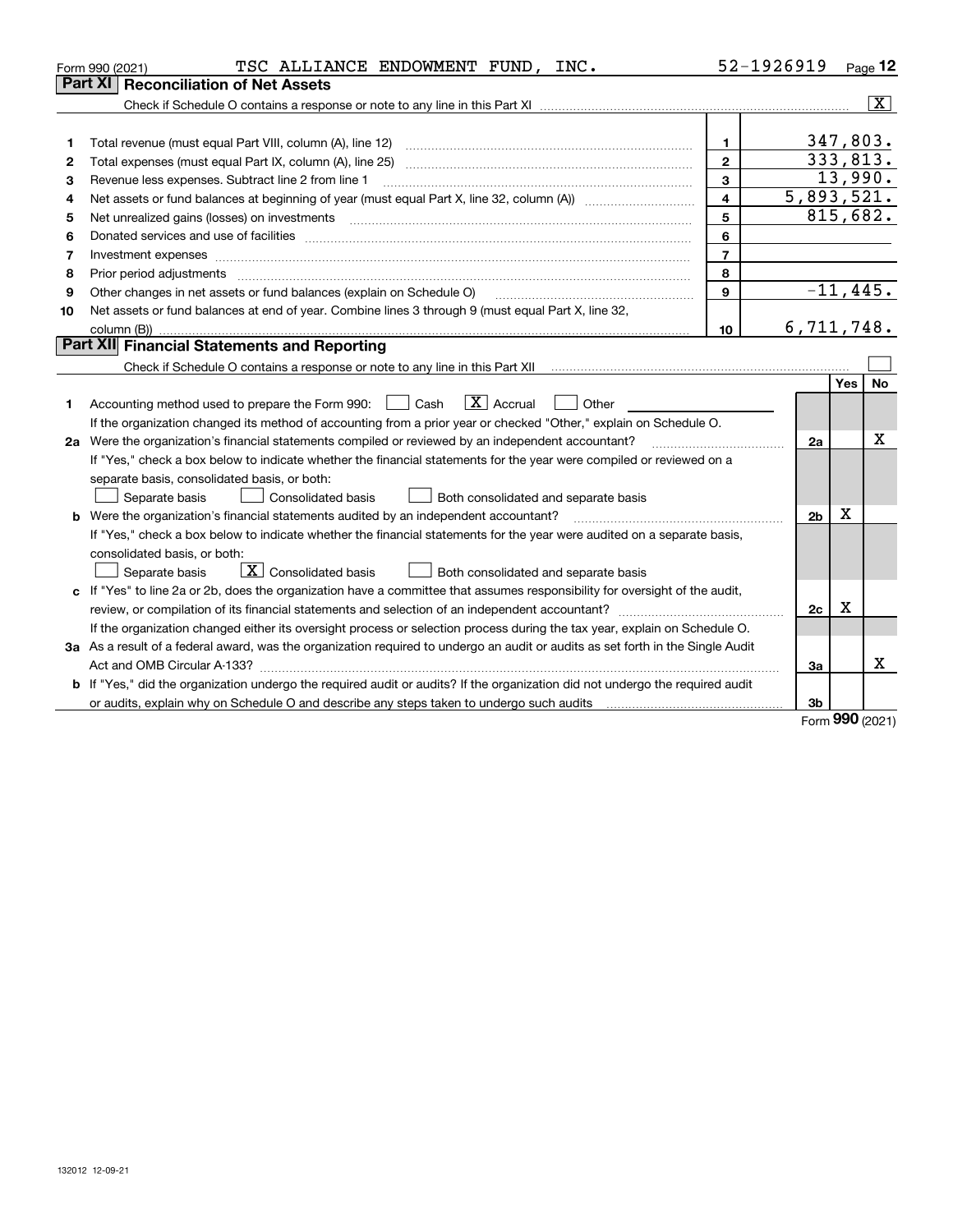|    | TSC ALLIANCE ENDOWMENT FUND, INC.<br>Form 990 (2021)                                                                                                                                                                          |                         | 52-1926919     |            | Page 12                 |
|----|-------------------------------------------------------------------------------------------------------------------------------------------------------------------------------------------------------------------------------|-------------------------|----------------|------------|-------------------------|
|    | Part XI<br><b>Reconciliation of Net Assets</b>                                                                                                                                                                                |                         |                |            |                         |
|    |                                                                                                                                                                                                                               |                         |                |            | $\overline{\mathbf{X}}$ |
|    |                                                                                                                                                                                                                               |                         |                |            |                         |
| 1  |                                                                                                                                                                                                                               | $\mathbf{1}$            | 347,803.       |            |                         |
| 2  | Total expenses (must equal Part IX, column (A), line 25)                                                                                                                                                                      | $\overline{2}$          | 333,813.       |            |                         |
| з  | Revenue less expenses. Subtract line 2 from line 1                                                                                                                                                                            | 3                       |                |            | 13,990.                 |
| 4  |                                                                                                                                                                                                                               | $\overline{\mathbf{4}}$ | 5,893,521.     |            |                         |
| 5  | Net unrealized gains (losses) on investments                                                                                                                                                                                  | 5                       | 815,682.       |            |                         |
| 6  |                                                                                                                                                                                                                               | 6                       |                |            |                         |
| 7  | Investment expenses                                                                                                                                                                                                           | $\overline{7}$          |                |            |                         |
| 8  | Prior period adjustments                                                                                                                                                                                                      | 8                       |                |            |                         |
| 9  | Other changes in net assets or fund balances (explain on Schedule O)                                                                                                                                                          | 9                       | $-11,445.$     |            |                         |
| 10 | Net assets or fund balances at end of year. Combine lines 3 through 9 (must equal Part X, line 32,                                                                                                                            |                         |                |            |                         |
|    |                                                                                                                                                                                                                               | 10                      | 6,711,748.     |            |                         |
|    | Part XII Financial Statements and Reporting                                                                                                                                                                                   |                         |                |            |                         |
|    |                                                                                                                                                                                                                               |                         |                |            |                         |
|    |                                                                                                                                                                                                                               |                         |                | Yes        | No                      |
| 1. | $\boxed{\mathbf{X}}$ Accrual<br>Accounting method used to prepare the Form 990: <u>I</u> Cash<br>Other                                                                                                                        |                         |                |            |                         |
|    | If the organization changed its method of accounting from a prior year or checked "Other," explain on Schedule O.                                                                                                             |                         |                |            |                         |
|    | 2a Were the organization's financial statements compiled or reviewed by an independent accountant?                                                                                                                            |                         | 2a             |            | х                       |
|    | If "Yes," check a box below to indicate whether the financial statements for the year were compiled or reviewed on a                                                                                                          |                         |                |            |                         |
|    | separate basis, consolidated basis, or both:                                                                                                                                                                                  |                         |                |            |                         |
|    | Separate basis<br>Both consolidated and separate basis<br>Consolidated basis                                                                                                                                                  |                         |                |            |                         |
|    | <b>b</b> Were the organization's financial statements audited by an independent accountant?                                                                                                                                   |                         | 2 <sub>b</sub> | X          |                         |
|    | If "Yes," check a box below to indicate whether the financial statements for the year were audited on a separate basis,                                                                                                       |                         |                |            |                         |
|    | consolidated basis, or both:                                                                                                                                                                                                  |                         |                |            |                         |
|    | $\boxed{\mathbf{X}}$ Consolidated basis<br>Separate basis<br>Both consolidated and separate basis                                                                                                                             |                         |                |            |                         |
|    | c If "Yes" to line 2a or 2b, does the organization have a committee that assumes responsibility for oversight of the audit,                                                                                                   |                         |                |            |                         |
|    |                                                                                                                                                                                                                               |                         | 2c             | X          |                         |
|    | If the organization changed either its oversight process or selection process during the tax year, explain on Schedule O.                                                                                                     |                         |                |            |                         |
|    | 3a As a result of a federal award, was the organization required to undergo an audit or audits as set forth in the Single Audit                                                                                               |                         |                |            |                         |
|    | Act and OMB Circular A-133?                                                                                                                                                                                                   |                         | За             |            | x                       |
|    | b If "Yes," did the organization undergo the required audit or audits? If the organization did not undergo the required audit                                                                                                 |                         |                |            |                         |
|    | or audits, explain why on Schedule O and describe any steps taken to undergo such audits [11] contains the school of audits [11] or audits [11] or audits [11] or audits [11] or audits [11] or audits [11] or audits [11] or |                         | 3b             | <b>nnn</b> |                         |

Form (2021) **990**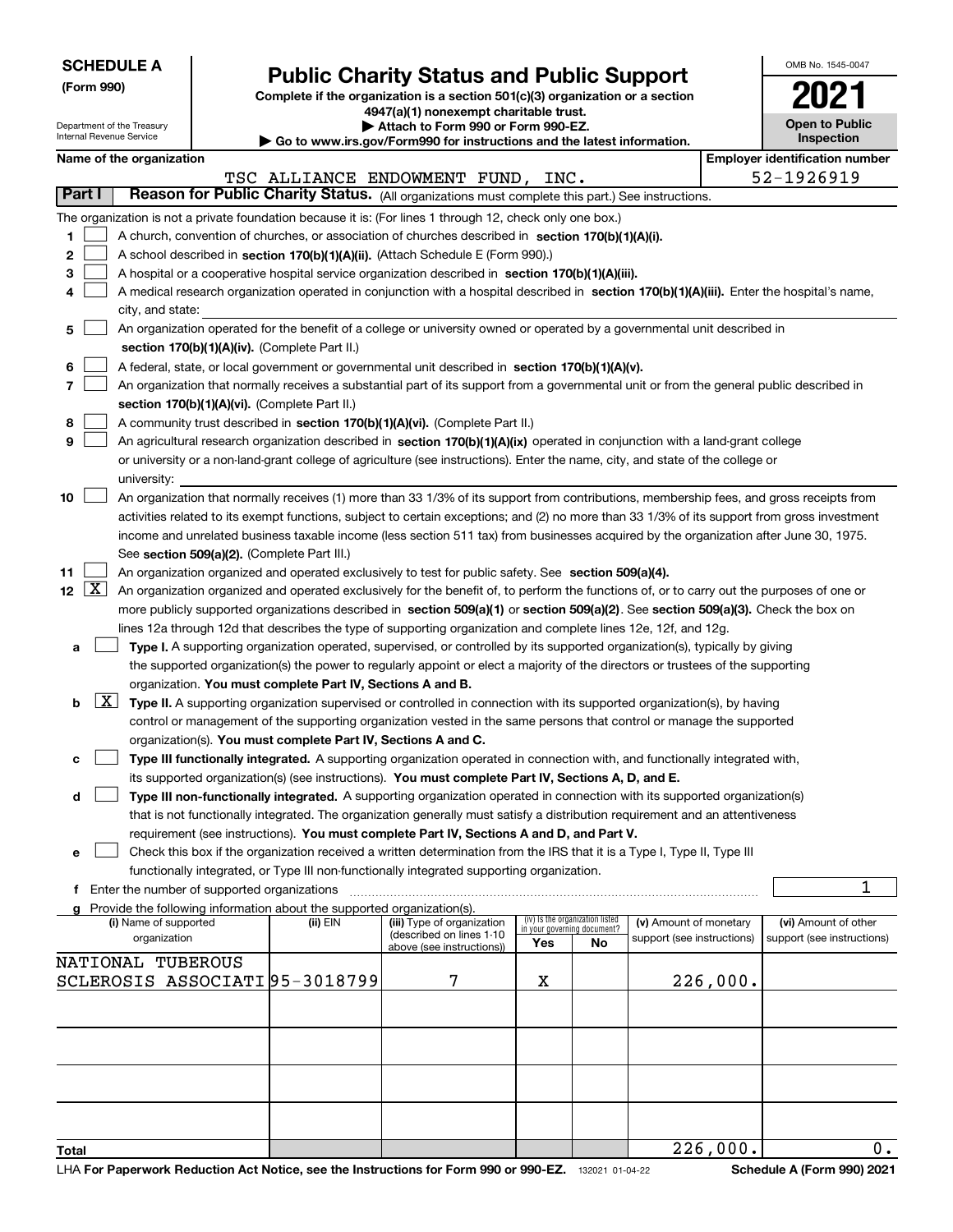| <b>SCHEDULE A</b> |
|-------------------|
|-------------------|

Department of the Treasury Internal Revenue Service

**(Form 990)**

# **Public Charity Status and Public Support**

**Complete if the organization is a section 501(c)(3) organization or a section 4947(a)(1) nonexempt charitable trust.**

**| Attach to Form 990 or Form 990-EZ.** 

|                          | Internal Revenue Service<br>Inspection<br>$\blacktriangleright$ Go to www.irs.gov/Form990 for instructions and the latest information.        |  |                                                                          |                                                                                                                                                                                                                                                 |     |                                 |                                                      |          |                                                    |    |
|--------------------------|-----------------------------------------------------------------------------------------------------------------------------------------------|--|--------------------------------------------------------------------------|-------------------------------------------------------------------------------------------------------------------------------------------------------------------------------------------------------------------------------------------------|-----|---------------------------------|------------------------------------------------------|----------|----------------------------------------------------|----|
|                          | Name of the organization                                                                                                                      |  |                                                                          |                                                                                                                                                                                                                                                 |     |                                 |                                                      |          | <b>Employer identification number</b>              |    |
|                          |                                                                                                                                               |  |                                                                          | TSC ALLIANCE ENDOWMENT FUND, INC.                                                                                                                                                                                                               |     |                                 |                                                      |          | 52-1926919                                         |    |
| Part I                   |                                                                                                                                               |  |                                                                          | Reason for Public Charity Status. (All organizations must complete this part.) See instructions.                                                                                                                                                |     |                                 |                                                      |          |                                                    |    |
|                          |                                                                                                                                               |  |                                                                          | The organization is not a private foundation because it is: (For lines 1 through 12, check only one box.)                                                                                                                                       |     |                                 |                                                      |          |                                                    |    |
| 1.                       |                                                                                                                                               |  |                                                                          | A church, convention of churches, or association of churches described in section 170(b)(1)(A)(i).                                                                                                                                              |     |                                 |                                                      |          |                                                    |    |
| 2                        |                                                                                                                                               |  |                                                                          | A school described in section 170(b)(1)(A)(ii). (Attach Schedule E (Form 990).)                                                                                                                                                                 |     |                                 |                                                      |          |                                                    |    |
| з                        |                                                                                                                                               |  |                                                                          | A hospital or a cooperative hospital service organization described in section $170(b)(1)(A)(iii)$ .                                                                                                                                            |     |                                 |                                                      |          |                                                    |    |
| 4                        | A medical research organization operated in conjunction with a hospital described in section 170(b)(1)(A)(iii). Enter the hospital's name,    |  |                                                                          |                                                                                                                                                                                                                                                 |     |                                 |                                                      |          |                                                    |    |
|                          | city, and state:<br>An organization operated for the benefit of a college or university owned or operated by a governmental unit described in |  |                                                                          |                                                                                                                                                                                                                                                 |     |                                 |                                                      |          |                                                    |    |
| 5                        |                                                                                                                                               |  |                                                                          |                                                                                                                                                                                                                                                 |     |                                 |                                                      |          |                                                    |    |
|                          |                                                                                                                                               |  | section 170(b)(1)(A)(iv). (Complete Part II.)                            |                                                                                                                                                                                                                                                 |     |                                 |                                                      |          |                                                    |    |
| 6                        |                                                                                                                                               |  |                                                                          | A federal, state, or local government or governmental unit described in section 170(b)(1)(A)(v).                                                                                                                                                |     |                                 |                                                      |          |                                                    |    |
| 7                        |                                                                                                                                               |  | section 170(b)(1)(A)(vi). (Complete Part II.)                            | An organization that normally receives a substantial part of its support from a governmental unit or from the general public described in                                                                                                       |     |                                 |                                                      |          |                                                    |    |
| 8                        |                                                                                                                                               |  |                                                                          | A community trust described in section 170(b)(1)(A)(vi). (Complete Part II.)                                                                                                                                                                    |     |                                 |                                                      |          |                                                    |    |
| 9                        |                                                                                                                                               |  |                                                                          | An agricultural research organization described in section 170(b)(1)(A)(ix) operated in conjunction with a land-grant college                                                                                                                   |     |                                 |                                                      |          |                                                    |    |
|                          |                                                                                                                                               |  |                                                                          | or university or a non-land-grant college of agriculture (see instructions). Enter the name, city, and state of the college or                                                                                                                  |     |                                 |                                                      |          |                                                    |    |
|                          | university:                                                                                                                                   |  |                                                                          |                                                                                                                                                                                                                                                 |     |                                 |                                                      |          |                                                    |    |
| 10                       |                                                                                                                                               |  |                                                                          | An organization that normally receives (1) more than 33 1/3% of its support from contributions, membership fees, and gross receipts from                                                                                                        |     |                                 |                                                      |          |                                                    |    |
|                          |                                                                                                                                               |  |                                                                          | activities related to its exempt functions, subject to certain exceptions; and (2) no more than 33 1/3% of its support from gross investment                                                                                                    |     |                                 |                                                      |          |                                                    |    |
|                          |                                                                                                                                               |  |                                                                          | income and unrelated business taxable income (less section 511 tax) from businesses acquired by the organization after June 30, 1975.                                                                                                           |     |                                 |                                                      |          |                                                    |    |
|                          |                                                                                                                                               |  | See section 509(a)(2). (Complete Part III.)                              |                                                                                                                                                                                                                                                 |     |                                 |                                                      |          |                                                    |    |
| 11                       |                                                                                                                                               |  |                                                                          | An organization organized and operated exclusively to test for public safety. See section 509(a)(4).                                                                                                                                            |     |                                 |                                                      |          |                                                    |    |
| 12 $\lfloor$ X $\rfloor$ |                                                                                                                                               |  |                                                                          | An organization organized and operated exclusively for the benefit of, to perform the functions of, or to carry out the purposes of one or                                                                                                      |     |                                 |                                                      |          |                                                    |    |
|                          |                                                                                                                                               |  |                                                                          | more publicly supported organizations described in section 509(a)(1) or section 509(a)(2). See section 509(a)(3). Check the box on                                                                                                              |     |                                 |                                                      |          |                                                    |    |
|                          |                                                                                                                                               |  |                                                                          | lines 12a through 12d that describes the type of supporting organization and complete lines 12e, 12f, and 12g.                                                                                                                                  |     |                                 |                                                      |          |                                                    |    |
| а                        |                                                                                                                                               |  |                                                                          | Type I. A supporting organization operated, supervised, or controlled by its supported organization(s), typically by giving                                                                                                                     |     |                                 |                                                      |          |                                                    |    |
|                          |                                                                                                                                               |  |                                                                          | the supported organization(s) the power to regularly appoint or elect a majority of the directors or trustees of the supporting                                                                                                                 |     |                                 |                                                      |          |                                                    |    |
|                          | $\lfloor x \rfloor$                                                                                                                           |  | organization. You must complete Part IV, Sections A and B.               |                                                                                                                                                                                                                                                 |     |                                 |                                                      |          |                                                    |    |
| b                        |                                                                                                                                               |  |                                                                          | Type II. A supporting organization supervised or controlled in connection with its supported organization(s), by having<br>control or management of the supporting organization vested in the same persons that control or manage the supported |     |                                 |                                                      |          |                                                    |    |
|                          |                                                                                                                                               |  | organization(s). You must complete Part IV, Sections A and C.            |                                                                                                                                                                                                                                                 |     |                                 |                                                      |          |                                                    |    |
| с                        |                                                                                                                                               |  |                                                                          | Type III functionally integrated. A supporting organization operated in connection with, and functionally integrated with,                                                                                                                      |     |                                 |                                                      |          |                                                    |    |
|                          |                                                                                                                                               |  |                                                                          | its supported organization(s) (see instructions). You must complete Part IV, Sections A, D, and E.                                                                                                                                              |     |                                 |                                                      |          |                                                    |    |
| d                        |                                                                                                                                               |  |                                                                          | Type III non-functionally integrated. A supporting organization operated in connection with its supported organization(s)                                                                                                                       |     |                                 |                                                      |          |                                                    |    |
|                          |                                                                                                                                               |  |                                                                          | that is not functionally integrated. The organization generally must satisfy a distribution requirement and an attentiveness                                                                                                                    |     |                                 |                                                      |          |                                                    |    |
|                          |                                                                                                                                               |  |                                                                          | requirement (see instructions). You must complete Part IV, Sections A and D, and Part V.                                                                                                                                                        |     |                                 |                                                      |          |                                                    |    |
| е                        |                                                                                                                                               |  |                                                                          | Check this box if the organization received a written determination from the IRS that it is a Type I, Type II, Type III                                                                                                                         |     |                                 |                                                      |          |                                                    |    |
|                          |                                                                                                                                               |  |                                                                          | functionally integrated, or Type III non-functionally integrated supporting organization.                                                                                                                                                       |     |                                 |                                                      |          |                                                    |    |
|                          | f Enter the number of supported organizations                                                                                                 |  |                                                                          |                                                                                                                                                                                                                                                 |     |                                 |                                                      |          |                                                    | 1  |
|                          |                                                                                                                                               |  | g Provide the following information about the supported organization(s). |                                                                                                                                                                                                                                                 |     | (iv) Is the organization listed |                                                      |          |                                                    |    |
|                          | (i) Name of supported<br>organization                                                                                                         |  | (ii) EIN                                                                 | (iii) Type of organization<br>(described on lines 1-10                                                                                                                                                                                          |     | in your governing document?     | (v) Amount of monetary<br>support (see instructions) |          | (vi) Amount of other<br>support (see instructions) |    |
|                          |                                                                                                                                               |  |                                                                          | above (see instructions))                                                                                                                                                                                                                       | Yes | No                              |                                                      |          |                                                    |    |
|                          | NATIONAL TUBEROUS                                                                                                                             |  |                                                                          | 7                                                                                                                                                                                                                                               |     |                                 |                                                      |          |                                                    |    |
|                          | SCLEROSIS ASSOCIATI 95-3018799<br>X<br>226,000.                                                                                               |  |                                                                          |                                                                                                                                                                                                                                                 |     |                                 |                                                      |          |                                                    |    |
|                          |                                                                                                                                               |  |                                                                          |                                                                                                                                                                                                                                                 |     |                                 |                                                      |          |                                                    |    |
|                          |                                                                                                                                               |  |                                                                          |                                                                                                                                                                                                                                                 |     |                                 |                                                      |          |                                                    |    |
|                          |                                                                                                                                               |  |                                                                          |                                                                                                                                                                                                                                                 |     |                                 |                                                      |          |                                                    |    |
|                          |                                                                                                                                               |  |                                                                          |                                                                                                                                                                                                                                                 |     |                                 |                                                      |          |                                                    |    |
|                          |                                                                                                                                               |  |                                                                          |                                                                                                                                                                                                                                                 |     |                                 |                                                      |          |                                                    |    |
|                          |                                                                                                                                               |  |                                                                          |                                                                                                                                                                                                                                                 |     |                                 |                                                      |          |                                                    |    |
|                          |                                                                                                                                               |  |                                                                          |                                                                                                                                                                                                                                                 |     |                                 |                                                      |          |                                                    |    |
| Total                    |                                                                                                                                               |  |                                                                          |                                                                                                                                                                                                                                                 |     |                                 |                                                      | 226,000. |                                                    | 0. |

OMB No. 1545-0047

**2021**

**Open to Public**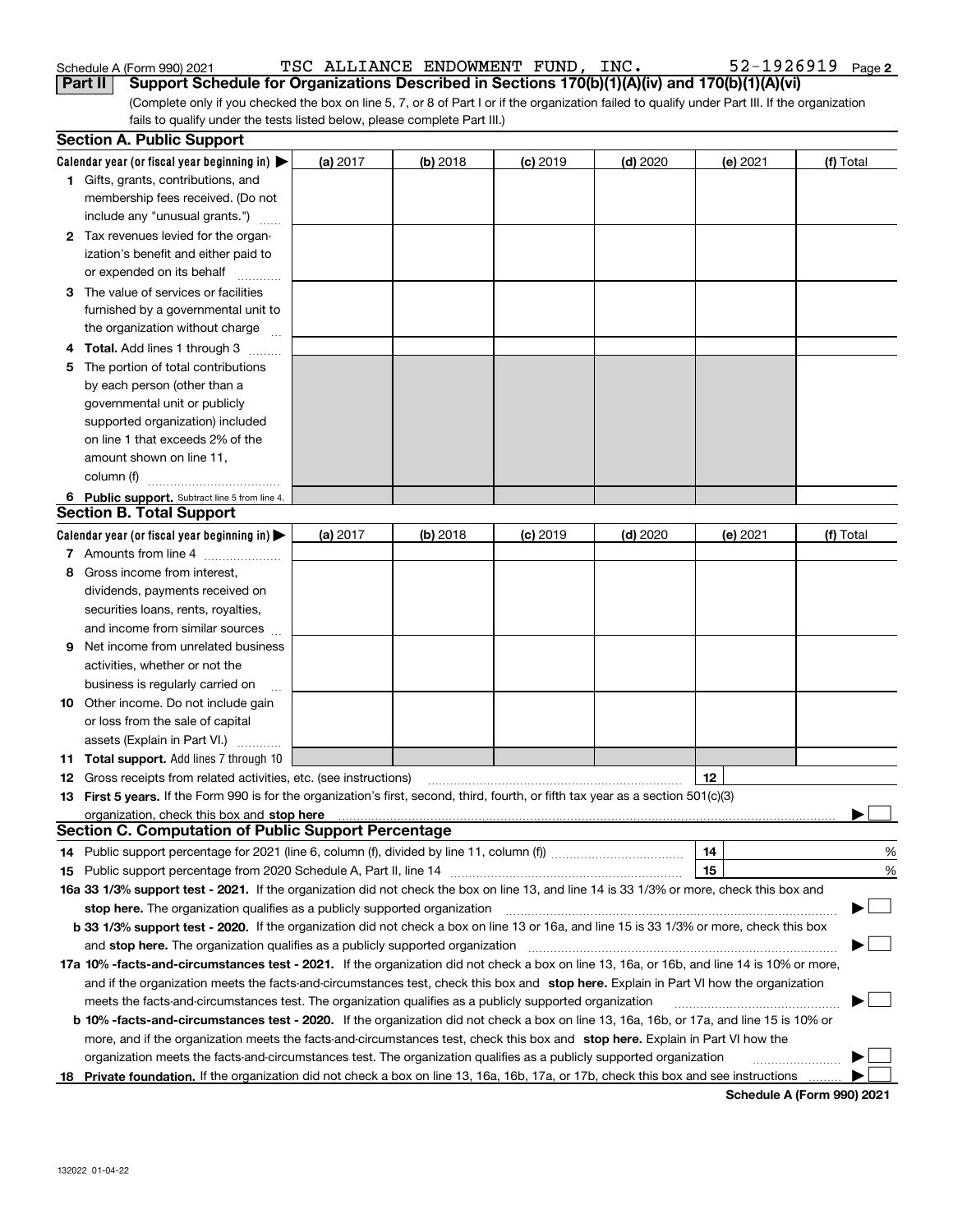| Schedule A (Form 990) 2021 |  | TSC ALLIANCE ENDOWMENT FUND, INC. |  | $52 - 1926919$ Page 2                                                                                                                           |  |
|----------------------------|--|-----------------------------------|--|-------------------------------------------------------------------------------------------------------------------------------------------------|--|
|                            |  |                                   |  | Part II Support Schedule for Organizations Described in Sections 170(b)(1)(A)(iv) and 170(b)(1)(A)(vi)                                          |  |
|                            |  |                                   |  | (Complete only if you checked the box on line 5, 7, or 8 of Part I or if the organization failed to qualify under Part III. If the organization |  |

fails to qualify under the tests listed below, please complete Part III.)

|     | <b>Section A. Public Support</b>                                                                                                               |          |            |            |            |          |           |
|-----|------------------------------------------------------------------------------------------------------------------------------------------------|----------|------------|------------|------------|----------|-----------|
|     | Calendar year (or fiscal year beginning in) $\blacktriangleright$                                                                              | (a) 2017 | $(b)$ 2018 | $(c)$ 2019 | $(d)$ 2020 | (e) 2021 | (f) Total |
|     | 1 Gifts, grants, contributions, and                                                                                                            |          |            |            |            |          |           |
|     | membership fees received. (Do not                                                                                                              |          |            |            |            |          |           |
|     | include any "unusual grants.")                                                                                                                 |          |            |            |            |          |           |
|     | 2 Tax revenues levied for the organ-                                                                                                           |          |            |            |            |          |           |
|     | ization's benefit and either paid to                                                                                                           |          |            |            |            |          |           |
|     | or expended on its behalf                                                                                                                      |          |            |            |            |          |           |
|     | 3 The value of services or facilities                                                                                                          |          |            |            |            |          |           |
|     | furnished by a governmental unit to                                                                                                            |          |            |            |            |          |           |
|     | the organization without charge                                                                                                                |          |            |            |            |          |           |
| 4   | <b>Total.</b> Add lines 1 through 3                                                                                                            |          |            |            |            |          |           |
| 5   | The portion of total contributions                                                                                                             |          |            |            |            |          |           |
|     | by each person (other than a                                                                                                                   |          |            |            |            |          |           |
|     | governmental unit or publicly                                                                                                                  |          |            |            |            |          |           |
|     | supported organization) included                                                                                                               |          |            |            |            |          |           |
|     | on line 1 that exceeds 2% of the                                                                                                               |          |            |            |            |          |           |
|     | amount shown on line 11,                                                                                                                       |          |            |            |            |          |           |
|     | column (f)                                                                                                                                     |          |            |            |            |          |           |
|     | 6 Public support. Subtract line 5 from line 4.                                                                                                 |          |            |            |            |          |           |
|     | <b>Section B. Total Support</b>                                                                                                                |          |            |            |            |          |           |
|     | Calendar year (or fiscal year beginning in) $\blacktriangleright$                                                                              | (a) 2017 | $(b)$ 2018 | $(c)$ 2019 | $(d)$ 2020 | (e) 2021 | (f) Total |
|     | 7 Amounts from line 4                                                                                                                          |          |            |            |            |          |           |
| 8   | Gross income from interest,                                                                                                                    |          |            |            |            |          |           |
|     | dividends, payments received on                                                                                                                |          |            |            |            |          |           |
|     |                                                                                                                                                |          |            |            |            |          |           |
|     | securities loans, rents, royalties,                                                                                                            |          |            |            |            |          |           |
|     | and income from similar sources                                                                                                                |          |            |            |            |          |           |
| 9   | Net income from unrelated business                                                                                                             |          |            |            |            |          |           |
|     | activities, whether or not the                                                                                                                 |          |            |            |            |          |           |
|     | business is regularly carried on                                                                                                               |          |            |            |            |          |           |
|     | <b>10</b> Other income. Do not include gain                                                                                                    |          |            |            |            |          |           |
|     | or loss from the sale of capital                                                                                                               |          |            |            |            |          |           |
|     | assets (Explain in Part VI.)                                                                                                                   |          |            |            |            |          |           |
| 11. | <b>Total support.</b> Add lines 7 through 10                                                                                                   |          |            |            |            |          |           |
| 12  | Gross receipts from related activities, etc. (see instructions)                                                                                |          |            |            |            | 12       |           |
|     | 13 First 5 years. If the Form 990 is for the organization's first, second, third, fourth, or fifth tax year as a section 501(c)(3)             |          |            |            |            |          |           |
|     | <b>Section C. Computation of Public Support Percentage</b>                                                                                     |          |            |            |            |          |           |
|     |                                                                                                                                                |          |            |            |            | 14       |           |
|     | 14 Public support percentage for 2021 (line 6, column (f), divided by line 11, column (f)) <i>mumment</i> management                           |          |            |            |            | 15       | %         |
|     |                                                                                                                                                |          |            |            |            |          | %         |
|     | 16a 33 1/3% support test - 2021. If the organization did not check the box on line 13, and line 14 is 33 1/3% or more, check this box and      |          |            |            |            |          |           |
|     | stop here. The organization qualifies as a publicly supported organization                                                                     |          |            |            |            |          |           |
|     | b 33 1/3% support test - 2020. If the organization did not check a box on line 13 or 16a, and line 15 is 33 1/3% or more, check this box       |          |            |            |            |          |           |
|     | and stop here. The organization qualifies as a publicly supported organization                                                                 |          |            |            |            |          |           |
|     | 17a 10% -facts-and-circumstances test - 2021. If the organization did not check a box on line 13, 16a, or 16b, and line 14 is 10% or more,     |          |            |            |            |          |           |
|     | and if the organization meets the facts-and-circumstances test, check this box and stop here. Explain in Part VI how the organization          |          |            |            |            |          |           |
|     | meets the facts-and-circumstances test. The organization qualifies as a publicly supported organization                                        |          |            |            |            |          |           |
|     | <b>b 10% -facts-and-circumstances test - 2020.</b> If the organization did not check a box on line 13, 16a, 16b, or 17a, and line 15 is 10% or |          |            |            |            |          |           |
|     | more, and if the organization meets the facts-and-circumstances test, check this box and stop here. Explain in Part VI how the                 |          |            |            |            |          |           |
|     | organization meets the facts-and-circumstances test. The organization qualifies as a publicly supported organization                           |          |            |            |            |          |           |
| 18. | Private foundation. If the organization did not check a box on line 13, 16a, 16b, 17a, or 17b, check this box and see instructions             |          |            |            |            |          |           |

**Schedule A (Form 990) 2021**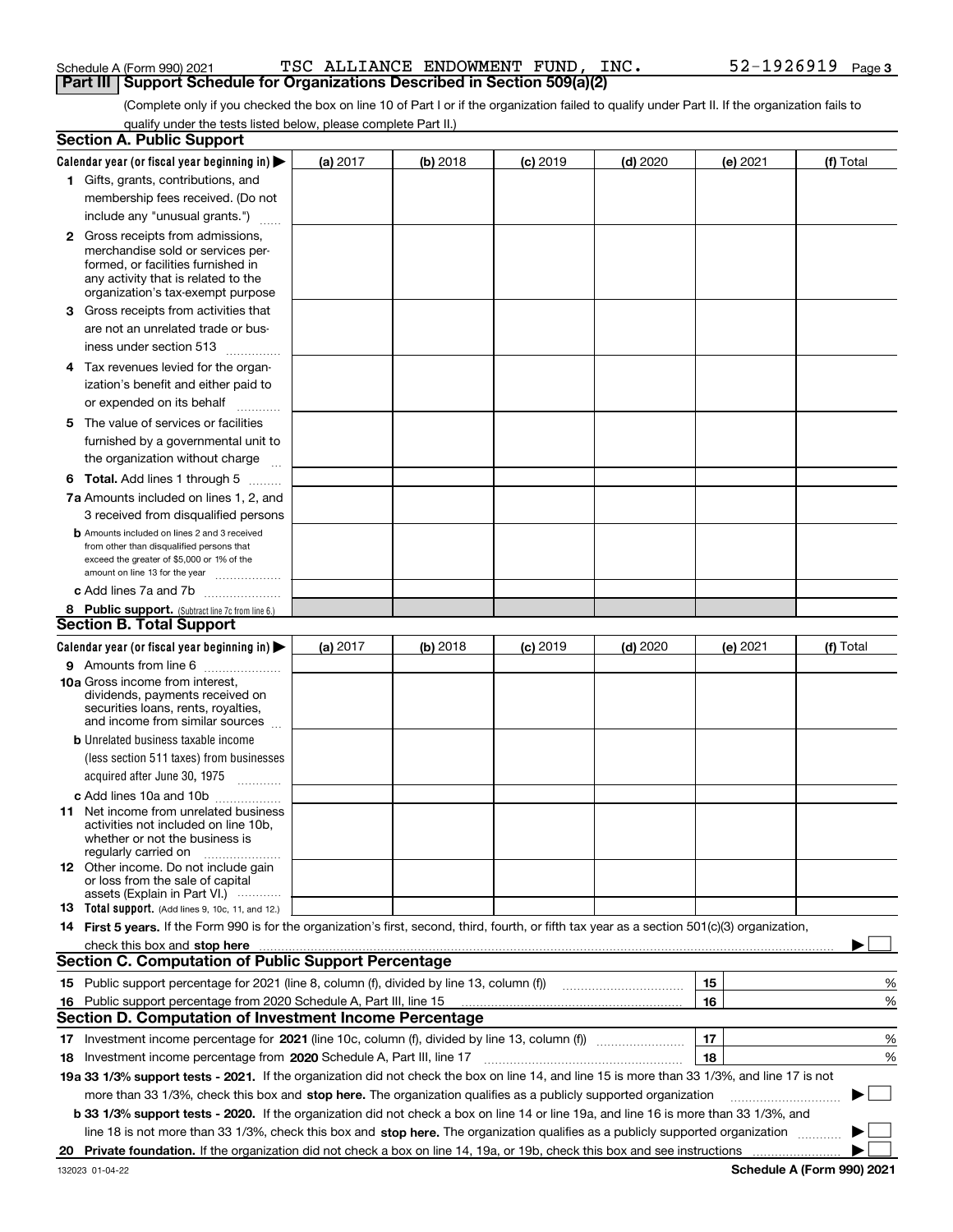#### Schedule A (Form 990) 2021  $_{\rm TSC}$  ALLIANCE ENDOWMENT FUND, INC  $_{\rm}$  Page 52-1926919  $_{\rm Page}$ **Part III | Support Schedule for Organizations Described in Section 509(a)(2)**

(Complete only if you checked the box on line 10 of Part I or if the organization failed to qualify under Part II. If the organization fails to qualify under the tests listed below, please complete Part II.)

| <b>Section A. Public Support</b>                                                                                                                                                                                               |          |          |                 |            |          |           |
|--------------------------------------------------------------------------------------------------------------------------------------------------------------------------------------------------------------------------------|----------|----------|-----------------|------------|----------|-----------|
| Calendar year (or fiscal year beginning in) $\blacktriangleright$                                                                                                                                                              | (a) 2017 | (b) 2018 | <b>(c)</b> 2019 | $(d)$ 2020 | (e) 2021 | (f) Total |
| 1 Gifts, grants, contributions, and                                                                                                                                                                                            |          |          |                 |            |          |           |
| membership fees received. (Do not                                                                                                                                                                                              |          |          |                 |            |          |           |
| include any "unusual grants.")                                                                                                                                                                                                 |          |          |                 |            |          |           |
| <b>2</b> Gross receipts from admissions,                                                                                                                                                                                       |          |          |                 |            |          |           |
| merchandise sold or services per-                                                                                                                                                                                              |          |          |                 |            |          |           |
| formed, or facilities furnished in                                                                                                                                                                                             |          |          |                 |            |          |           |
| any activity that is related to the<br>organization's tax-exempt purpose                                                                                                                                                       |          |          |                 |            |          |           |
| 3 Gross receipts from activities that                                                                                                                                                                                          |          |          |                 |            |          |           |
| are not an unrelated trade or bus-                                                                                                                                                                                             |          |          |                 |            |          |           |
| iness under section 513                                                                                                                                                                                                        |          |          |                 |            |          |           |
|                                                                                                                                                                                                                                |          |          |                 |            |          |           |
| 4 Tax revenues levied for the organ-                                                                                                                                                                                           |          |          |                 |            |          |           |
| ization's benefit and either paid to                                                                                                                                                                                           |          |          |                 |            |          |           |
| or expended on its behalf<br>.                                                                                                                                                                                                 |          |          |                 |            |          |           |
| 5 The value of services or facilities                                                                                                                                                                                          |          |          |                 |            |          |           |
| furnished by a governmental unit to                                                                                                                                                                                            |          |          |                 |            |          |           |
| the organization without charge                                                                                                                                                                                                |          |          |                 |            |          |           |
| <b>6 Total.</b> Add lines 1 through 5                                                                                                                                                                                          |          |          |                 |            |          |           |
| 7a Amounts included on lines 1, 2, and                                                                                                                                                                                         |          |          |                 |            |          |           |
| 3 received from disqualified persons                                                                                                                                                                                           |          |          |                 |            |          |           |
| <b>b</b> Amounts included on lines 2 and 3 received                                                                                                                                                                            |          |          |                 |            |          |           |
| from other than disqualified persons that<br>exceed the greater of \$5,000 or 1% of the                                                                                                                                        |          |          |                 |            |          |           |
| amount on line 13 for the year                                                                                                                                                                                                 |          |          |                 |            |          |           |
| c Add lines 7a and 7b                                                                                                                                                                                                          |          |          |                 |            |          |           |
| 8 Public support. (Subtract line 7c from line 6.)                                                                                                                                                                              |          |          |                 |            |          |           |
| <b>Section B. Total Support</b>                                                                                                                                                                                                |          |          |                 |            |          |           |
| Calendar year (or fiscal year beginning in)                                                                                                                                                                                    | (a) 2017 | (b) 2018 | $(c)$ 2019      | $(d)$ 2020 | (e) 2021 | (f) Total |
| 9 Amounts from line 6                                                                                                                                                                                                          |          |          |                 |            |          |           |
| 10a Gross income from interest,                                                                                                                                                                                                |          |          |                 |            |          |           |
| dividends, payments received on                                                                                                                                                                                                |          |          |                 |            |          |           |
| securities loans, rents, royalties,<br>and income from similar sources                                                                                                                                                         |          |          |                 |            |          |           |
| <b>b</b> Unrelated business taxable income                                                                                                                                                                                     |          |          |                 |            |          |           |
|                                                                                                                                                                                                                                |          |          |                 |            |          |           |
| (less section 511 taxes) from businesses                                                                                                                                                                                       |          |          |                 |            |          |           |
| acquired after June 30, 1975                                                                                                                                                                                                   |          |          |                 |            |          |           |
| c Add lines 10a and 10b                                                                                                                                                                                                        |          |          |                 |            |          |           |
| 11 Net income from unrelated business<br>activities not included on line 10b,                                                                                                                                                  |          |          |                 |            |          |           |
| whether or not the business is                                                                                                                                                                                                 |          |          |                 |            |          |           |
| regularly carried on                                                                                                                                                                                                           |          |          |                 |            |          |           |
| <b>12</b> Other income. Do not include gain<br>or loss from the sale of capital                                                                                                                                                |          |          |                 |            |          |           |
| assets (Explain in Part VI.)                                                                                                                                                                                                   |          |          |                 |            |          |           |
| <b>13</b> Total support. (Add lines 9, 10c, 11, and 12.)                                                                                                                                                                       |          |          |                 |            |          |           |
| 14 First 5 years. If the Form 990 is for the organization's first, second, third, fourth, or fifth tax year as a section 501(c)(3) organization,                                                                               |          |          |                 |            |          |           |
| check this box and stop here measured and contained a state of the state of the state of the state of the state of the state of the state of the state of the state of the state of the state of the state of the state of the |          |          |                 |            |          |           |
| <b>Section C. Computation of Public Support Percentage</b>                                                                                                                                                                     |          |          |                 |            |          |           |
| 15 Public support percentage for 2021 (line 8, column (f), divided by line 13, column (f))                                                                                                                                     |          |          |                 |            | 15       | %         |
| 16 Public support percentage from 2020 Schedule A, Part III, line 15                                                                                                                                                           |          |          |                 |            | 16       | %         |
| <b>Section D. Computation of Investment Income Percentage</b>                                                                                                                                                                  |          |          |                 |            |          |           |
|                                                                                                                                                                                                                                |          |          |                 |            | 17       | %         |
| 18 Investment income percentage from 2020 Schedule A, Part III, line 17                                                                                                                                                        |          |          |                 |            | 18       | %         |
| 19a 33 1/3% support tests - 2021. If the organization did not check the box on line 14, and line 15 is more than 33 1/3%, and line 17 is not                                                                                   |          |          |                 |            |          |           |
| more than 33 1/3%, check this box and stop here. The organization qualifies as a publicly supported organization                                                                                                               |          |          |                 |            |          | $\sim$    |
| <b>b 33 1/3% support tests - 2020.</b> If the organization did not check a box on line 14 or line 19a, and line 16 is more than 33 1/3%, and                                                                                   |          |          |                 |            |          |           |
|                                                                                                                                                                                                                                |          |          |                 |            |          |           |
| line 18 is not more than 33 1/3%, check this box and stop here. The organization qualifies as a publicly supported organization                                                                                                |          |          |                 |            |          |           |
|                                                                                                                                                                                                                                |          |          |                 |            |          |           |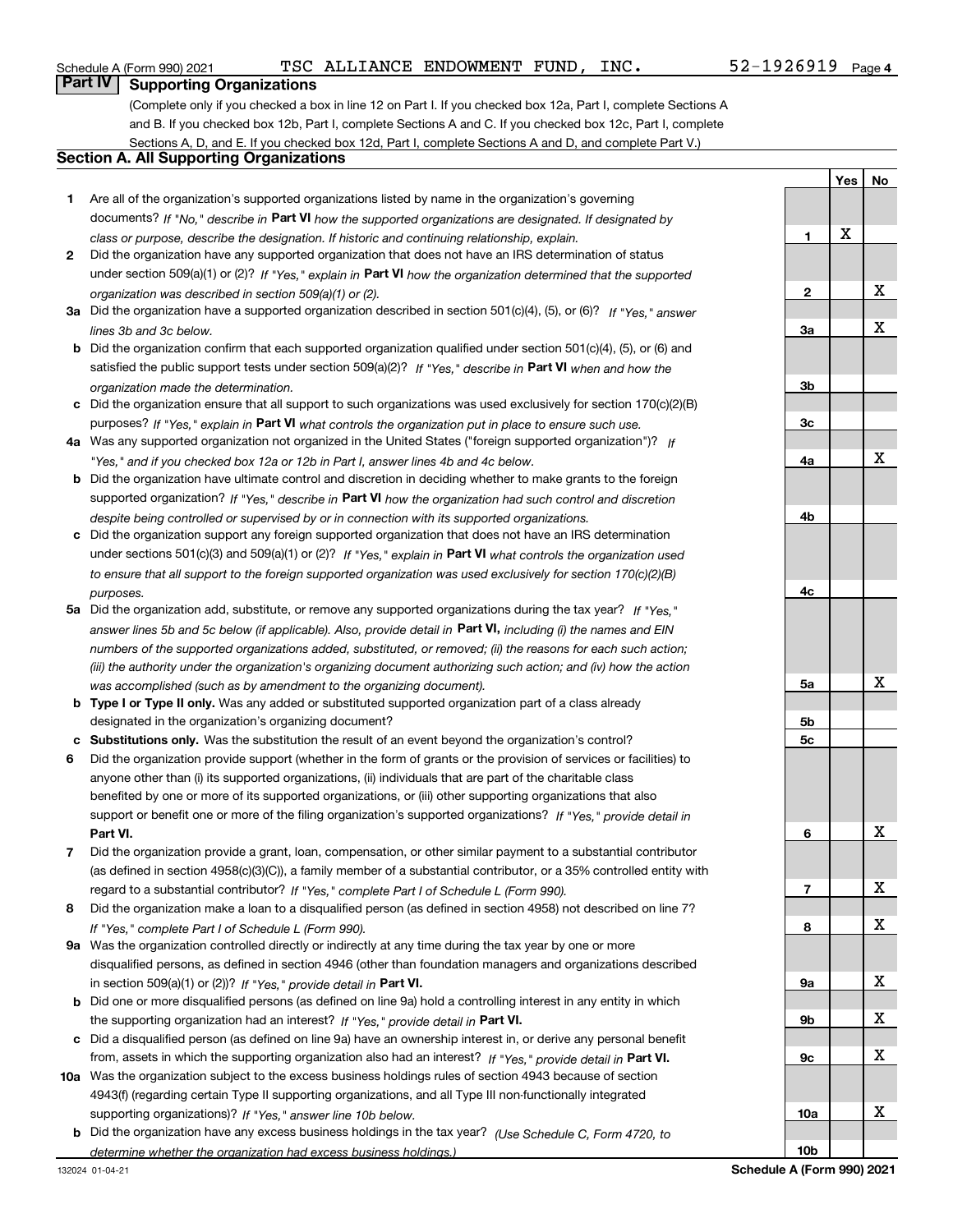#### Schedule A (Form 990) 2021  $_{\rm TSC}$  ALLIANCE ENDOWMENT FUND, INC  $_{\rm}$  Page 52-1926919  $_{\rm Page}$

### **Part IV Supporting Organizations**

(Complete only if you checked a box in line 12 on Part I. If you checked box 12a, Part I, complete Sections A and B. If you checked box 12b, Part I, complete Sections A and C. If you checked box 12c, Part I, complete Sections A, D, and E. If you checked box 12d, Part I, complete Sections A and D, and complete Part V.)

#### **Section A. All Supporting Organizations**

- **1** Are all of the organization's supported organizations listed by name in the organization's governing documents? If "No," describe in **Part VI** how the supported organizations are designated. If designated by *class or purpose, describe the designation. If historic and continuing relationship, explain.*
- **2** Did the organization have any supported organization that does not have an IRS determination of status under section 509(a)(1) or (2)? If "Yes," explain in Part VI how the organization determined that the supported *organization was described in section 509(a)(1) or (2).*
- **3a** Did the organization have a supported organization described in section 501(c)(4), (5), or (6)? If "Yes," answer *lines 3b and 3c below.*
- **b** Did the organization confirm that each supported organization qualified under section 501(c)(4), (5), or (6) and satisfied the public support tests under section 509(a)(2)? If "Yes," describe in **Part VI** when and how the *organization made the determination.*
- **c**Did the organization ensure that all support to such organizations was used exclusively for section 170(c)(2)(B) purposes? If "Yes," explain in **Part VI** what controls the organization put in place to ensure such use.
- **4a***If* Was any supported organization not organized in the United States ("foreign supported organization")? *"Yes," and if you checked box 12a or 12b in Part I, answer lines 4b and 4c below.*
- **b** Did the organization have ultimate control and discretion in deciding whether to make grants to the foreign supported organization? If "Yes," describe in **Part VI** how the organization had such control and discretion *despite being controlled or supervised by or in connection with its supported organizations.*
- **c** Did the organization support any foreign supported organization that does not have an IRS determination under sections 501(c)(3) and 509(a)(1) or (2)? If "Yes," explain in **Part VI** what controls the organization used *to ensure that all support to the foreign supported organization was used exclusively for section 170(c)(2)(B) purposes.*
- **5a***If "Yes,"* Did the organization add, substitute, or remove any supported organizations during the tax year? answer lines 5b and 5c below (if applicable). Also, provide detail in **Part VI,** including (i) the names and EIN *numbers of the supported organizations added, substituted, or removed; (ii) the reasons for each such action; (iii) the authority under the organization's organizing document authorizing such action; and (iv) how the action was accomplished (such as by amendment to the organizing document).*
- **b** Type I or Type II only. Was any added or substituted supported organization part of a class already designated in the organization's organizing document?
- **cSubstitutions only.**  Was the substitution the result of an event beyond the organization's control?
- **6** Did the organization provide support (whether in the form of grants or the provision of services or facilities) to **Part VI.** *If "Yes," provide detail in* support or benefit one or more of the filing organization's supported organizations? anyone other than (i) its supported organizations, (ii) individuals that are part of the charitable class benefited by one or more of its supported organizations, or (iii) other supporting organizations that also
- **7**Did the organization provide a grant, loan, compensation, or other similar payment to a substantial contributor *If "Yes," complete Part I of Schedule L (Form 990).* regard to a substantial contributor? (as defined in section 4958(c)(3)(C)), a family member of a substantial contributor, or a 35% controlled entity with
- **8** Did the organization make a loan to a disqualified person (as defined in section 4958) not described on line 7? *If "Yes," complete Part I of Schedule L (Form 990).*
- **9a** Was the organization controlled directly or indirectly at any time during the tax year by one or more in section 509(a)(1) or (2))? If "Yes," *provide detail in* <code>Part VI.</code> disqualified persons, as defined in section 4946 (other than foundation managers and organizations described
- **b** Did one or more disqualified persons (as defined on line 9a) hold a controlling interest in any entity in which the supporting organization had an interest? If "Yes," provide detail in P**art VI**.
- **c**Did a disqualified person (as defined on line 9a) have an ownership interest in, or derive any personal benefit from, assets in which the supporting organization also had an interest? If "Yes," provide detail in P**art VI.**
- **10a** Was the organization subject to the excess business holdings rules of section 4943 because of section supporting organizations)? If "Yes," answer line 10b below. 4943(f) (regarding certain Type II supporting organizations, and all Type III non-functionally integrated
- **b** Did the organization have any excess business holdings in the tax year? (Use Schedule C, Form 4720, to *determine whether the organization had excess business holdings.)*

**Yes No 123a3b3c4a4b4c5a 5b5c6789a 9b9c10a10b**X X X X X X X X X X X X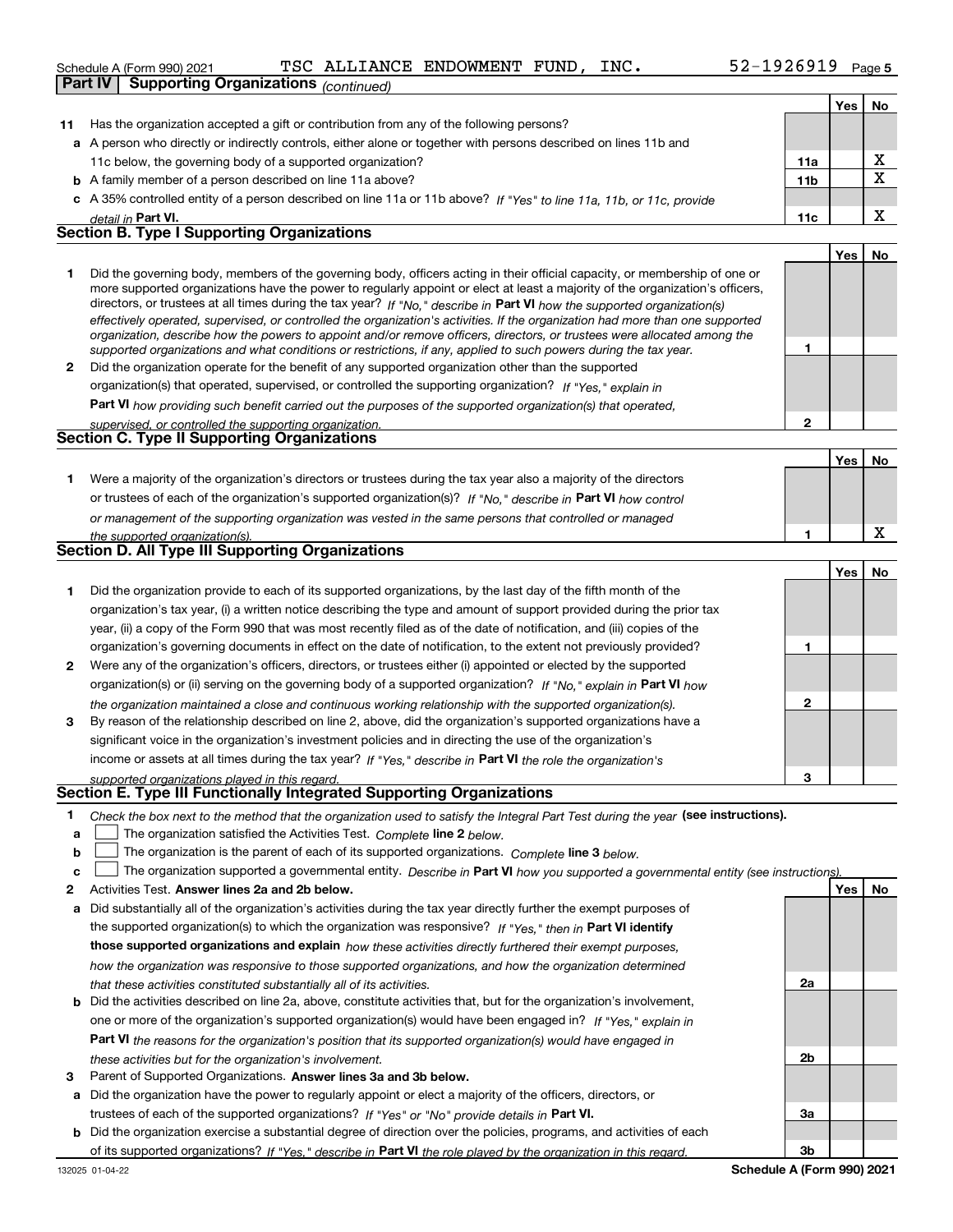|    | 52-1926919 Page 5<br>TSC ALLIANCE ENDOWMENT FUND, INC.<br>Schedule A (Form 990) 2021                                                                                                                                                                       |                 |            |             |
|----|------------------------------------------------------------------------------------------------------------------------------------------------------------------------------------------------------------------------------------------------------------|-----------------|------------|-------------|
|    | <b>Supporting Organizations (continued)</b><br><b>Part IV</b>                                                                                                                                                                                              |                 |            |             |
|    |                                                                                                                                                                                                                                                            |                 | Yes        | No          |
| 11 | Has the organization accepted a gift or contribution from any of the following persons?                                                                                                                                                                    |                 |            |             |
|    | a A person who directly or indirectly controls, either alone or together with persons described on lines 11b and                                                                                                                                           |                 |            |             |
|    | 11c below, the governing body of a supported organization?                                                                                                                                                                                                 | 11a             |            | х           |
|    | <b>b</b> A family member of a person described on line 11a above?                                                                                                                                                                                          | 11 <sub>b</sub> |            | $\mathbf x$ |
|    | c A 35% controlled entity of a person described on line 11a or 11b above? If "Yes" to line 11a, 11b, or 11c, provide                                                                                                                                       |                 |            |             |
|    | detail in Part VI.                                                                                                                                                                                                                                         | 11c             |            | x           |
|    | <b>Section B. Type I Supporting Organizations</b>                                                                                                                                                                                                          |                 |            |             |
|    |                                                                                                                                                                                                                                                            |                 | <b>Yes</b> | No          |
| 1  | Did the governing body, members of the governing body, officers acting in their official capacity, or membership of one or                                                                                                                                 |                 |            |             |
|    | more supported organizations have the power to regularly appoint or elect at least a majority of the organization's officers,                                                                                                                              |                 |            |             |
|    | directors, or trustees at all times during the tax year? If "No," describe in Part VI how the supported organization(s)                                                                                                                                    |                 |            |             |
|    | effectively operated, supervised, or controlled the organization's activities. If the organization had more than one supported<br>organization, describe how the powers to appoint and/or remove officers, directors, or trustees were allocated among the |                 |            |             |
|    | supported organizations and what conditions or restrictions, if any, applied to such powers during the tax year.                                                                                                                                           | 1               |            |             |
| 2  | Did the organization operate for the benefit of any supported organization other than the supported                                                                                                                                                        |                 |            |             |
|    | organization(s) that operated, supervised, or controlled the supporting organization? If "Yes," explain in                                                                                                                                                 |                 |            |             |
|    | Part VI how providing such benefit carried out the purposes of the supported organization(s) that operated,                                                                                                                                                |                 |            |             |
|    | supervised, or controlled the supporting organization.                                                                                                                                                                                                     | $\mathbf{2}$    |            |             |
|    | <b>Section C. Type II Supporting Organizations</b>                                                                                                                                                                                                         |                 |            |             |
|    |                                                                                                                                                                                                                                                            |                 | Yes        | No          |
| 1  | Were a majority of the organization's directors or trustees during the tax year also a majority of the directors                                                                                                                                           |                 |            |             |
|    | or trustees of each of the organization's supported organization(s)? If "No," describe in Part VI how control                                                                                                                                              |                 |            |             |
|    | or management of the supporting organization was vested in the same persons that controlled or managed                                                                                                                                                     |                 |            |             |
|    | the supported organization(s).                                                                                                                                                                                                                             | 1               |            | х           |
|    | Section D. All Type III Supporting Organizations                                                                                                                                                                                                           |                 |            |             |
|    |                                                                                                                                                                                                                                                            |                 | <b>Yes</b> | No          |
| 1  | Did the organization provide to each of its supported organizations, by the last day of the fifth month of the                                                                                                                                             |                 |            |             |
|    | organization's tax year, (i) a written notice describing the type and amount of support provided during the prior tax                                                                                                                                      |                 |            |             |
|    | year, (ii) a copy of the Form 990 that was most recently filed as of the date of notification, and (iii) copies of the                                                                                                                                     |                 |            |             |
|    | organization's governing documents in effect on the date of notification, to the extent not previously provided?                                                                                                                                           | 1               |            |             |
| 2  | Were any of the organization's officers, directors, or trustees either (i) appointed or elected by the supported                                                                                                                                           |                 |            |             |
|    | organization(s) or (ii) serving on the governing body of a supported organization? If "No." explain in Part VI how                                                                                                                                         |                 |            |             |
|    | the organization maintained a close and continuous working relationship with the supported organization(s).                                                                                                                                                | $\mathbf{2}$    |            |             |
| 3  | By reason of the relationship described on line 2, above, did the organization's supported organizations have a                                                                                                                                            |                 |            |             |
|    | significant voice in the organization's investment policies and in directing the use of the organization's                                                                                                                                                 |                 |            |             |
|    | income or assets at all times during the tax year? If "Yes," describe in Part VI the role the organization's                                                                                                                                               |                 |            |             |
|    | supported organizations played in this regard.                                                                                                                                                                                                             | 3               |            |             |
|    | Section E. Type III Functionally Integrated Supporting Organizations                                                                                                                                                                                       |                 |            |             |
| 1  | Check the box next to the method that the organization used to satisfy the Integral Part Test during the year (see instructions).                                                                                                                          |                 |            |             |

- **alinupy** The organization satisfied the Activities Test. Complete line 2 below.
- **bThe organization is the parent of each of its supported organizations. Complete line 3 below.**

|  | c The organization supported a governmental entity. Describe in Part VI how you supported a governmental entity (see instructions). |  |
|--|-------------------------------------------------------------------------------------------------------------------------------------|--|
|  |                                                                                                                                     |  |

- **2Answer lines 2a and 2b below. Yes No** Activities Test.
- **a** Did substantially all of the organization's activities during the tax year directly further the exempt purposes of the supported organization(s) to which the organization was responsive? If "Yes," then in **Part VI identify those supported organizations and explain**  *how these activities directly furthered their exempt purposes, how the organization was responsive to those supported organizations, and how the organization determined that these activities constituted substantially all of its activities.*
- **b** Did the activities described on line 2a, above, constitute activities that, but for the organization's involvement, **Part VI**  *the reasons for the organization's position that its supported organization(s) would have engaged in* one or more of the organization's supported organization(s) would have been engaged in? If "Yes," e*xplain in these activities but for the organization's involvement.*
- **3** Parent of Supported Organizations. Answer lines 3a and 3b below.
- **a** Did the organization have the power to regularly appoint or elect a majority of the officers, directors, or trustees of each of the supported organizations? If "Yes" or "No" provide details in **Part VI.**
- **b** Did the organization exercise a substantial degree of direction over the policies, programs, and activities of each of its supported organizations? If "Yes," describe in Part VI the role played by the organization in this regard.

**3bSchedule A (Form 990) 2021**

**2a**

**2b**

**3a**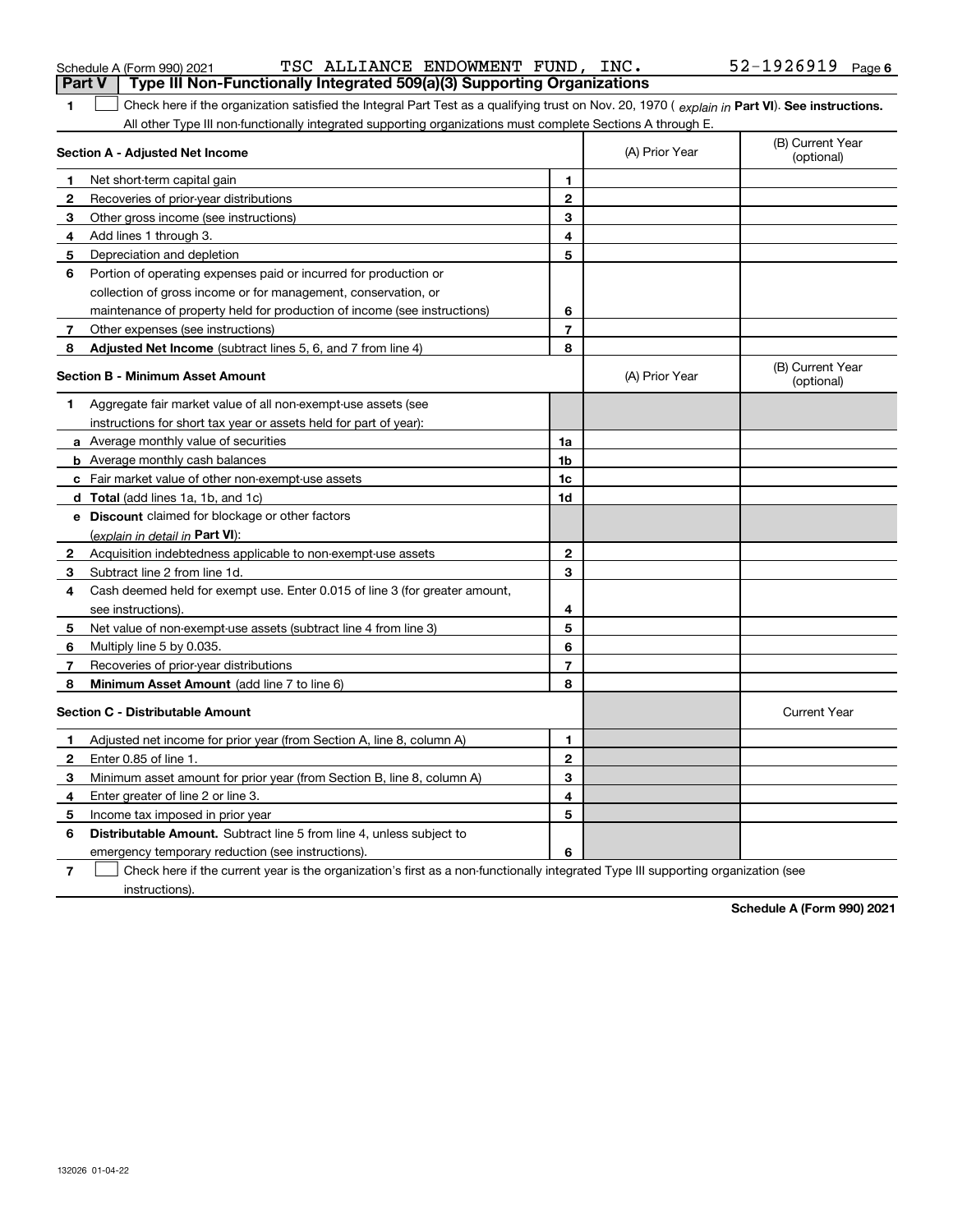| 1            | Check here if the organization satisfied the Integral Part Test as a qualifying trust on Nov. 20, 1970 (explain in Part VI). See instructions.<br>All other Type III non-functionally integrated supporting organizations must complete Sections A through E. |                |                |                                |
|--------------|---------------------------------------------------------------------------------------------------------------------------------------------------------------------------------------------------------------------------------------------------------------|----------------|----------------|--------------------------------|
|              | Section A - Adjusted Net Income                                                                                                                                                                                                                               |                | (A) Prior Year | (B) Current Year<br>(optional) |
| $\mathbf 1$  | Net short-term capital gain                                                                                                                                                                                                                                   | 1              |                |                                |
| 2            | Recoveries of prior-year distributions                                                                                                                                                                                                                        | $\mathbf{2}$   |                |                                |
| 3            | Other gross income (see instructions)                                                                                                                                                                                                                         | 3              |                |                                |
| 4            | Add lines 1 through 3.                                                                                                                                                                                                                                        | 4              |                |                                |
| 5            | Depreciation and depletion                                                                                                                                                                                                                                    | 5              |                |                                |
| 6            | Portion of operating expenses paid or incurred for production or                                                                                                                                                                                              |                |                |                                |
|              | collection of gross income or for management, conservation, or                                                                                                                                                                                                |                |                |                                |
|              | maintenance of property held for production of income (see instructions)                                                                                                                                                                                      | 6              |                |                                |
| 7            | Other expenses (see instructions)                                                                                                                                                                                                                             | 7              |                |                                |
| 8            | Adjusted Net Income (subtract lines 5, 6, and 7 from line 4)                                                                                                                                                                                                  | 8              |                |                                |
|              | <b>Section B - Minimum Asset Amount</b>                                                                                                                                                                                                                       |                | (A) Prior Year | (B) Current Year<br>(optional) |
| 1            | Aggregate fair market value of all non-exempt-use assets (see                                                                                                                                                                                                 |                |                |                                |
|              | instructions for short tax year or assets held for part of year):                                                                                                                                                                                             |                |                |                                |
|              | a Average monthly value of securities                                                                                                                                                                                                                         | 1a             |                |                                |
|              | <b>b</b> Average monthly cash balances                                                                                                                                                                                                                        | 1 <sub>b</sub> |                |                                |
|              | <b>c</b> Fair market value of other non-exempt-use assets                                                                                                                                                                                                     | 1c             |                |                                |
|              | <b>d</b> Total (add lines 1a, 1b, and 1c)                                                                                                                                                                                                                     | 1d             |                |                                |
|              | <b>e</b> Discount claimed for blockage or other factors                                                                                                                                                                                                       |                |                |                                |
|              | (explain in detail in Part VI):                                                                                                                                                                                                                               |                |                |                                |
| 2            | Acquisition indebtedness applicable to non-exempt-use assets                                                                                                                                                                                                  | $\mathbf{2}$   |                |                                |
| 3            | Subtract line 2 from line 1d.                                                                                                                                                                                                                                 | 3              |                |                                |
| 4            | Cash deemed held for exempt use. Enter 0.015 of line 3 (for greater amount,                                                                                                                                                                                   |                |                |                                |
|              | see instructions).                                                                                                                                                                                                                                            | 4              |                |                                |
| 5            | Net value of non-exempt-use assets (subtract line 4 from line 3)                                                                                                                                                                                              | 5              |                |                                |
| 6            | Multiply line 5 by 0.035.                                                                                                                                                                                                                                     | 6              |                |                                |
| 7            | Recoveries of prior-year distributions                                                                                                                                                                                                                        | $\overline{7}$ |                |                                |
| 8            | <b>Minimum Asset Amount</b> (add line 7 to line 6)                                                                                                                                                                                                            | 8              |                |                                |
|              | <b>Section C - Distributable Amount</b>                                                                                                                                                                                                                       |                |                | <b>Current Year</b>            |
| 1            | Adjusted net income for prior year (from Section A, line 8, column A)                                                                                                                                                                                         | 1.             |                |                                |
| $\mathbf{2}$ | Enter 0.85 of line 1.                                                                                                                                                                                                                                         | $\mathbf{2}$   |                |                                |
| З.           | Minimum asset amount for prior year (from Section B, line 8, column A)                                                                                                                                                                                        | 3              |                |                                |
| 4            | Enter greater of line 2 or line 3.                                                                                                                                                                                                                            | 4              |                |                                |
| 5            | Income tax imposed in prior year                                                                                                                                                                                                                              | 5              |                |                                |
| 6            | <b>Distributable Amount.</b> Subtract line 5 from line 4, unless subject to                                                                                                                                                                                   |                |                |                                |

emergency temporary reduction (see instructions).

**7**Check here if the current year is the organization's first as a non-functionally integrated Type III supporting organization (see instructions).

**6**

**Schedule A (Form 990) 2021**

| Schedule A (Form 990) 2021 |
|----------------------------|
|----------------------------|

| 52-1926919<br>TSC ALLIANCE ENDOWMENT FUND,<br>INC.<br>Schedule A (Form 990) 2021 | Page 6 |
|----------------------------------------------------------------------------------|--------|
|----------------------------------------------------------------------------------|--------|

**Part V Type III Non-Functionally Integrated 509(a)(3) Supporting Organizations**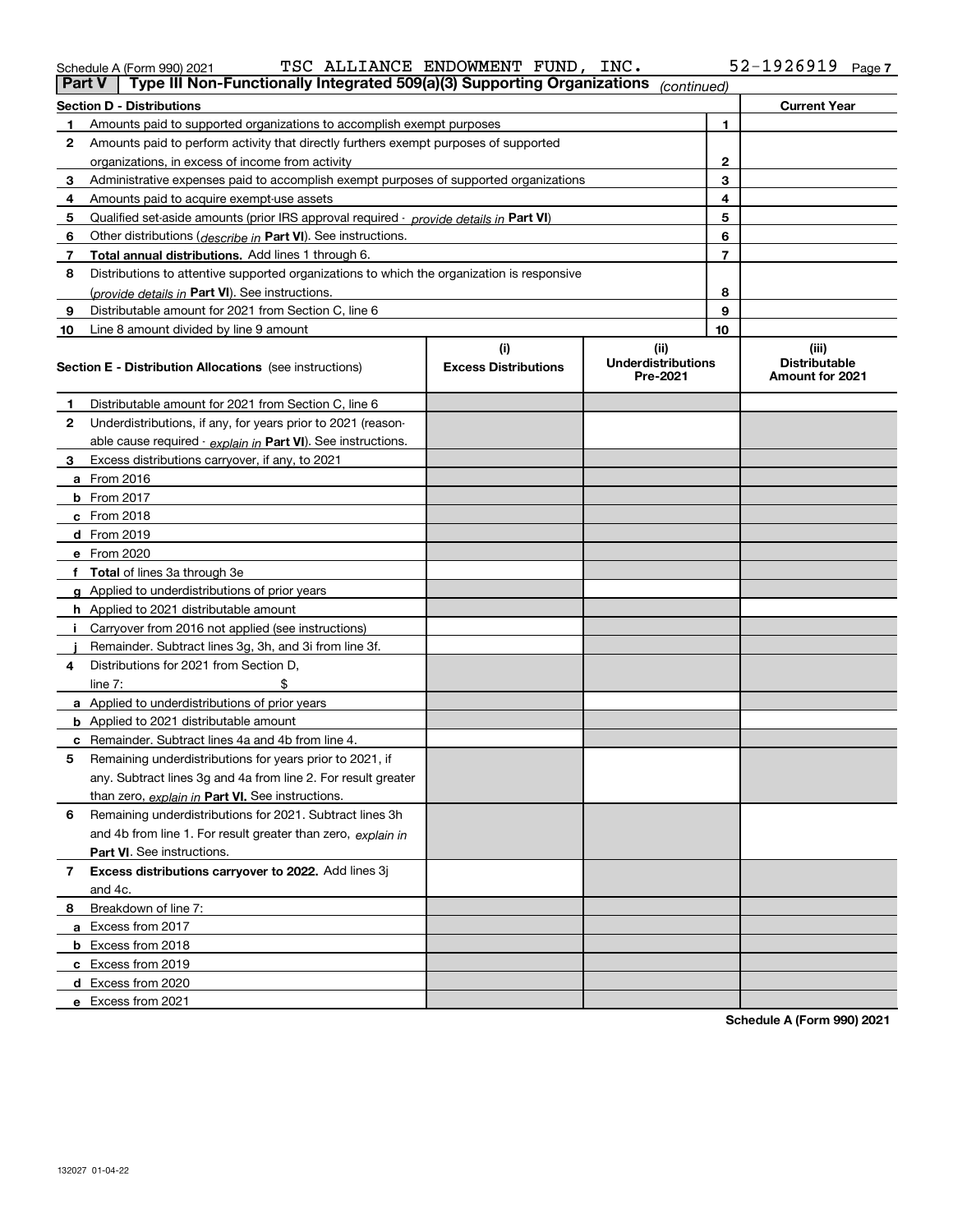| Schedule A (Form 990) 2021                                                          | TSC ALLIANCE ENDOWMENT FUND, | INC. |             | 52-1926919          | Page |
|-------------------------------------------------------------------------------------|------------------------------|------|-------------|---------------------|------|
| Type III Non-Functionally Integrated 509(a)(3) Supporting Organizations  <br>Part V |                              |      | (continued) |                     |      |
| <b>Section D - Distributions</b>                                                    |                              |      |             | <b>Current Year</b> |      |
|                                                                                     |                              |      |             |                     |      |

|              | <b>Current Year</b><br><b>Section D - Distributions</b>                                    |                                    |                                               |                |                                                  |  |
|--------------|--------------------------------------------------------------------------------------------|------------------------------------|-----------------------------------------------|----------------|--------------------------------------------------|--|
| 1.           | Amounts paid to supported organizations to accomplish exempt purposes                      |                                    |                                               |                |                                                  |  |
| $\mathbf{2}$ | Amounts paid to perform activity that directly furthers exempt purposes of supported       |                                    |                                               |                |                                                  |  |
|              | organizations, in excess of income from activity                                           |                                    |                                               | 2              |                                                  |  |
| 3            | Administrative expenses paid to accomplish exempt purposes of supported organizations      |                                    |                                               | 3              |                                                  |  |
| 4            | Amounts paid to acquire exempt-use assets                                                  |                                    |                                               | 4              |                                                  |  |
| 5            | Qualified set-aside amounts (prior IRS approval required - provide details in Part VI)     |                                    |                                               | 5              |                                                  |  |
| 6            | Other distributions (describe in Part VI). See instructions.                               |                                    |                                               | 6              |                                                  |  |
| 7            | Total annual distributions. Add lines 1 through 6.                                         |                                    |                                               | $\overline{7}$ |                                                  |  |
| 8            | Distributions to attentive supported organizations to which the organization is responsive |                                    |                                               |                |                                                  |  |
|              | (provide details in Part VI). See instructions.                                            |                                    |                                               | 8              |                                                  |  |
| 9            | Distributable amount for 2021 from Section C, line 6                                       |                                    |                                               | 9              |                                                  |  |
| 10           | Line 8 amount divided by line 9 amount                                                     |                                    |                                               | 10             |                                                  |  |
|              | <b>Section E - Distribution Allocations</b> (see instructions)                             | (i)<br><b>Excess Distributions</b> | (ii)<br><b>Underdistributions</b><br>Pre-2021 |                | (iii)<br><b>Distributable</b><br>Amount for 2021 |  |
| 1.           | Distributable amount for 2021 from Section C, line 6                                       |                                    |                                               |                |                                                  |  |
| $\mathbf{2}$ | Underdistributions, if any, for years prior to 2021 (reason-                               |                                    |                                               |                |                                                  |  |
|              | able cause required - explain in Part VI). See instructions.                               |                                    |                                               |                |                                                  |  |
| З.           | Excess distributions carryover, if any, to 2021                                            |                                    |                                               |                |                                                  |  |
|              | <b>a</b> From 2016                                                                         |                                    |                                               |                |                                                  |  |
|              | $b$ From 2017                                                                              |                                    |                                               |                |                                                  |  |
|              | c From 2018                                                                                |                                    |                                               |                |                                                  |  |
|              | d From 2019                                                                                |                                    |                                               |                |                                                  |  |
|              | e From 2020                                                                                |                                    |                                               |                |                                                  |  |
|              | f Total of lines 3a through 3e                                                             |                                    |                                               |                |                                                  |  |
|              | g Applied to underdistributions of prior years                                             |                                    |                                               |                |                                                  |  |
|              | <b>h</b> Applied to 2021 distributable amount                                              |                                    |                                               |                |                                                  |  |
|              | i Carryover from 2016 not applied (see instructions)                                       |                                    |                                               |                |                                                  |  |
|              | Remainder. Subtract lines 3g, 3h, and 3i from line 3f.                                     |                                    |                                               |                |                                                  |  |
| 4            | Distributions for 2021 from Section D,                                                     |                                    |                                               |                |                                                  |  |
|              | \$<br>line $7:$                                                                            |                                    |                                               |                |                                                  |  |
|              | <b>a</b> Applied to underdistributions of prior years                                      |                                    |                                               |                |                                                  |  |
|              | <b>b</b> Applied to 2021 distributable amount                                              |                                    |                                               |                |                                                  |  |
|              | <b>c</b> Remainder. Subtract lines 4a and 4b from line 4.                                  |                                    |                                               |                |                                                  |  |
| 5            | Remaining underdistributions for years prior to 2021, if                                   |                                    |                                               |                |                                                  |  |
|              | any. Subtract lines 3g and 4a from line 2. For result greater                              |                                    |                                               |                |                                                  |  |
|              | than zero, explain in Part VI. See instructions.                                           |                                    |                                               |                |                                                  |  |
| 6            | Remaining underdistributions for 2021. Subtract lines 3h                                   |                                    |                                               |                |                                                  |  |
|              | and 4b from line 1. For result greater than zero, explain in                               |                                    |                                               |                |                                                  |  |
|              | Part VI. See instructions.                                                                 |                                    |                                               |                |                                                  |  |
| $7^{\circ}$  | Excess distributions carryover to 2022. Add lines 3j                                       |                                    |                                               |                |                                                  |  |
|              | and 4c.                                                                                    |                                    |                                               |                |                                                  |  |
| 8.           | Breakdown of line 7:                                                                       |                                    |                                               |                |                                                  |  |
|              | a Excess from 2017                                                                         |                                    |                                               |                |                                                  |  |
|              | <b>b</b> Excess from 2018                                                                  |                                    |                                               |                |                                                  |  |
|              | c Excess from 2019                                                                         |                                    |                                               |                |                                                  |  |
|              | d Excess from 2020                                                                         |                                    |                                               |                |                                                  |  |
|              | e Excess from 2021                                                                         |                                    |                                               |                |                                                  |  |

**Schedule A (Form 990) 2021**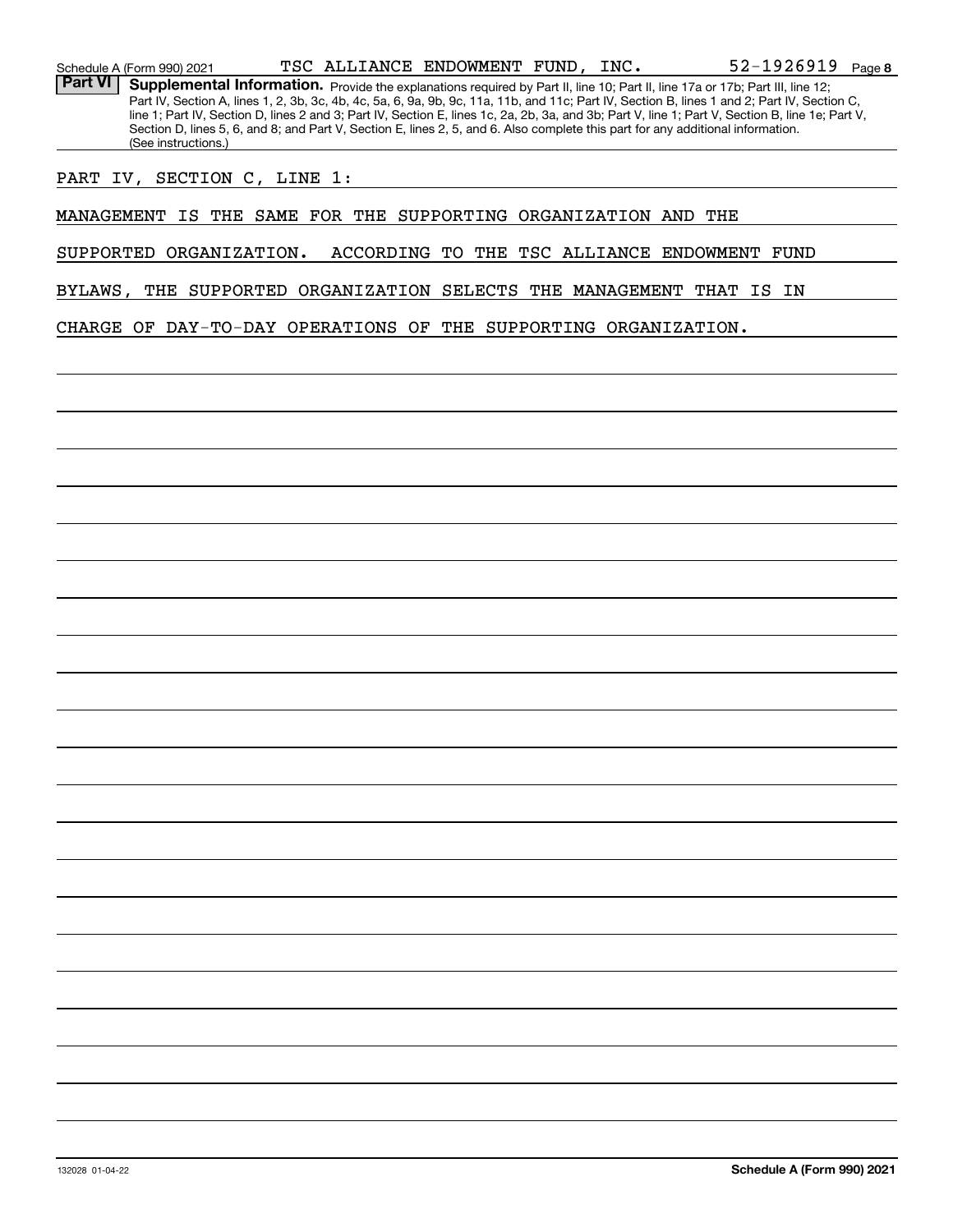Schedule A (Form 990) 2021  $_{\rm TSC}$  ALLIANCE ENDOWMENT FUND, INC  $_{\rm T}$   $_{\rm C}$   $_{\rm C}$   $_{\rm 52-1926919}$   $_{\rm Page}$ 

Part VI | Supplemental Information. Provide the explanations required by Part II, line 10; Part II, line 17a or 17b; Part III, line 12; Part IV, Section A, lines 1, 2, 3b, 3c, 4b, 4c, 5a, 6, 9a, 9b, 9c, 11a, 11b, and 11c; Part IV, Section B, lines 1 and 2; Part IV, Section C, line 1; Part IV, Section D, lines 2 and 3; Part IV, Section E, lines 1c, 2a, 2b, 3a, and 3b; Part V, line 1; Part V, Section B, line 1e; Part V, Section D, lines 5, 6, and 8; and Part V, Section E, lines 2, 5, and 6. Also complete this part for any additional information. (See instructions.)

PART IV, SECTION C, LINE 1:

MANAGEMENT IS THE SAME FOR THE SUPPORTING ORGANIZATION AND THE

SUPPORTED ORGANIZATION. ACCORDING TO THE TSC ALLIANCE ENDOWMENT FUND

BYLAWS, THE SUPPORTED ORGANIZATION SELECTS THE MANAGEMENT THAT IS IN

CHARGE OF DAY-TO-DAY OPERATIONS OF THE SUPPORTING ORGANIZATION.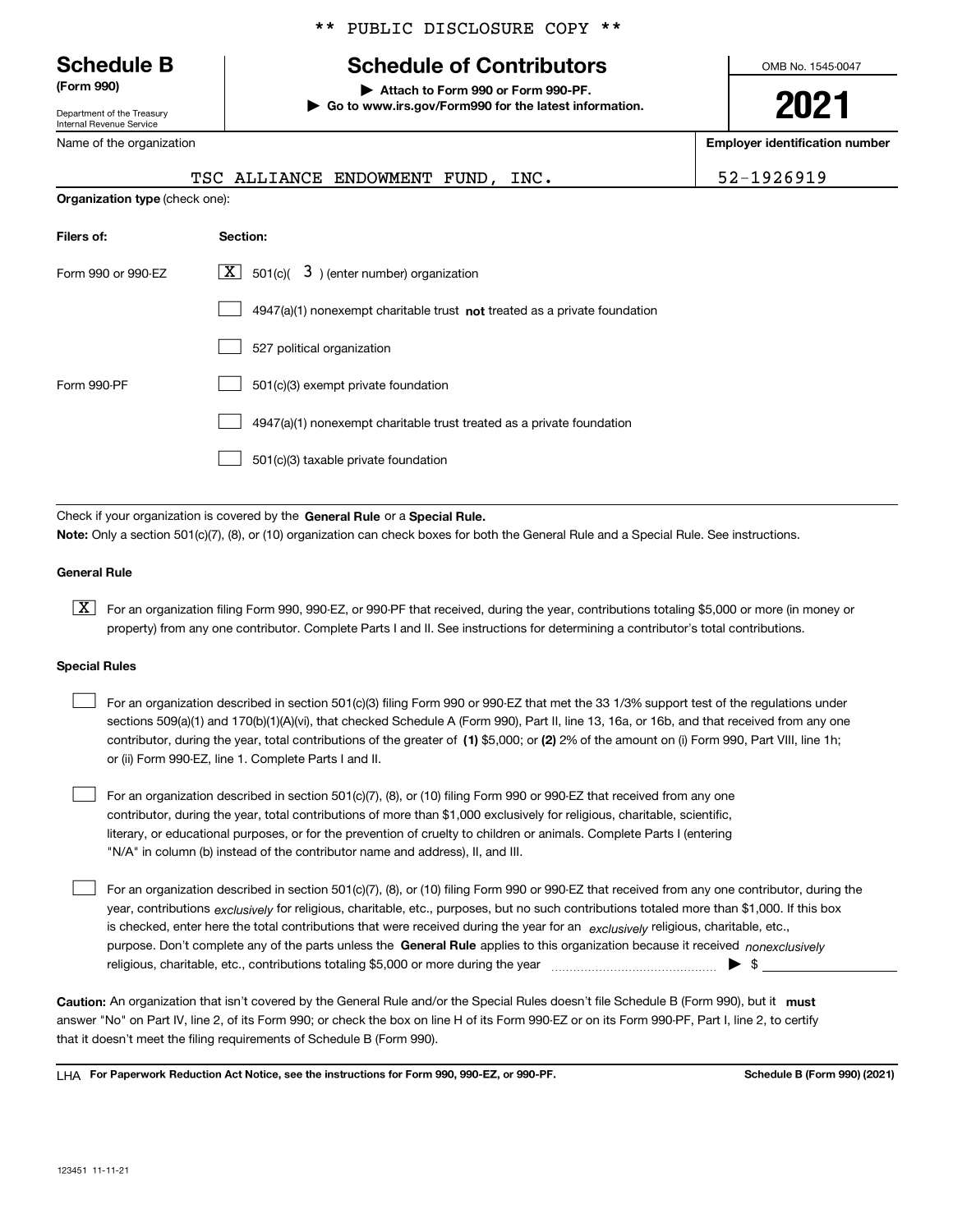Department of the Treasury Internal Revenue Service

Name of the organization

#### \*\* PUBLIC DISCLOSURE COPY \*\*

# **Schedule B Schedule of Contributors**

**(Form 990) | Attach to Form 990 or Form 990-PF. | Go to www.irs.gov/Form990 for the latest information.** OMB No. 1545-0047

# **2021**

**Employer identification number**

|                                | TSC ALLIANCE ENDOWMENT FUND, INC.                                           | 52-1926919 |
|--------------------------------|-----------------------------------------------------------------------------|------------|
| Organization type (check one): |                                                                             |            |
| Filers of:                     | Section:                                                                    |            |
| Form 990 or 990-EZ             | X  <br>$501(c)$ $\overline{3}$ ) (enter number) organization                |            |
|                                | $4947(a)(1)$ nonexempt charitable trust not treated as a private foundation |            |
|                                | 527 political organization                                                  |            |
| Form 990-PF                    | 501(c)(3) exempt private foundation                                         |            |
|                                | 4947(a)(1) nonexempt charitable trust treated as a private foundation       |            |
|                                | 501(c)(3) taxable private foundation                                        |            |

Check if your organization is covered by the **General Rule** or a **Special Rule. Note:**  Only a section 501(c)(7), (8), or (10) organization can check boxes for both the General Rule and a Special Rule. See instructions.

#### **General Rule**

 $\boxed{\textbf{X}}$  For an organization filing Form 990, 990-EZ, or 990-PF that received, during the year, contributions totaling \$5,000 or more (in money or property) from any one contributor. Complete Parts I and II. See instructions for determining a contributor's total contributions.

#### **Special Rules**

| $\mathbf{1}$ | For an organization described in section 501(c)(3) filing Form 990 or 990-EZ that met the 33 1/3% support test of the regulations under       |
|--------------|-----------------------------------------------------------------------------------------------------------------------------------------------|
|              | sections 509(a)(1) and 170(b)(1)(A)(vi), that checked Schedule A (Form 990), Part II, line 13, 16a, or 16b, and that received from any one    |
|              | contributor, during the year, total contributions of the greater of (1) \$5,000; or (2) 2% of the amount on (i) Form 990, Part VIII, line 1h; |
|              | or (ii) Form 990-EZ, line 1. Complete Parts I and II.                                                                                         |

For an organization described in section 501(c)(7), (8), or (10) filing Form 990 or 990-EZ that received from any one contributor, during the year, total contributions of more than \$1,000 exclusively for religious, charitable, scientific, literary, or educational purposes, or for the prevention of cruelty to children or animals. Complete Parts I (entering "N/A" in column (b) instead of the contributor name and address), II, and III.  $\mathcal{L}^{\text{max}}$ 

purpose. Don't complete any of the parts unless the **General Rule** applies to this organization because it received *nonexclusively* year, contributions <sub>exclusively</sub> for religious, charitable, etc., purposes, but no such contributions totaled more than \$1,000. If this box is checked, enter here the total contributions that were received during the year for an  $\;$ exclusively religious, charitable, etc., For an organization described in section 501(c)(7), (8), or (10) filing Form 990 or 990-EZ that received from any one contributor, during the religious, charitable, etc., contributions totaling \$5,000 or more during the year  $\Box$ — $\Box$  =  $\Box$  $\mathcal{L}^{\text{max}}$ 

Caution: An organization that isn't covered by the General Rule and/or the Special Rules doesn't file Schedule B (Form 990), but it **must** answer "No" on Part IV, line 2, of its Form 990; or check the box on line H of its Form 990-EZ or on its Form 990-PF, Part I, line 2, to certify that it doesn't meet the filing requirements of Schedule B (Form 990).

LHA For Paperwork Reduction Act Notice, see the instructions for Form 990, 990-EZ, or 990-PF. **In the act and Schedule B** (Form 990) (2021)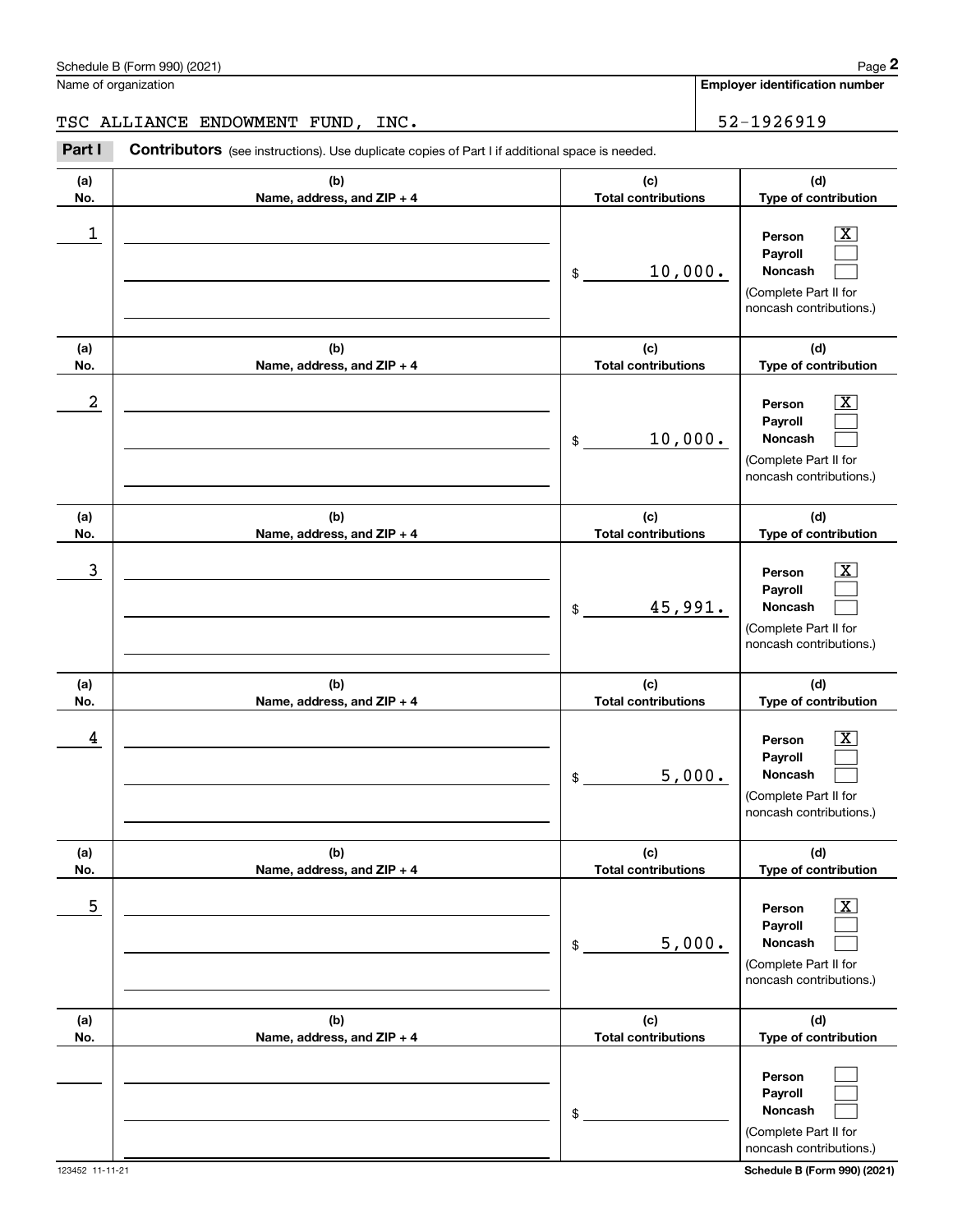**Noncash**

(Complete Part II for

\$

| Schedule B (Form 990) (2021) | 1000<br>auc |
|------------------------------|-------------|
|                              |             |

|                  | Schedule B (Form 990) (2021)                                                                          |                                   | Page 2                                                                                                      |
|------------------|-------------------------------------------------------------------------------------------------------|-----------------------------------|-------------------------------------------------------------------------------------------------------------|
|                  | Name of organization                                                                                  |                                   | Employer identification number                                                                              |
|                  | TSC ALLIANCE ENDOWMENT FUND, INC.                                                                     | 52-1926919                        |                                                                                                             |
| Part I           | <b>Contributors</b> (see instructions). Use duplicate copies of Part I if additional space is needed. |                                   |                                                                                                             |
| (a)<br>No.       | (b)<br>Name, address, and ZIP + 4                                                                     | (c)<br><b>Total contributions</b> | (d)<br>Type of contribution                                                                                 |
| 1                |                                                                                                       | 10,000.<br>\$                     | $\mathbf{X}$<br>Person<br>Payroll<br>Noncash<br>(Complete Part II for<br>noncash contributions.)            |
| (a)<br>No.       | (b)<br>Name, address, and ZIP + 4                                                                     | (c)<br><b>Total contributions</b> | (d)<br>Type of contribution                                                                                 |
| $\boldsymbol{2}$ |                                                                                                       | 10,000.<br>$\mathfrak{S}$         | $\overline{\mathbf{X}}$<br>Person<br>Payroll<br>Noncash<br>(Complete Part II for<br>noncash contributions.) |
| (a)<br>No.       | (b)<br>Name, address, and ZIP + 4                                                                     | (c)<br><b>Total contributions</b> | (d)<br>Type of contribution                                                                                 |
| $\mathbf{3}$     |                                                                                                       | 45,991.<br>$\mathfrak{S}$         | $\overline{\mathbf{X}}$<br>Person<br>Payroll<br>Noncash<br>(Complete Part II for<br>noncash contributions.) |
| (a)<br>No.       | (b)<br>Name, address, and ZIP + 4                                                                     | (c)<br><b>Total contributions</b> | (d)<br>Type of contribution                                                                                 |
| 4                |                                                                                                       | 5,000.<br>\$                      | $\mathbf{X}$<br>Person<br>Payroll<br>Noncash<br>(Complete Part II for<br>noncash contributions.)            |
| (a)<br>No.       | (b)<br>Name, address, and ZIP + 4                                                                     | (c)<br><b>Total contributions</b> | (d)<br>Type of contribution                                                                                 |
| 5                |                                                                                                       | 5,000.<br>\$                      | $\boxed{\text{X}}$<br>Person<br>Payroll<br>Noncash<br>(Complete Part II for<br>noncash contributions.)      |
| (a)<br>No.       | (b)<br>Name, address, and ZIP + 4                                                                     | (c)<br><b>Total contributions</b> | (d)<br>Type of contribution                                                                                 |
|                  |                                                                                                       |                                   | Person<br>Payroll                                                                                           |

> $\mathcal{L}^{\text{max}}$  $\mathcal{L}^{\text{max}}$  $\mathcal{L}^{\text{max}}$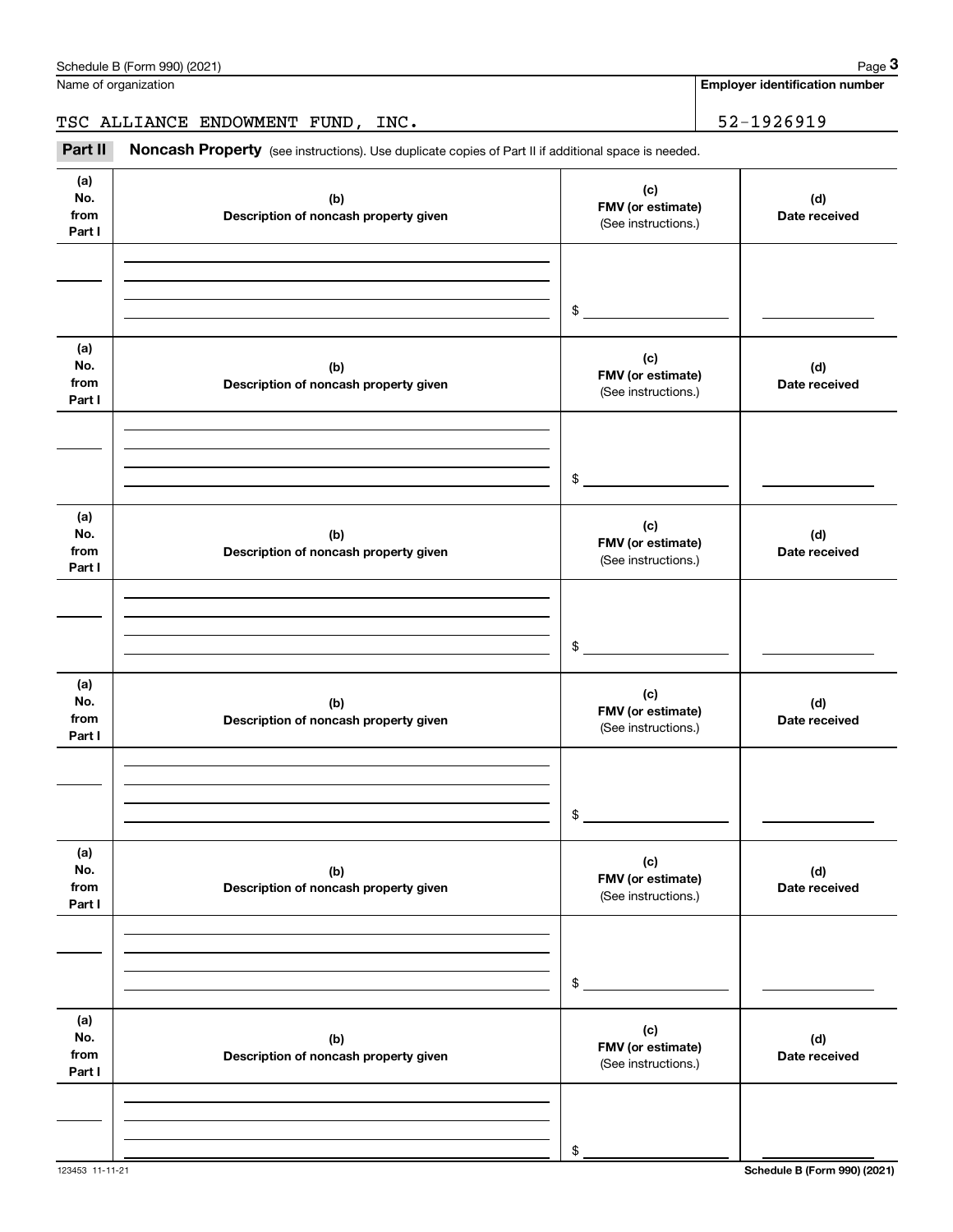|                              | Schedule B (Form 990) (2021)                                                                        |                                                 | Page 3                                |
|------------------------------|-----------------------------------------------------------------------------------------------------|-------------------------------------------------|---------------------------------------|
|                              | Name of organization                                                                                |                                                 | <b>Employer identification number</b> |
|                              | TSC ALLIANCE ENDOWMENT FUND, INC.                                                                   | 52-1926919                                      |                                       |
| Part II                      | Noncash Property (see instructions). Use duplicate copies of Part II if additional space is needed. |                                                 |                                       |
| (a)<br>No.<br>from<br>Part I | (b)<br>Description of noncash property given                                                        | (c)<br>FMV (or estimate)<br>(See instructions.) | (d)<br>Date received                  |
|                              |                                                                                                     | \$                                              |                                       |
| (a)<br>No.<br>from<br>Part I | (b)<br>Description of noncash property given                                                        | (c)<br>FMV (or estimate)<br>(See instructions.) | (d)<br>Date received                  |
|                              |                                                                                                     | \$                                              |                                       |
| (a)<br>No.<br>from<br>Part I | (b)<br>Description of noncash property given                                                        | (c)<br>FMV (or estimate)<br>(See instructions.) | (d)<br>Date received                  |
|                              |                                                                                                     | \$                                              |                                       |
| (a)<br>No.<br>from<br>Part I | (b)<br>Description of noncash property given                                                        | (c)<br>FMV (or estimate)<br>(See instructions.) | (d)<br>Date received                  |
|                              |                                                                                                     | \$                                              |                                       |
| (a)<br>No.<br>from<br>Part I | (b)<br>Description of noncash property given                                                        | (c)<br>FMV (or estimate)<br>(See instructions.) | (d)<br>Date received                  |
|                              |                                                                                                     | \$                                              |                                       |
| (a)<br>No.<br>from<br>Part I | (b)<br>Description of noncash property given                                                        | (c)<br>FMV (or estimate)<br>(See instructions.) | (d)<br>Date received                  |
|                              |                                                                                                     | \$                                              |                                       |

123453 11-11-21 **Schedule B (Form 990) (2021)**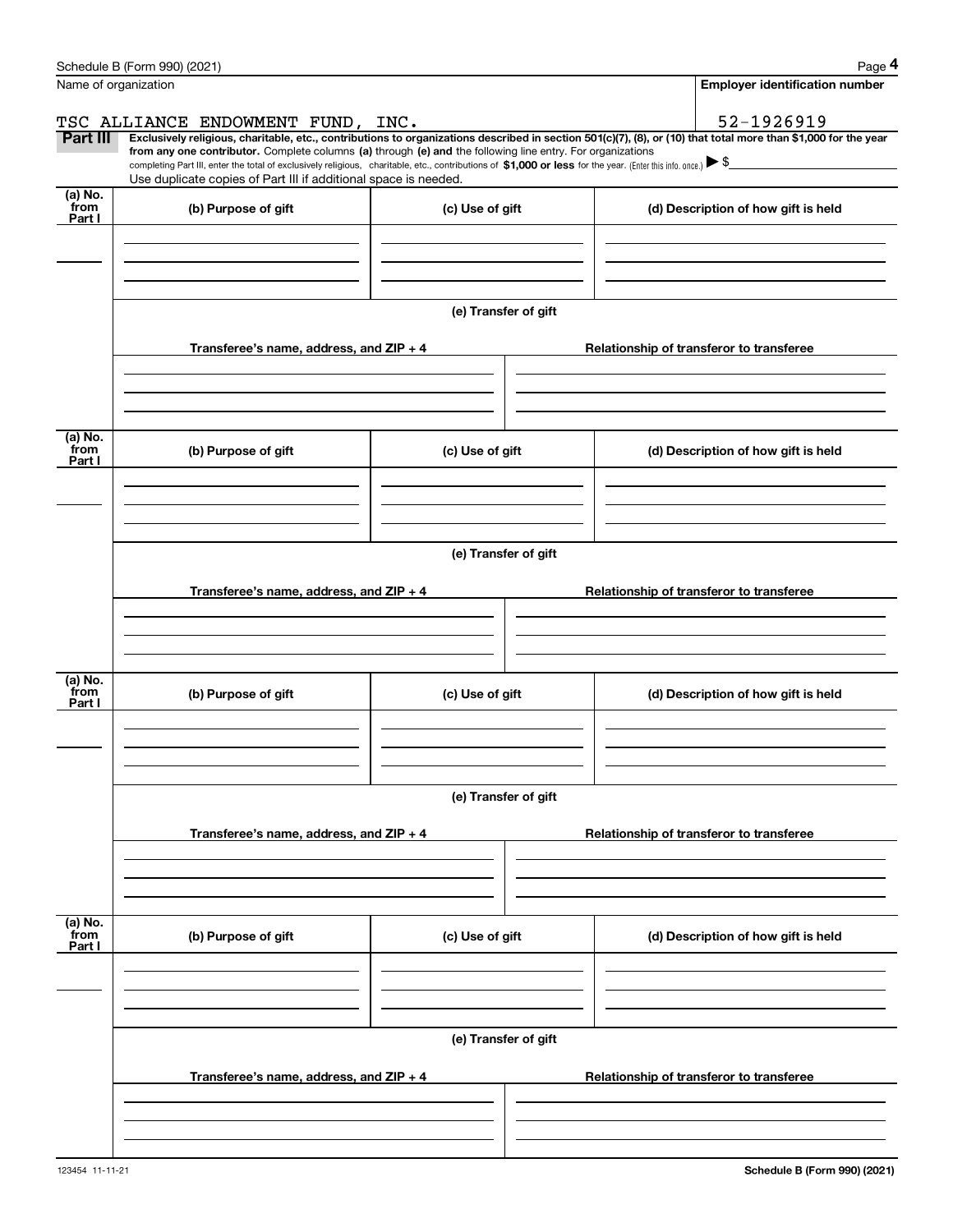|                           | Schedule B (Form 990) (2021)                                                                                                                                                                                                                         |                      | Page 4                                                                                                                                                         |  |  |  |  |
|---------------------------|------------------------------------------------------------------------------------------------------------------------------------------------------------------------------------------------------------------------------------------------------|----------------------|----------------------------------------------------------------------------------------------------------------------------------------------------------------|--|--|--|--|
|                           | Name of organization                                                                                                                                                                                                                                 |                      | <b>Employer identification number</b>                                                                                                                          |  |  |  |  |
|                           | TSC ALLIANCE ENDOWMENT FUND, INC.                                                                                                                                                                                                                    |                      | 52-1926919                                                                                                                                                     |  |  |  |  |
| Part III                  | from any one contributor. Complete columns (a) through (e) and the following line entry. For organizations                                                                                                                                           |                      | Exclusively religious, charitable, etc., contributions to organizations described in section 501(c)(7), (8), or (10) that total more than \$1,000 for the year |  |  |  |  |
|                           | completing Part III, enter the total of exclusively religious, charitable, etc., contributions of \$1,000 or less for the year. (Enter this info. once.) $\blacktriangleright$ \$<br>Use duplicate copies of Part III if additional space is needed. |                      |                                                                                                                                                                |  |  |  |  |
| (a) No.<br>from           | (b) Purpose of gift                                                                                                                                                                                                                                  | (c) Use of gift      | (d) Description of how gift is held                                                                                                                            |  |  |  |  |
| Part I                    |                                                                                                                                                                                                                                                      |                      |                                                                                                                                                                |  |  |  |  |
|                           |                                                                                                                                                                                                                                                      |                      |                                                                                                                                                                |  |  |  |  |
|                           |                                                                                                                                                                                                                                                      |                      |                                                                                                                                                                |  |  |  |  |
|                           |                                                                                                                                                                                                                                                      | (e) Transfer of gift |                                                                                                                                                                |  |  |  |  |
|                           |                                                                                                                                                                                                                                                      |                      |                                                                                                                                                                |  |  |  |  |
|                           | Transferee's name, address, and ZIP + 4                                                                                                                                                                                                              |                      | Relationship of transferor to transferee                                                                                                                       |  |  |  |  |
|                           |                                                                                                                                                                                                                                                      |                      |                                                                                                                                                                |  |  |  |  |
|                           |                                                                                                                                                                                                                                                      |                      |                                                                                                                                                                |  |  |  |  |
| (a) No.                   |                                                                                                                                                                                                                                                      |                      |                                                                                                                                                                |  |  |  |  |
| from<br>Part I            | (b) Purpose of gift                                                                                                                                                                                                                                  | (c) Use of gift      | (d) Description of how gift is held                                                                                                                            |  |  |  |  |
|                           |                                                                                                                                                                                                                                                      |                      |                                                                                                                                                                |  |  |  |  |
|                           |                                                                                                                                                                                                                                                      |                      |                                                                                                                                                                |  |  |  |  |
|                           |                                                                                                                                                                                                                                                      |                      |                                                                                                                                                                |  |  |  |  |
|                           |                                                                                                                                                                                                                                                      | (e) Transfer of gift |                                                                                                                                                                |  |  |  |  |
|                           | Transferee's name, address, and ZIP + 4                                                                                                                                                                                                              |                      | Relationship of transferor to transferee                                                                                                                       |  |  |  |  |
|                           |                                                                                                                                                                                                                                                      |                      |                                                                                                                                                                |  |  |  |  |
|                           |                                                                                                                                                                                                                                                      |                      |                                                                                                                                                                |  |  |  |  |
| (a) No.                   |                                                                                                                                                                                                                                                      |                      |                                                                                                                                                                |  |  |  |  |
| from<br>Part I            | (b) Purpose of gift                                                                                                                                                                                                                                  | (c) Use of gift      | (d) Description of how gift is held                                                                                                                            |  |  |  |  |
|                           |                                                                                                                                                                                                                                                      |                      |                                                                                                                                                                |  |  |  |  |
|                           |                                                                                                                                                                                                                                                      |                      |                                                                                                                                                                |  |  |  |  |
|                           |                                                                                                                                                                                                                                                      |                      |                                                                                                                                                                |  |  |  |  |
|                           |                                                                                                                                                                                                                                                      | (e) Transfer of gift |                                                                                                                                                                |  |  |  |  |
|                           | Transferee's name, address, and $ZIP + 4$                                                                                                                                                                                                            |                      | Relationship of transferor to transferee                                                                                                                       |  |  |  |  |
|                           |                                                                                                                                                                                                                                                      |                      |                                                                                                                                                                |  |  |  |  |
|                           |                                                                                                                                                                                                                                                      |                      |                                                                                                                                                                |  |  |  |  |
|                           |                                                                                                                                                                                                                                                      |                      |                                                                                                                                                                |  |  |  |  |
| (a) No.<br>from<br>Part I | (b) Purpose of gift                                                                                                                                                                                                                                  | (c) Use of gift      | (d) Description of how gift is held                                                                                                                            |  |  |  |  |
|                           |                                                                                                                                                                                                                                                      |                      |                                                                                                                                                                |  |  |  |  |
|                           |                                                                                                                                                                                                                                                      |                      |                                                                                                                                                                |  |  |  |  |
|                           |                                                                                                                                                                                                                                                      |                      |                                                                                                                                                                |  |  |  |  |
|                           | (e) Transfer of gift                                                                                                                                                                                                                                 |                      |                                                                                                                                                                |  |  |  |  |
|                           | Transferee's name, address, and $ZIP + 4$                                                                                                                                                                                                            |                      | Relationship of transferor to transferee                                                                                                                       |  |  |  |  |
|                           |                                                                                                                                                                                                                                                      |                      |                                                                                                                                                                |  |  |  |  |
|                           |                                                                                                                                                                                                                                                      |                      |                                                                                                                                                                |  |  |  |  |
|                           |                                                                                                                                                                                                                                                      |                      |                                                                                                                                                                |  |  |  |  |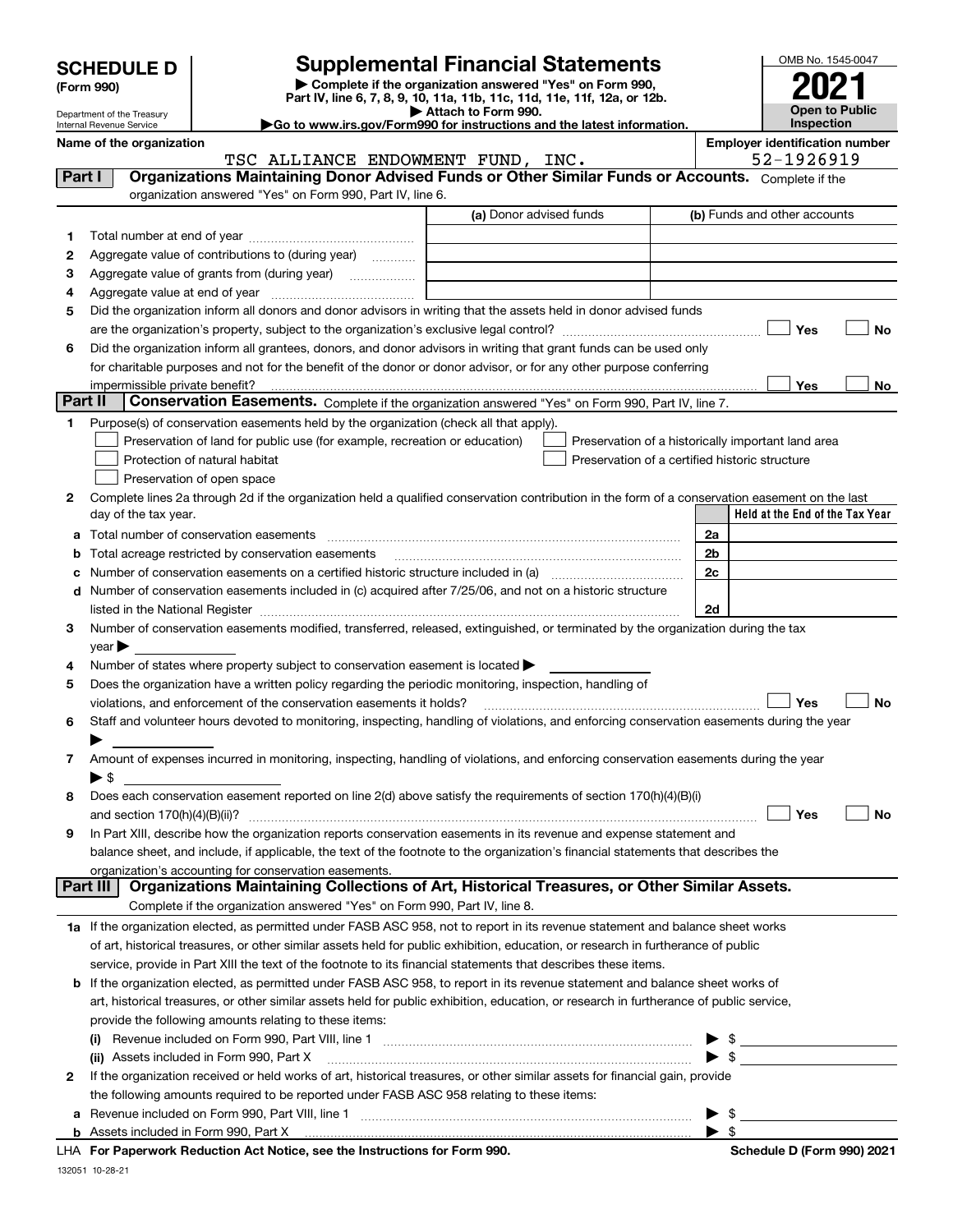Department of the Treasury

| (Form 990) |  |
|------------|--|
|------------|--|

# **Supplemental Financial Statements**

**| Complete if the organization answered "Yes" on Form 990, Part IV, line 6, 7, 8, 9, 10, 11a, 11b, 11c, 11d, 11e, 11f, 12a, or 12b. | Attach to Form 990.** OMB No. 1545-0047 **Open to Public Inspection2021**

|  | Name of the organization |
|--|--------------------------|

**|Go to www.irs.gov/Form990 for instructions and the latest information.**

|         | Internal Revenue Service                                                                                                                       | $\blacktriangleright$ Go to www.irs.gov/Form990 for instructions and the latest information. | <b>Inspection</b>                                   |
|---------|------------------------------------------------------------------------------------------------------------------------------------------------|----------------------------------------------------------------------------------------------|-----------------------------------------------------|
|         | Name of the organization<br>TSC ALLIANCE ENDOWMENT FUND, INC.                                                                                  |                                                                                              | <b>Employer identification number</b><br>52-1926919 |
| Part I  | Organizations Maintaining Donor Advised Funds or Other Similar Funds or Accounts. Complete if the                                              |                                                                                              |                                                     |
|         | organization answered "Yes" on Form 990, Part IV, line 6.                                                                                      |                                                                                              |                                                     |
|         |                                                                                                                                                | (a) Donor advised funds                                                                      | (b) Funds and other accounts                        |
| 1       |                                                                                                                                                |                                                                                              |                                                     |
| 2       | Aggregate value of contributions to (during year)                                                                                              |                                                                                              |                                                     |
| з       |                                                                                                                                                |                                                                                              |                                                     |
| 4       |                                                                                                                                                |                                                                                              |                                                     |
| 5       | Did the organization inform all donors and donor advisors in writing that the assets held in donor advised funds                               |                                                                                              |                                                     |
|         |                                                                                                                                                |                                                                                              | Yes<br>No                                           |
| 6       | Did the organization inform all grantees, donors, and donor advisors in writing that grant funds can be used only                              |                                                                                              |                                                     |
|         | for charitable purposes and not for the benefit of the donor or donor advisor, or for any other purpose conferring                             |                                                                                              |                                                     |
|         |                                                                                                                                                |                                                                                              | Yes<br>No                                           |
| Part II | Conservation Easements. Complete if the organization answered "Yes" on Form 990, Part IV, line 7.                                              |                                                                                              |                                                     |
| 1       | Purpose(s) of conservation easements held by the organization (check all that apply).                                                          |                                                                                              |                                                     |
|         | Preservation of land for public use (for example, recreation or education)                                                                     |                                                                                              | Preservation of a historically important land area  |
|         | Protection of natural habitat                                                                                                                  | Preservation of a certified historic structure                                               |                                                     |
|         | Preservation of open space                                                                                                                     |                                                                                              |                                                     |
| 2       | Complete lines 2a through 2d if the organization held a qualified conservation contribution in the form of a conservation easement on the last |                                                                                              |                                                     |
|         | day of the tax year.                                                                                                                           |                                                                                              | Held at the End of the Tax Year                     |
| a       | Total number of conservation easements                                                                                                         |                                                                                              | 2a                                                  |
| b       | Total acreage restricted by conservation easements                                                                                             |                                                                                              | 2b                                                  |
|         |                                                                                                                                                |                                                                                              | 2c                                                  |
|         | d Number of conservation easements included in (c) acquired after 7/25/06, and not on a historic structure                                     |                                                                                              | 2d                                                  |
| 3.      | Number of conservation easements modified, transferred, released, extinguished, or terminated by the organization during the tax               |                                                                                              |                                                     |
|         | year $\blacktriangleright$                                                                                                                     |                                                                                              |                                                     |
| 4       | Number of states where property subject to conservation easement is located $\blacktriangleright$                                              |                                                                                              |                                                     |
| 5       | Does the organization have a written policy regarding the periodic monitoring, inspection, handling of                                         |                                                                                              |                                                     |
|         | violations, and enforcement of the conservation easements it holds?                                                                            |                                                                                              | Yes<br>No                                           |
| 6       | Staff and volunteer hours devoted to monitoring, inspecting, handling of violations, and enforcing conservation easements during the year      |                                                                                              |                                                     |
|         |                                                                                                                                                |                                                                                              |                                                     |
| 7       | Amount of expenses incurred in monitoring, inspecting, handling of violations, and enforcing conservation easements during the year            |                                                                                              |                                                     |
|         | $\blacktriangleright$ \$                                                                                                                       |                                                                                              |                                                     |
| 8       | Does each conservation easement reported on line 2(d) above satisfy the requirements of section 170(h)(4)(B)(i)                                |                                                                                              |                                                     |
|         | and section $170(h)(4)(B)(ii)?$                                                                                                                |                                                                                              | Yes<br>No                                           |
| 9       | In Part XIII, describe how the organization reports conservation easements in its revenue and expense statement and                            |                                                                                              |                                                     |
|         | balance sheet, and include, if applicable, the text of the footnote to the organization's financial statements that describes the              |                                                                                              |                                                     |
|         | organization's accounting for conservation easements.                                                                                          |                                                                                              |                                                     |
|         | Organizations Maintaining Collections of Art, Historical Treasures, or Other Similar Assets.<br>Part III                                       |                                                                                              |                                                     |
|         | Complete if the organization answered "Yes" on Form 990, Part IV, line 8.                                                                      |                                                                                              |                                                     |
|         | 1a If the organization elected, as permitted under FASB ASC 958, not to report in its revenue statement and balance sheet works                |                                                                                              |                                                     |
|         | of art, historical treasures, or other similar assets held for public exhibition, education, or research in furtherance of public              |                                                                                              |                                                     |

service, provide in Part XIII the text of the footnote to its financial statements that describes these items.

| <b>b</b> If the organization elected, as permitted under FASB ASC 958, to report in its revenue statement and balance sheet works of    |                         |  |
|-----------------------------------------------------------------------------------------------------------------------------------------|-------------------------|--|
| art, historical treasures, or other similar assets held for public exhibition, education, or research in furtherance of public service, |                         |  |
| provide the following amounts relating to these items:                                                                                  |                         |  |
| Revenue included on Form 990, Part VIII, line 1<br>(i)                                                                                  | $\blacktriangleright$ s |  |

|   | 110101100 moldadd on 1 0ml 000; 1 all 1 ml 1 ml 1 minish machines and contained a contained and moldad on 1 on               |  |  |
|---|------------------------------------------------------------------------------------------------------------------------------|--|--|
|   | (ii) Assets included in Form 990, Part X                                                                                     |  |  |
| 2 | If the organization received or held works of art, historical treasures, or other similar assets for financial gain, provide |  |  |
|   | the following amounts required to be reported under FASB ASC 958 relating to these items:                                    |  |  |
|   | <b>a</b> Revenue included on Form 990, Part VIII, line 1                                                                     |  |  |
|   | <b>b</b> Assets included in Form 990, Part X                                                                                 |  |  |

| LHA For Paperwork Reduction Act Notice, see the Instructions for Forn |  |
|-----------------------------------------------------------------------|--|

**For Paperwork Reduction Act Notice, see the Instructions for Form 990. Schedule D (Form 990) 2021**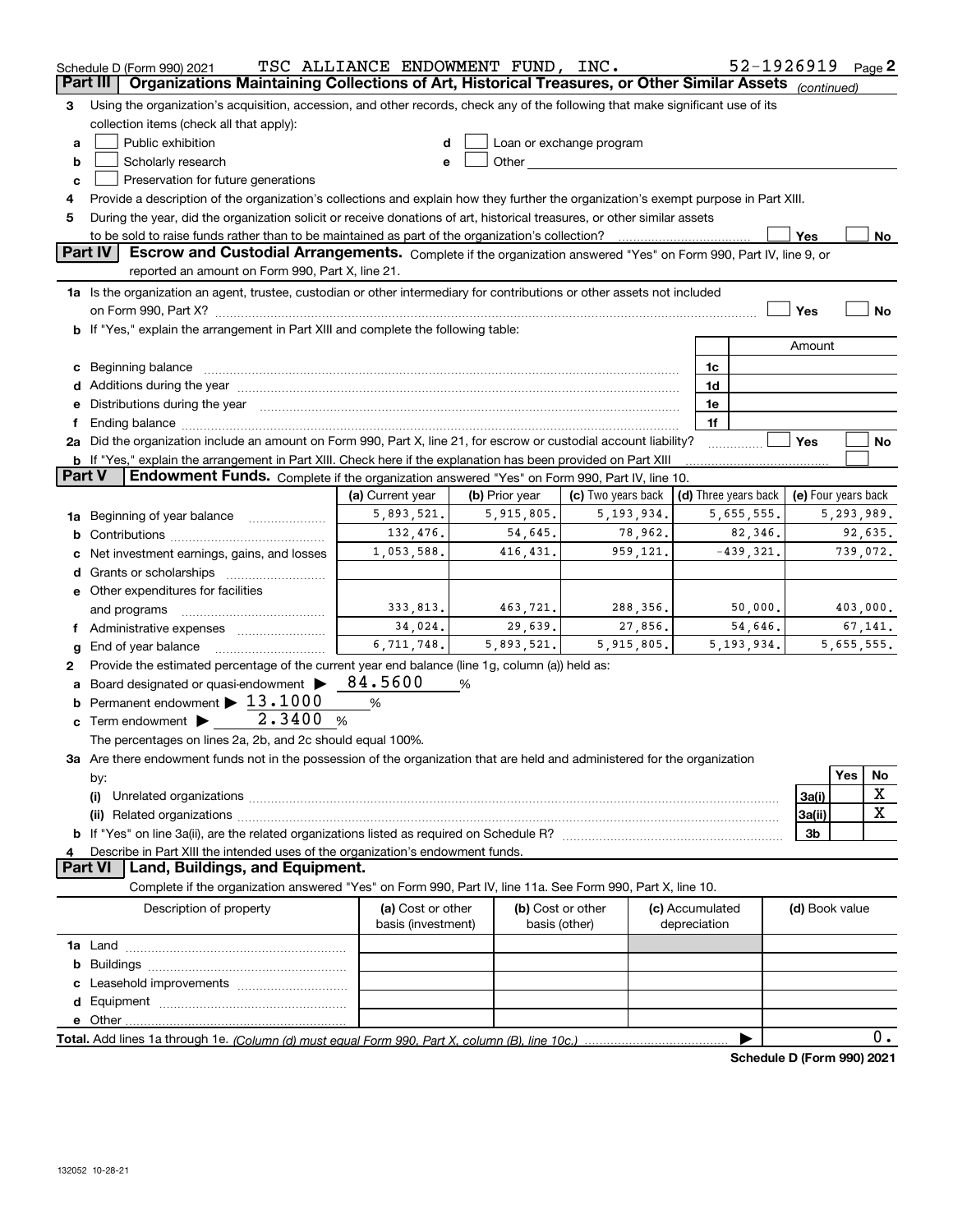|               | Schedule D (Form 990) 2021                                                                                                                                                                                                            | TSC ALLIANCE ENDOWMENT FUND, INC.       |                |                                    |                                 | 52-1926919                  |                     |     | Page 2      |
|---------------|---------------------------------------------------------------------------------------------------------------------------------------------------------------------------------------------------------------------------------------|-----------------------------------------|----------------|------------------------------------|---------------------------------|-----------------------------|---------------------|-----|-------------|
|               | Part III<br>Organizations Maintaining Collections of Art, Historical Treasures, or Other Similar Assets (continued)                                                                                                                   |                                         |                |                                    |                                 |                             |                     |     |             |
| 3             | Using the organization's acquisition, accession, and other records, check any of the following that make significant use of its                                                                                                       |                                         |                |                                    |                                 |                             |                     |     |             |
|               | collection items (check all that apply):                                                                                                                                                                                              |                                         |                |                                    |                                 |                             |                     |     |             |
| a             | Public exhibition                                                                                                                                                                                                                     | d                                       |                | Loan or exchange program           |                                 |                             |                     |     |             |
| b             | Scholarly research                                                                                                                                                                                                                    | е                                       | Other          |                                    |                                 |                             |                     |     |             |
| c             | Preservation for future generations                                                                                                                                                                                                   |                                         |                |                                    |                                 |                             |                     |     |             |
| 4             | Provide a description of the organization's collections and explain how they further the organization's exempt purpose in Part XIII.                                                                                                  |                                         |                |                                    |                                 |                             |                     |     |             |
| 5             | During the year, did the organization solicit or receive donations of art, historical treasures, or other similar assets                                                                                                              |                                         |                |                                    |                                 |                             |                     |     |             |
|               |                                                                                                                                                                                                                                       |                                         |                |                                    |                                 |                             | Yes                 |     | No          |
|               | Part IV<br>Escrow and Custodial Arrangements. Complete if the organization answered "Yes" on Form 990, Part IV, line 9, or<br>reported an amount on Form 990, Part X, line 21.                                                        |                                         |                |                                    |                                 |                             |                     |     |             |
|               | 1a Is the organization an agent, trustee, custodian or other intermediary for contributions or other assets not included                                                                                                              |                                         |                |                                    |                                 |                             |                     |     |             |
|               |                                                                                                                                                                                                                                       |                                         |                |                                    |                                 |                             | Yes                 |     | No          |
|               | b If "Yes," explain the arrangement in Part XIII and complete the following table:                                                                                                                                                    |                                         |                |                                    |                                 |                             |                     |     |             |
|               |                                                                                                                                                                                                                                       |                                         |                |                                    |                                 |                             | Amount              |     |             |
|               | c Beginning balance                                                                                                                                                                                                                   |                                         |                |                                    | 1c                              |                             |                     |     |             |
|               | d Additions during the year manufactured and an account of the year manufactured and account of the year manufactured and account of the year manufactured and account of the year manufactured and account of the year manufa        |                                         |                |                                    | 1d                              |                             |                     |     |             |
|               | e Distributions during the year manufactured and a control of the year manufactured and the year manufactured and the year manufactured and the year manufactured and the year manufactured and the year manufactured and the         |                                         |                |                                    | 1e                              |                             |                     |     |             |
|               | Ending balance <i>www.communicality.communicality.communicality.communicality.communicality.communicality.communicality.com</i>                                                                                                       |                                         |                |                                    | 1f                              |                             |                     |     |             |
|               | 2a Did the organization include an amount on Form 990, Part X, line 21, for escrow or custodial account liability?                                                                                                                    |                                         |                |                                    |                                 |                             | Yes                 |     | No          |
|               | <b>b</b> If "Yes," explain the arrangement in Part XIII. Check here if the explanation has been provided on Part XIII                                                                                                                 |                                         |                |                                    |                                 |                             |                     |     |             |
| <b>Part V</b> | Endowment Funds. Complete if the organization answered "Yes" on Form 990, Part IV, line 10.                                                                                                                                           |                                         |                |                                    |                                 |                             |                     |     |             |
|               |                                                                                                                                                                                                                                       | (a) Current year                        | (b) Prior year | (c) Two years back                 |                                 | (d) Three years back        | (e) Four years back |     |             |
|               | 1a Beginning of year balance                                                                                                                                                                                                          | 5,893,521.                              | 5,915,805.     | 5, 193, 934.                       |                                 | 5,655,555.                  |                     |     | 5,293,989.  |
|               |                                                                                                                                                                                                                                       | 132,476.                                | 54,645.        | 78,962.                            |                                 | 82,346.                     |                     |     | 92,635.     |
|               | Net investment earnings, gains, and losses                                                                                                                                                                                            | 1,053,588.                              | 416, 431.      | 959,121.                           |                                 | $-439,321.$                 |                     |     | 739,072.    |
|               |                                                                                                                                                                                                                                       |                                         |                |                                    |                                 |                             |                     |     |             |
|               | e Other expenditures for facilities                                                                                                                                                                                                   |                                         |                |                                    |                                 |                             |                     |     |             |
|               | and programs                                                                                                                                                                                                                          | 333,813.                                | 463,721.       | 288,356.                           |                                 | 50,000.                     |                     |     | 403,000.    |
| Ť.            | Administrative expenses                                                                                                                                                                                                               | 34,024.                                 | 29,639.        | 27,856.                            |                                 | 54,646.                     |                     |     | 67,141.     |
| g             | End of year balance                                                                                                                                                                                                                   | 6, 711, 748.                            | 5,893,521.     | 5,915,805.                         |                                 | 5, 193, 934.                |                     |     | 5,655,555.  |
| 2             | Provide the estimated percentage of the current year end balance (line 1g, column (a)) held as:                                                                                                                                       |                                         |                |                                    |                                 |                             |                     |     |             |
| a             | Board designated or quasi-endowment                                                                                                                                                                                                   | 84.5600                                 | %              |                                    |                                 |                             |                     |     |             |
|               | <b>b</b> Permanent endowment $\blacktriangleright$ 13.1000                                                                                                                                                                            | %                                       |                |                                    |                                 |                             |                     |     |             |
|               | 2.3400<br><b>c</b> Term endowment $\blacktriangleright$                                                                                                                                                                               | $\%$                                    |                |                                    |                                 |                             |                     |     |             |
|               | The percentages on lines 2a, 2b, and 2c should equal 100%.                                                                                                                                                                            |                                         |                |                                    |                                 |                             |                     |     |             |
|               | 3a Are there endowment funds not in the possession of the organization that are held and administered for the organization                                                                                                            |                                         |                |                                    |                                 |                             |                     |     |             |
|               | by:                                                                                                                                                                                                                                   |                                         |                |                                    |                                 |                             |                     | Yes | No          |
|               | (i)<br>Unrelated organizations [11,11] www.communications.communications are the contract of the contract of the contract of the contract of the contract of the contract of the contract of the contract of the contract of the cont |                                         |                |                                    |                                 |                             | 3a(i)               |     | X           |
|               |                                                                                                                                                                                                                                       |                                         |                |                                    |                                 |                             | 3a(ii)              |     | $\mathbf X$ |
|               |                                                                                                                                                                                                                                       |                                         |                |                                    |                                 |                             | 3b                  |     |             |
|               | Describe in Part XIII the intended uses of the organization's endowment funds.                                                                                                                                                        |                                         |                |                                    |                                 |                             |                     |     |             |
|               | Land, Buildings, and Equipment.<br><b>Part VI</b>                                                                                                                                                                                     |                                         |                |                                    |                                 |                             |                     |     |             |
|               | Complete if the organization answered "Yes" on Form 990, Part IV, line 11a. See Form 990, Part X, line 10.                                                                                                                            |                                         |                |                                    |                                 |                             |                     |     |             |
|               | Description of property                                                                                                                                                                                                               | (a) Cost or other<br>basis (investment) |                | (b) Cost or other<br>basis (other) | (c) Accumulated<br>depreciation |                             | (d) Book value      |     |             |
|               |                                                                                                                                                                                                                                       |                                         |                |                                    |                                 |                             |                     |     |             |
|               |                                                                                                                                                                                                                                       |                                         |                |                                    |                                 |                             |                     |     |             |
|               |                                                                                                                                                                                                                                       |                                         |                |                                    |                                 |                             |                     |     |             |
|               |                                                                                                                                                                                                                                       |                                         |                |                                    |                                 |                             |                     |     |             |
|               |                                                                                                                                                                                                                                       |                                         |                |                                    |                                 |                             |                     |     |             |
|               |                                                                                                                                                                                                                                       |                                         |                |                                    |                                 | ▶                           |                     |     | 0.          |
|               |                                                                                                                                                                                                                                       |                                         |                |                                    |                                 | Cahadula D (Faunt 000) 0004 |                     |     |             |

**Schedule D (Form 990) 2021**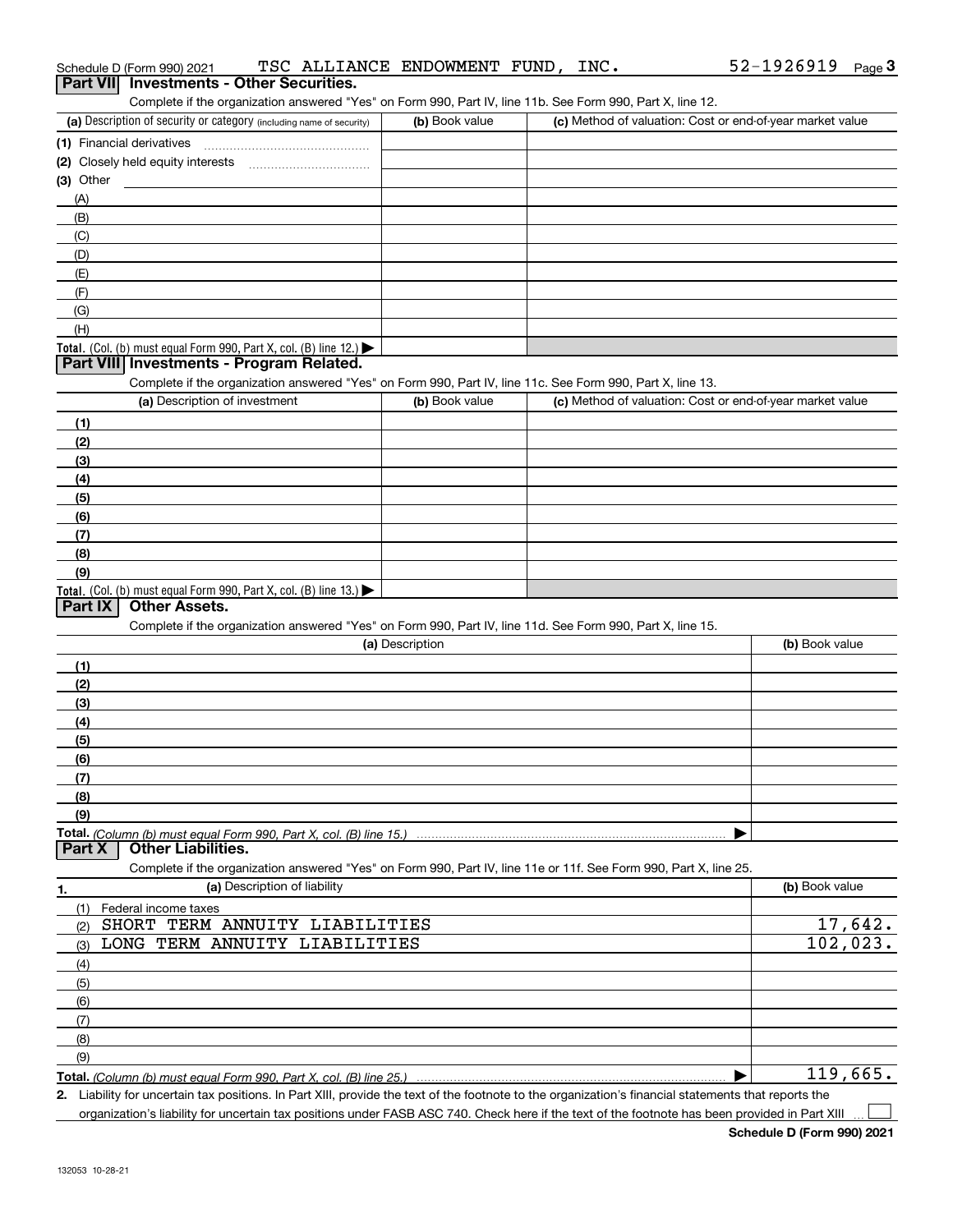| Schedule D (Form 990) 2021                                                                                          | TSC ALLIANCE ENDOWMENT FUND, INC. | 52-1926919<br>$Page$ <sup>3</sup>                         |
|---------------------------------------------------------------------------------------------------------------------|-----------------------------------|-----------------------------------------------------------|
| <b>Investments - Other Securities.</b><br><b>Part VII</b>                                                           |                                   |                                                           |
| Complete if the organization answered "Yes" on Form 990, Part IV, line 11b. See Form 990, Part X, line 12.          |                                   |                                                           |
| (a) Description of security or category (including name of security)                                                | (b) Book value                    | (c) Method of valuation: Cost or end-of-year market value |
| (1) Financial derivatives                                                                                           |                                   |                                                           |
| (2) Closely held equity interests [11] [2] Closely held equity interests                                            |                                   |                                                           |
| $(3)$ Other                                                                                                         |                                   |                                                           |
| (A)                                                                                                                 |                                   |                                                           |
| (B)                                                                                                                 |                                   |                                                           |
| (C)                                                                                                                 |                                   |                                                           |
| (D)                                                                                                                 |                                   |                                                           |
| (E)                                                                                                                 |                                   |                                                           |
| (F)                                                                                                                 |                                   |                                                           |
| (G)                                                                                                                 |                                   |                                                           |
| (H)                                                                                                                 |                                   |                                                           |
| <b>Total.</b> (Col. (b) must equal Form 990, Part X, col. (B) line 12.)<br>Part VIII Investments - Program Related. |                                   |                                                           |
| Complete if the organization answered "Yes" on Form 990, Part IV, line 11c. See Form 990, Part X, line 13.          |                                   |                                                           |
| (a) Description of investment                                                                                       | (b) Book value                    | (c) Method of valuation: Cost or end-of-year market value |
|                                                                                                                     |                                   |                                                           |
| (1)<br>(2)                                                                                                          |                                   |                                                           |
| (3)                                                                                                                 |                                   |                                                           |
| (4)                                                                                                                 |                                   |                                                           |
| (5)                                                                                                                 |                                   |                                                           |
| (6)                                                                                                                 |                                   |                                                           |
| (7)                                                                                                                 |                                   |                                                           |
| (8)                                                                                                                 |                                   |                                                           |
| (9)                                                                                                                 |                                   |                                                           |
| <b>Total.</b> (Col. (b) must equal Form 990, Part X, col. (B) line 13.)                                             |                                   |                                                           |
| <b>Other Assets.</b><br>Part IX                                                                                     |                                   |                                                           |
| Complete if the organization answered "Yes" on Form 990, Part IV, line 11d. See Form 990, Part X, line 15.          |                                   |                                                           |
|                                                                                                                     | (a) Description                   | (b) Book value                                            |
| (1)                                                                                                                 |                                   |                                                           |
| (2)                                                                                                                 |                                   |                                                           |
| (3)                                                                                                                 |                                   |                                                           |
| (4)                                                                                                                 |                                   |                                                           |
| (5)                                                                                                                 |                                   |                                                           |
| (6)                                                                                                                 |                                   |                                                           |
| (7)                                                                                                                 |                                   |                                                           |
| (8)                                                                                                                 |                                   |                                                           |
| (9)                                                                                                                 |                                   |                                                           |
|                                                                                                                     |                                   |                                                           |
| <b>Other Liabilities.</b><br>Part X                                                                                 |                                   |                                                           |
| Complete if the organization answered "Yes" on Form 990, Part IV, line 11e or 11f. See Form 990, Part X, line 25.   |                                   |                                                           |
| (a) Description of liability<br>1.                                                                                  |                                   | (b) Book value                                            |
| (1)<br>Federal income taxes                                                                                         |                                   |                                                           |
| SHORT TERM ANNUITY LIABILITIES<br>(2)                                                                               |                                   | 17,642.                                                   |
| LONG TERM ANNUITY LIABILITIES<br>(3)                                                                                |                                   | 102,023.                                                  |
| (4)                                                                                                                 |                                   |                                                           |
| (5)                                                                                                                 |                                   |                                                           |
| (6)                                                                                                                 |                                   |                                                           |
| (7)                                                                                                                 |                                   |                                                           |
| (8)                                                                                                                 |                                   |                                                           |
| (9)                                                                                                                 |                                   |                                                           |
|                                                                                                                     |                                   | 119,665.                                                  |

*(Column (b) must equal Form 990, Part X, col. (B) line 25.)* 

**2.** Liability for uncertain tax positions. In Part XIII, provide the text of the footnote to the organization's financial statements that reports the organization's liability for uncertain tax positions under FASB ASC 740. Check here if the text of the footnote has been provided in Part XIII  $\mathcal{L}^{\text{max}}$ 

52-1926919 Page 3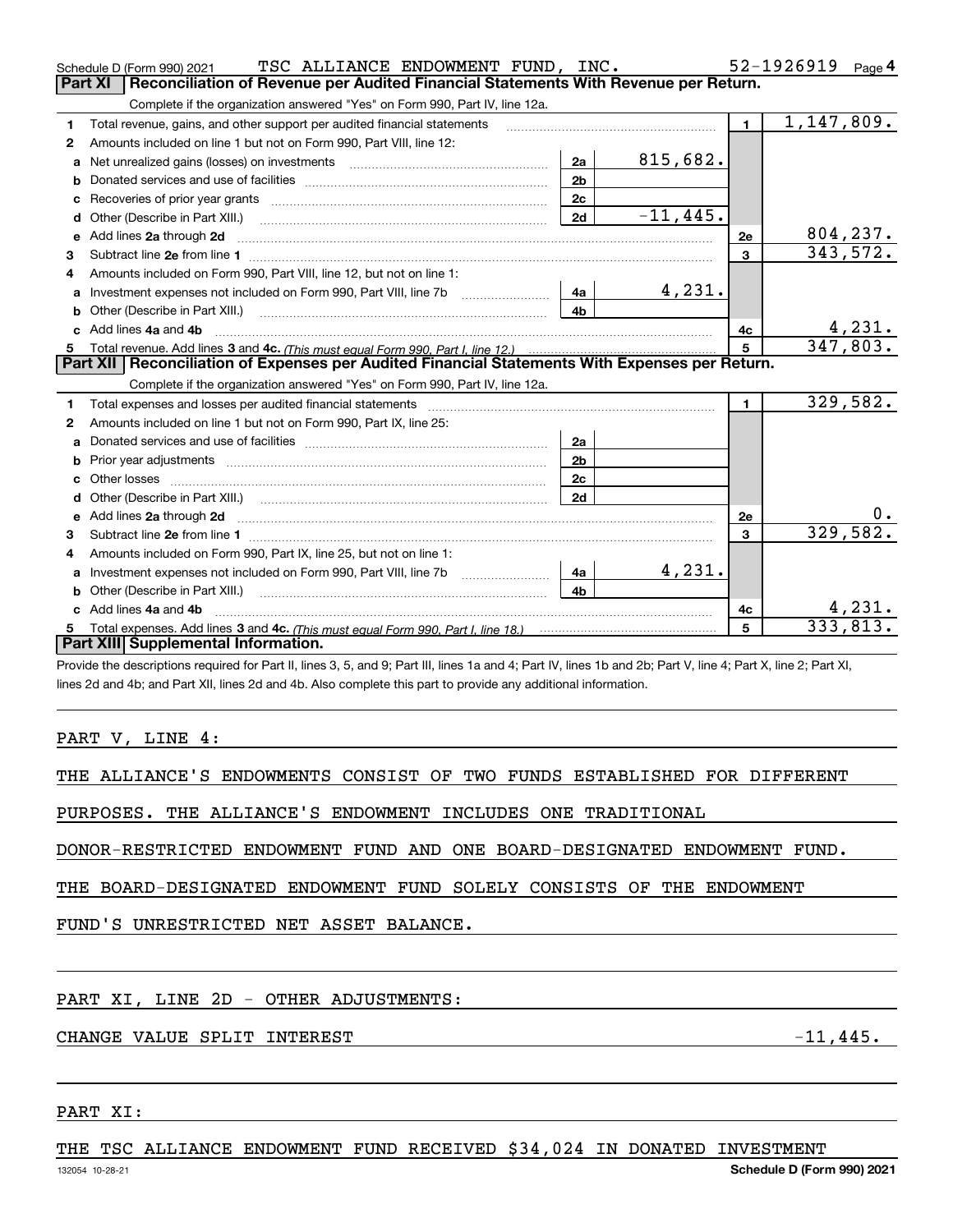|    | TSC ALLIANCE ENDOWMENT FUND, INC.<br>Schedule D (Form 990) 2021                                                                                                                                                                     |                |             |                 | 52-1926919<br>Page $4$      |
|----|-------------------------------------------------------------------------------------------------------------------------------------------------------------------------------------------------------------------------------------|----------------|-------------|-----------------|-----------------------------|
|    | Reconciliation of Revenue per Audited Financial Statements With Revenue per Return.<br>Part XI                                                                                                                                      |                |             |                 |                             |
|    | Complete if the organization answered "Yes" on Form 990, Part IV, line 12a.                                                                                                                                                         |                |             |                 |                             |
| 1  | Total revenue, gains, and other support per audited financial statements                                                                                                                                                            |                |             | $\blacksquare$  | 1,147,809.                  |
| 2  | Amounts included on line 1 but not on Form 990, Part VIII, line 12:                                                                                                                                                                 |                |             |                 |                             |
| a  |                                                                                                                                                                                                                                     | 2a             | 815,682.    |                 |                             |
|    |                                                                                                                                                                                                                                     | 2 <sub>b</sub> |             |                 |                             |
| c  |                                                                                                                                                                                                                                     | 2 <sub>c</sub> |             |                 |                             |
|    |                                                                                                                                                                                                                                     | 2d             | $-11, 445.$ |                 |                             |
| е  | Add lines 2a through 2d                                                                                                                                                                                                             |                |             | 2e              | $\frac{804,237.}{343,572.}$ |
| 3  |                                                                                                                                                                                                                                     |                |             | $\overline{3}$  |                             |
| 4  | Amounts included on Form 990, Part VIII, line 12, but not on line 1:                                                                                                                                                                |                |             |                 |                             |
|    | Investment expenses not included on Form 990, Part VIII, line 7b   4a                                                                                                                                                               |                | 4,231.      |                 |                             |
|    |                                                                                                                                                                                                                                     | 4 <sub>h</sub> |             |                 |                             |
| c. | Add lines 4a and 4b                                                                                                                                                                                                                 |                |             | 4с              | 4,231.                      |
| 5  |                                                                                                                                                                                                                                     |                |             | $5\overline{5}$ | 347,803.                    |
|    | Part XII   Reconciliation of Expenses per Audited Financial Statements With Expenses per Return.                                                                                                                                    |                |             |                 |                             |
|    | Complete if the organization answered "Yes" on Form 990, Part IV, line 12a.                                                                                                                                                         |                |             |                 |                             |
| 1  |                                                                                                                                                                                                                                     |                |             | $\mathbf{1}$    | 329,582.                    |
| 2  | Amounts included on line 1 but not on Form 990, Part IX, line 25:                                                                                                                                                                   |                |             |                 |                             |
| a  |                                                                                                                                                                                                                                     | 2a             |             |                 |                             |
| b  |                                                                                                                                                                                                                                     | 2 <sub>b</sub> |             |                 |                             |
| c. |                                                                                                                                                                                                                                     | 2 <sub>c</sub> |             |                 |                             |
|    |                                                                                                                                                                                                                                     | 2d             |             |                 |                             |
| e  | Add lines 2a through 2d <b>contained a contained a contained a contained a</b> contained a contact the set of the set of the set of the set of the set of the set of the set of the set of the set of the set of the set of the set |                |             | <b>2e</b>       | 0.                          |
| 3  |                                                                                                                                                                                                                                     |                |             | $\overline{3}$  | 329,582.                    |
| 4  | Amounts included on Form 990, Part IX, line 25, but not on line 1:                                                                                                                                                                  |                |             |                 |                             |
| a  |                                                                                                                                                                                                                                     | 4a             | 4,231.      |                 |                             |
|    |                                                                                                                                                                                                                                     | 4 <sub>b</sub> |             |                 |                             |
|    | Add lines 4a and 4b                                                                                                                                                                                                                 |                |             | 4с              | 4,231.                      |
| 5  |                                                                                                                                                                                                                                     |                |             | 5               | 333,813.                    |
|    | Part XIII Supplemental Information.                                                                                                                                                                                                 |                |             |                 |                             |

Provide the descriptions required for Part II, lines 3, 5, and 9; Part III, lines 1a and 4; Part IV, lines 1b and 2b; Part V, line 4; Part X, line 2; Part XI, lines 2d and 4b; and Part XII, lines 2d and 4b. Also complete this part to provide any additional information.

#### PART V, LINE 4:

|  |  |  |  |  |  |  | THE ALLIANCE'S ENDOWMENTS CONSIST OF TWO FUNDS ESTABLISHED FOR DIFFERENT |  |  |
|--|--|--|--|--|--|--|--------------------------------------------------------------------------|--|--|
|--|--|--|--|--|--|--|--------------------------------------------------------------------------|--|--|

PURPOSES. THE ALLIANCE'S ENDOWMENT INCLUDES ONE TRADITIONAL

DONOR-RESTRICTED ENDOWMENT FUND AND ONE BOARD-DESIGNATED ENDOWMENT FUND.

THE BOARD-DESIGNATED ENDOWMENT FUND SOLELY CONSISTS OF THE ENDOWMENT

FUND'S UNRESTRICTED NET ASSET BALANCE.

#### PART XI, LINE 2D - OTHER ADJUSTMENTS:

#### CHANGE VALUE SPLIT INTEREST FOR A SERIES AND THE SERIES OF THE SERIES OF THE SERIES OF THE SERIES OF THE SERIES

PART XI:

#### THE TSC ALLIANCE ENDOWMENT FUND RECEIVED \$34,024 IN DONATED INVESTMENT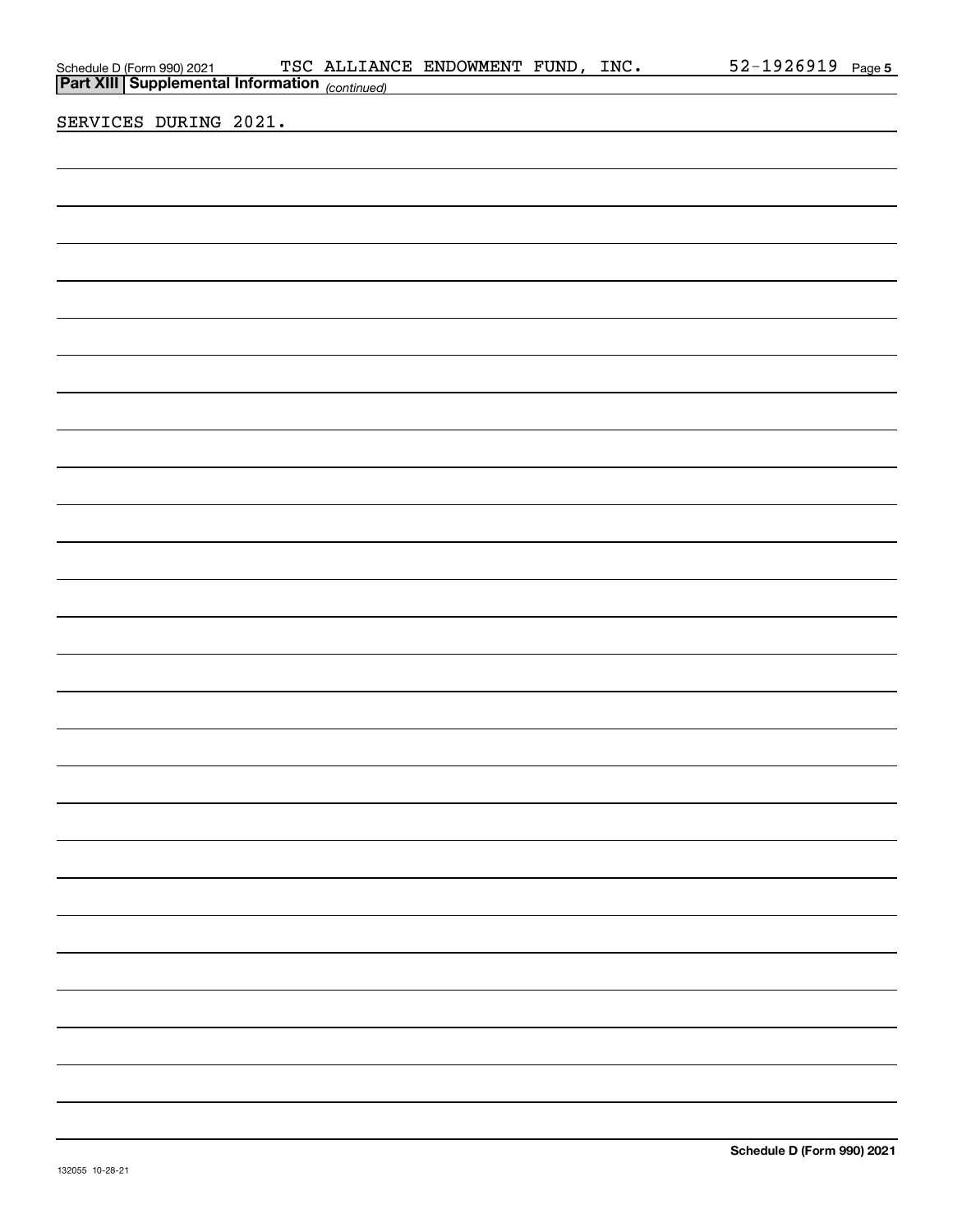| Schedule D (Form 990) 2021 TSC ALLIAN |  | TSC ALLIANCE ENDOWMENT FUND, INC.                                                                                     |  | 52-1926919 Page 5 |  |
|---------------------------------------|--|-----------------------------------------------------------------------------------------------------------------------|--|-------------------|--|
|                                       |  |                                                                                                                       |  |                   |  |
| SERVICES DURING 2021.                 |  | <u> 1989 - Johann Harry Harry Harry Harry Harry Harry Harry Harry Harry Harry Harry Harry Harry Harry Harry Harry</u> |  |                   |  |
|                                       |  |                                                                                                                       |  |                   |  |
|                                       |  |                                                                                                                       |  |                   |  |
|                                       |  |                                                                                                                       |  |                   |  |
|                                       |  |                                                                                                                       |  |                   |  |
|                                       |  |                                                                                                                       |  |                   |  |
|                                       |  |                                                                                                                       |  |                   |  |
|                                       |  |                                                                                                                       |  |                   |  |
|                                       |  |                                                                                                                       |  |                   |  |
|                                       |  |                                                                                                                       |  |                   |  |
|                                       |  |                                                                                                                       |  |                   |  |
|                                       |  |                                                                                                                       |  |                   |  |
|                                       |  |                                                                                                                       |  |                   |  |
|                                       |  |                                                                                                                       |  |                   |  |
|                                       |  |                                                                                                                       |  |                   |  |
|                                       |  |                                                                                                                       |  |                   |  |
|                                       |  |                                                                                                                       |  |                   |  |
|                                       |  |                                                                                                                       |  |                   |  |
|                                       |  |                                                                                                                       |  |                   |  |
|                                       |  |                                                                                                                       |  |                   |  |
|                                       |  |                                                                                                                       |  |                   |  |
|                                       |  |                                                                                                                       |  |                   |  |
|                                       |  |                                                                                                                       |  |                   |  |
|                                       |  |                                                                                                                       |  |                   |  |
|                                       |  |                                                                                                                       |  |                   |  |
|                                       |  |                                                                                                                       |  |                   |  |
|                                       |  |                                                                                                                       |  |                   |  |
|                                       |  |                                                                                                                       |  |                   |  |
|                                       |  |                                                                                                                       |  |                   |  |
|                                       |  |                                                                                                                       |  |                   |  |
|                                       |  |                                                                                                                       |  |                   |  |
|                                       |  |                                                                                                                       |  |                   |  |
|                                       |  |                                                                                                                       |  |                   |  |
|                                       |  |                                                                                                                       |  |                   |  |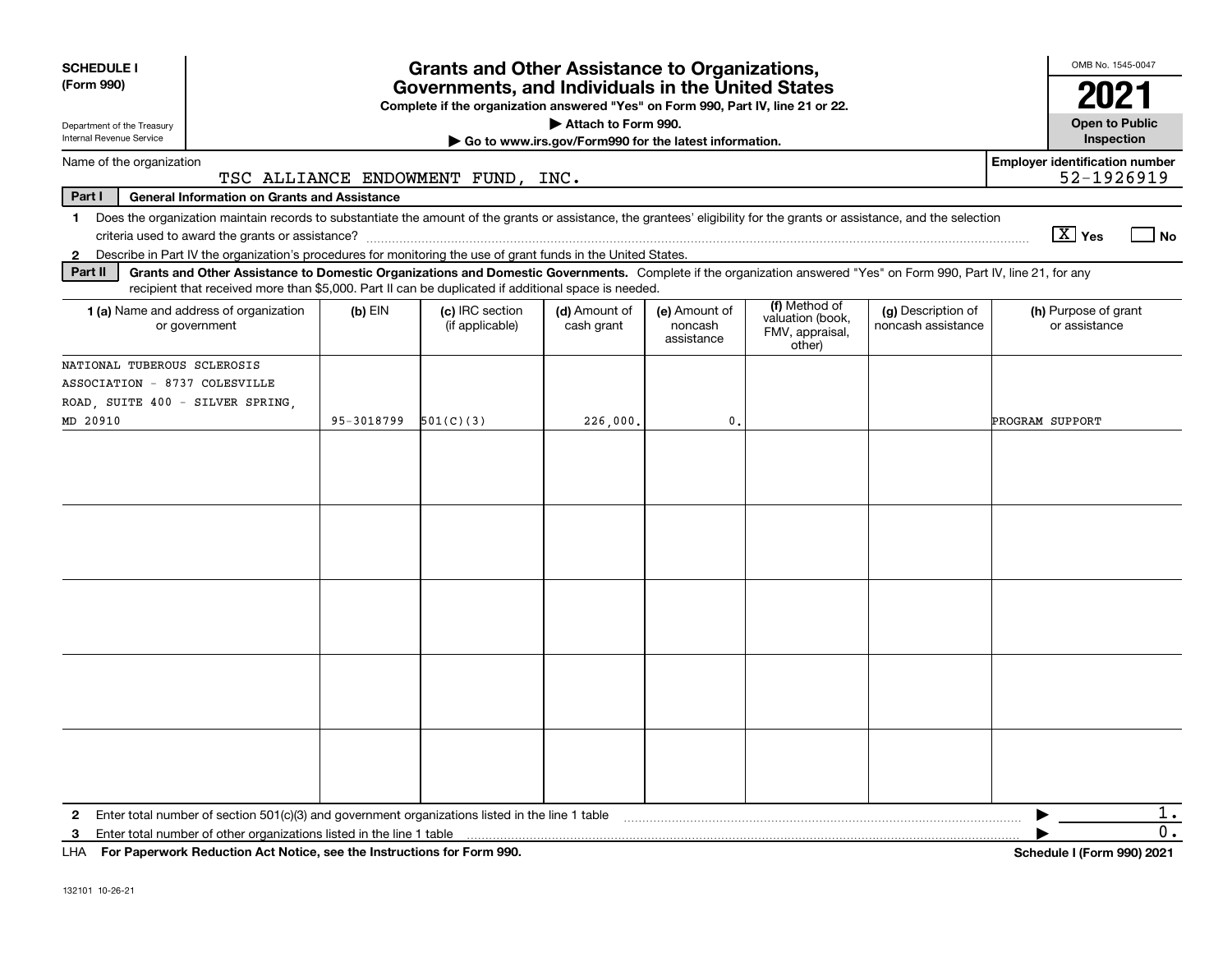| <b>SCHEDULE I</b><br>(Form 990)                                                                                                                                                            |                                                     |            | <b>Grants and Other Assistance to Organizations,</b><br>Governments, and Individuals in the United States                                                                                                                                                                 |                                                                              |                                        |                                                                |                                          | OMB No. 1545-0047                                   |
|--------------------------------------------------------------------------------------------------------------------------------------------------------------------------------------------|-----------------------------------------------------|------------|---------------------------------------------------------------------------------------------------------------------------------------------------------------------------------------------------------------------------------------------------------------------------|------------------------------------------------------------------------------|----------------------------------------|----------------------------------------------------------------|------------------------------------------|-----------------------------------------------------|
|                                                                                                                                                                                            |                                                     |            | Complete if the organization answered "Yes" on Form 990, Part IV, line 21 or 22.                                                                                                                                                                                          |                                                                              |                                        |                                                                |                                          | 2021                                                |
| Department of the Treasury<br>Internal Revenue Service                                                                                                                                     |                                                     |            |                                                                                                                                                                                                                                                                           | Attach to Form 990.<br>Go to www.irs.gov/Form990 for the latest information. |                                        |                                                                |                                          | <b>Open to Public</b><br>Inspection                 |
| Name of the organization                                                                                                                                                                   |                                                     |            | TSC ALLIANCE ENDOWMENT FUND, INC.                                                                                                                                                                                                                                         |                                                                              |                                        |                                                                |                                          | <b>Employer identification number</b><br>52-1926919 |
| Part I                                                                                                                                                                                     | <b>General Information on Grants and Assistance</b> |            |                                                                                                                                                                                                                                                                           |                                                                              |                                        |                                                                |                                          |                                                     |
| 1 Does the organization maintain records to substantiate the amount of the grants or assistance, the grantees' eligibility for the grants or assistance, and the selection<br>$\mathbf{2}$ |                                                     |            | Describe in Part IV the organization's procedures for monitoring the use of grant funds in the United States.                                                                                                                                                             |                                                                              |                                        |                                                                |                                          | $\boxed{\text{X}}$ Yes<br>  No                      |
| Part II                                                                                                                                                                                    |                                                     |            | Grants and Other Assistance to Domestic Organizations and Domestic Governments. Complete if the organization answered "Yes" on Form 990, Part IV, line 21, for any<br>recipient that received more than \$5,000. Part II can be duplicated if additional space is needed. |                                                                              |                                        |                                                                |                                          |                                                     |
| 1 (a) Name and address of organization<br>or government                                                                                                                                    |                                                     | $(b)$ EIN  | (c) IRC section<br>(if applicable)                                                                                                                                                                                                                                        | (d) Amount of<br>cash grant                                                  | (e) Amount of<br>noncash<br>assistance | (f) Method of<br>valuation (book,<br>FMV, appraisal,<br>other) | (g) Description of<br>noncash assistance | (h) Purpose of grant<br>or assistance               |
| NATIONAL TUBEROUS SCLEROSIS<br>ASSOCIATION - 8737 COLESVILLE<br>ROAD, SUITE 400 - SILVER SPRING,<br>MD 20910                                                                               |                                                     | 95-3018799 | 501(C)(3)                                                                                                                                                                                                                                                                 | 226,000.                                                                     | 0.                                     |                                                                |                                          | PROGRAM SUPPORT                                     |
|                                                                                                                                                                                            |                                                     |            |                                                                                                                                                                                                                                                                           |                                                                              |                                        |                                                                |                                          |                                                     |
|                                                                                                                                                                                            |                                                     |            |                                                                                                                                                                                                                                                                           |                                                                              |                                        |                                                                |                                          |                                                     |
|                                                                                                                                                                                            |                                                     |            |                                                                                                                                                                                                                                                                           |                                                                              |                                        |                                                                |                                          |                                                     |
|                                                                                                                                                                                            |                                                     |            |                                                                                                                                                                                                                                                                           |                                                                              |                                        |                                                                |                                          |                                                     |
|                                                                                                                                                                                            |                                                     |            |                                                                                                                                                                                                                                                                           |                                                                              |                                        |                                                                |                                          |                                                     |
| $\mathbf{2}$                                                                                                                                                                               |                                                     |            | Enter total number of section 501(c)(3) and government organizations listed in the line 1 table                                                                                                                                                                           |                                                                              |                                        |                                                                |                                          | $1$ .                                               |
| Enter total number of other organizations listed in the line 1 table<br>3<br>LHA For Paperwork Reduction Act Notice, see the Instructions for Form 990.                                    |                                                     |            |                                                                                                                                                                                                                                                                           |                                                                              |                                        |                                                                |                                          | 0.<br>Schedule I (Form 990) 2021                    |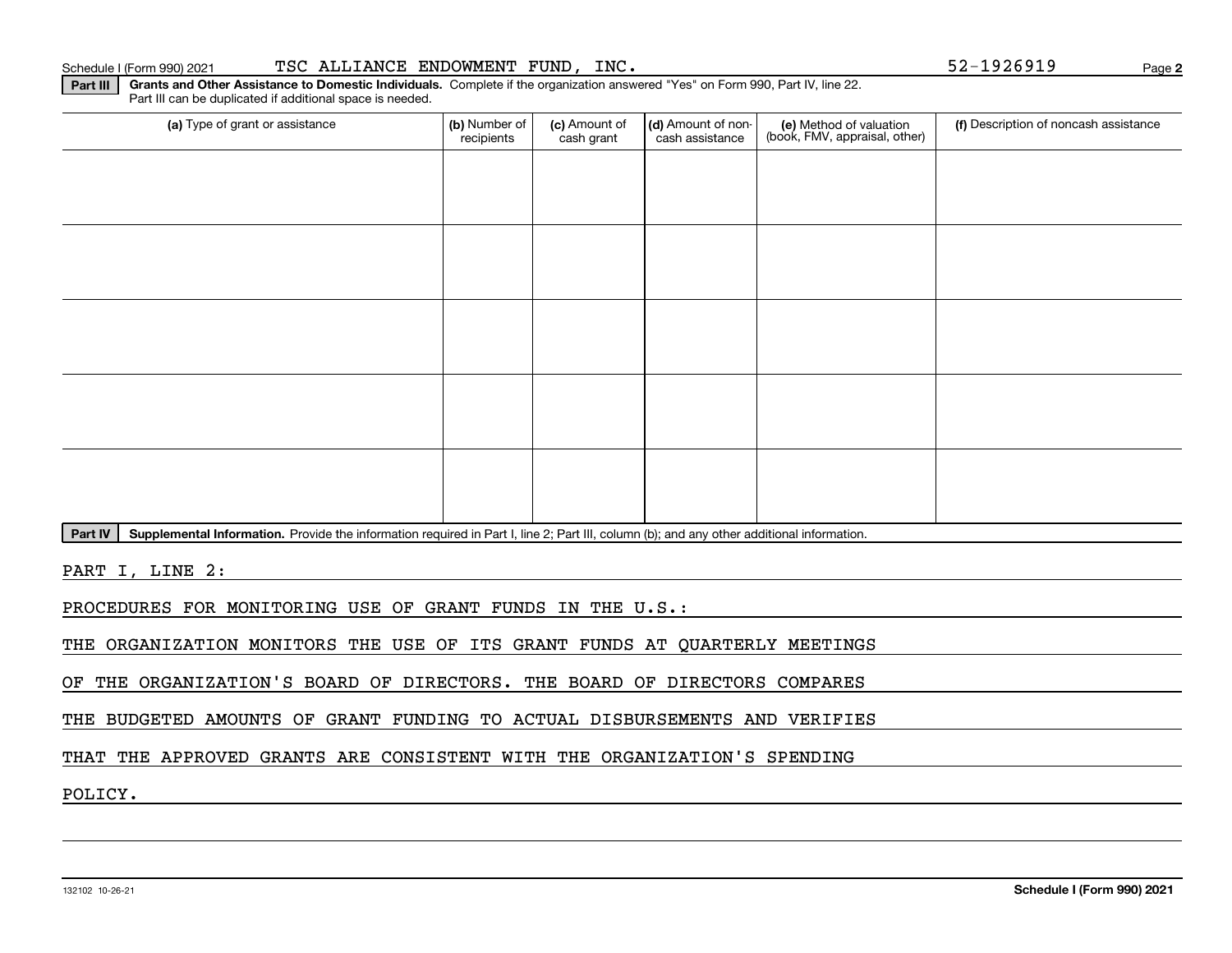**Part III Grants and Other Assistance to Domestic Individuals.**  Complete if the organization answered "Yes" on Form 990, Part IV, line 22.

recipients

(a) Type of grant or assistance **Audity Commet Audio Commet Commet Commet Commet Commet Commet Commet Commet Comme** 

(c) Amount of cash grant

(d) Amount of noncash assistance

Part IV | Supplemental Information. Provide the information required in Part I, line 2; Part III, column (b); and any other additional information.

PART I, LINE 2:

PROCEDURES FOR MONITORING USE OF GRANT FUNDS IN THE U.S.:

THE ORGANIZATION MONITORS THE USE OF ITS GRANT FUNDS AT QUARTERLY MEETINGS

OF THE ORGANIZATION'S BOARD OF DIRECTORS. THE BOARD OF DIRECTORS COMPARES

THE BUDGETED AMOUNTS OF GRANT FUNDING TO ACTUAL DISBURSEMENTS AND VERIFIES

THAT THE APPROVED GRANTS ARE CONSISTENT WITH THE ORGANIZATION'S SPENDING

POLICY.

#### Schedule I (Form 990) 2021 Page TSC ALLIANCE ENDOWMENT FUND, INC. 52-1926919

Part III can be duplicated if additional space is needed.

(f) Description of noncash assistance

(e) Method of valuation (book, FMV, appraisal, other)

**Schedule I (Form 990) 2021**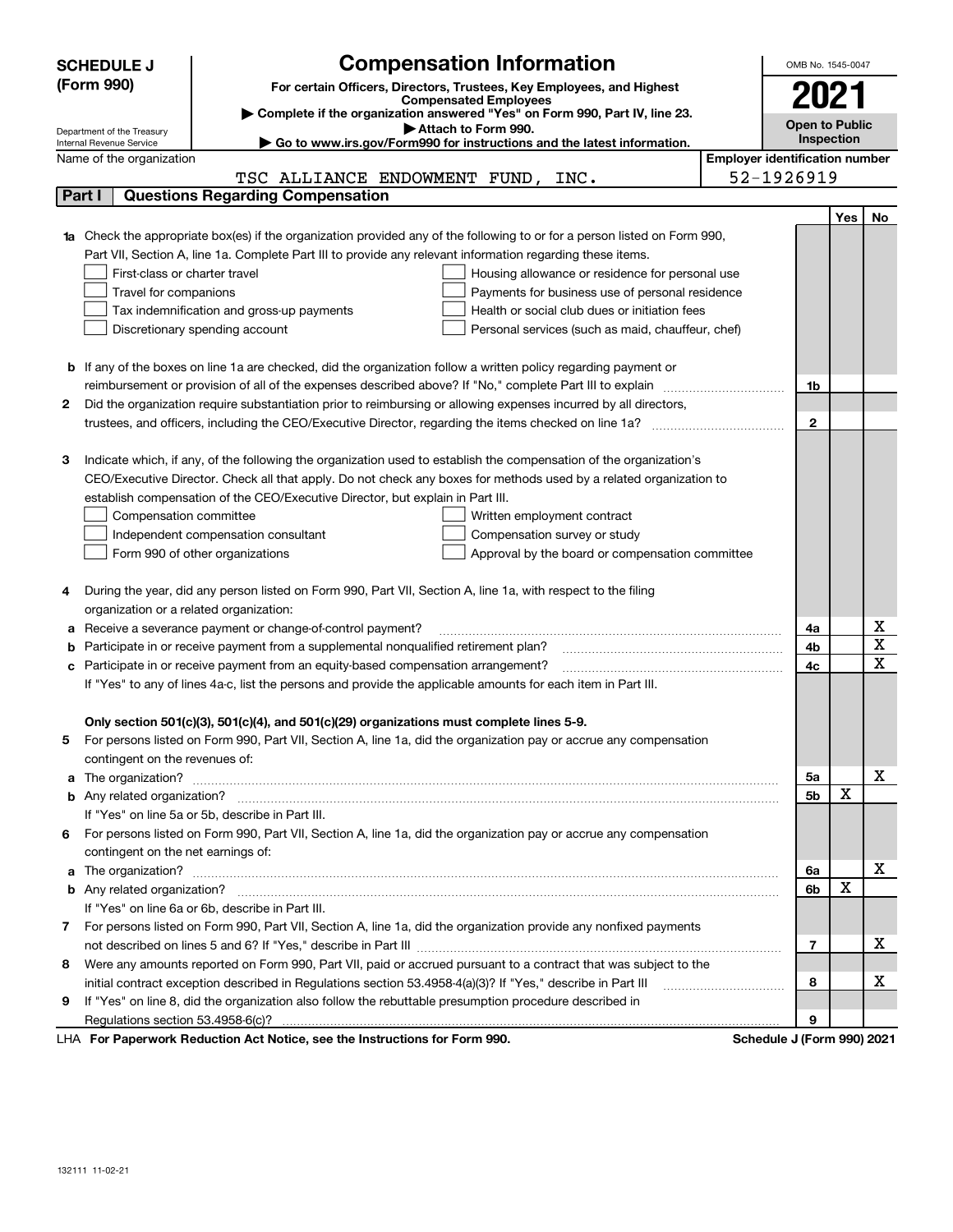|   | <b>SCHEDULE J</b>                                      | <b>Compensation Information</b>                                                                                                                                                                               | OMB No. 1545-0047                     |     |        |  |  |
|---|--------------------------------------------------------|---------------------------------------------------------------------------------------------------------------------------------------------------------------------------------------------------------------|---------------------------------------|-----|--------|--|--|
|   | (Form 990)                                             | For certain Officers, Directors, Trustees, Key Employees, and Highest                                                                                                                                         |                                       |     |        |  |  |
|   |                                                        | <b>Compensated Employees</b>                                                                                                                                                                                  | 2021                                  |     |        |  |  |
|   |                                                        | Complete if the organization answered "Yes" on Form 990, Part IV, line 23.<br>Attach to Form 990.                                                                                                             | <b>Open to Public</b>                 |     |        |  |  |
|   | Department of the Treasury<br>Internal Revenue Service | ► Go to www.irs.gov/Form990 for instructions and the latest information.                                                                                                                                      | Inspection                            |     |        |  |  |
|   | Name of the organization                               |                                                                                                                                                                                                               | <b>Employer identification number</b> |     |        |  |  |
|   |                                                        | TSC ALLIANCE ENDOWMENT FUND, INC.                                                                                                                                                                             | 52-1926919                            |     |        |  |  |
|   | Part I                                                 | <b>Questions Regarding Compensation</b>                                                                                                                                                                       |                                       |     |        |  |  |
|   |                                                        |                                                                                                                                                                                                               |                                       | Yes | No     |  |  |
|   |                                                        | Check the appropriate box(es) if the organization provided any of the following to or for a person listed on Form 990,                                                                                        |                                       |     |        |  |  |
|   |                                                        | Part VII, Section A, line 1a. Complete Part III to provide any relevant information regarding these items.                                                                                                    |                                       |     |        |  |  |
|   | First-class or charter travel                          | Housing allowance or residence for personal use                                                                                                                                                               |                                       |     |        |  |  |
|   | Travel for companions                                  | Payments for business use of personal residence                                                                                                                                                               |                                       |     |        |  |  |
|   |                                                        | Health or social club dues or initiation fees<br>Tax indemnification and gross-up payments                                                                                                                    |                                       |     |        |  |  |
|   |                                                        | Discretionary spending account<br>Personal services (such as maid, chauffeur, chef)                                                                                                                           |                                       |     |        |  |  |
|   |                                                        |                                                                                                                                                                                                               |                                       |     |        |  |  |
|   |                                                        | <b>b</b> If any of the boxes on line 1a are checked, did the organization follow a written policy regarding payment or                                                                                        |                                       |     |        |  |  |
|   |                                                        | reimbursement or provision of all of the expenses described above? If "No," complete Part III to explain                                                                                                      | 1b                                    |     |        |  |  |
| 2 |                                                        | Did the organization require substantiation prior to reimbursing or allowing expenses incurred by all directors,                                                                                              |                                       |     |        |  |  |
|   |                                                        |                                                                                                                                                                                                               | $\mathbf{2}$                          |     |        |  |  |
|   |                                                        |                                                                                                                                                                                                               |                                       |     |        |  |  |
| З |                                                        | Indicate which, if any, of the following the organization used to establish the compensation of the organization's                                                                                            |                                       |     |        |  |  |
|   |                                                        | CEO/Executive Director. Check all that apply. Do not check any boxes for methods used by a related organization to                                                                                            |                                       |     |        |  |  |
|   |                                                        | establish compensation of the CEO/Executive Director, but explain in Part III.                                                                                                                                |                                       |     |        |  |  |
|   | Compensation committee                                 | Written employment contract                                                                                                                                                                                   |                                       |     |        |  |  |
|   |                                                        | Compensation survey or study<br>Independent compensation consultant                                                                                                                                           |                                       |     |        |  |  |
|   |                                                        | Form 990 of other organizations<br>Approval by the board or compensation committee                                                                                                                            |                                       |     |        |  |  |
|   |                                                        |                                                                                                                                                                                                               |                                       |     |        |  |  |
| 4 |                                                        | During the year, did any person listed on Form 990, Part VII, Section A, line 1a, with respect to the filing                                                                                                  |                                       |     |        |  |  |
|   | organization or a related organization:                |                                                                                                                                                                                                               |                                       |     |        |  |  |
| а |                                                        | Receive a severance payment or change-of-control payment?                                                                                                                                                     | 4a                                    |     | х<br>X |  |  |
| b |                                                        | Participate in or receive payment from a supplemental nonqualified retirement plan?                                                                                                                           | 4b                                    |     | x      |  |  |
| c |                                                        | Participate in or receive payment from an equity-based compensation arrangement?                                                                                                                              | 4с                                    |     |        |  |  |
|   |                                                        | If "Yes" to any of lines 4a-c, list the persons and provide the applicable amounts for each item in Part III.                                                                                                 |                                       |     |        |  |  |
|   |                                                        |                                                                                                                                                                                                               |                                       |     |        |  |  |
| 5 |                                                        | Only section 501(c)(3), 501(c)(4), and 501(c)(29) organizations must complete lines 5-9.<br>For persons listed on Form 990, Part VII, Section A, line 1a, did the organization pay or accrue any compensation |                                       |     |        |  |  |
|   | contingent on the revenues of:                         |                                                                                                                                                                                                               |                                       |     |        |  |  |
| a |                                                        |                                                                                                                                                                                                               | 5a                                    |     | x      |  |  |
|   |                                                        |                                                                                                                                                                                                               | 5b                                    | X   |        |  |  |
|   |                                                        | If "Yes" on line 5a or 5b, describe in Part III.                                                                                                                                                              |                                       |     |        |  |  |
|   |                                                        | 6 For persons listed on Form 990, Part VII, Section A, line 1a, did the organization pay or accrue any compensation                                                                                           |                                       |     |        |  |  |
|   | contingent on the net earnings of:                     |                                                                                                                                                                                                               |                                       |     |        |  |  |
| a |                                                        | The organization? <b>With the organization? With the organization?</b>                                                                                                                                        | 6a                                    |     | х      |  |  |
|   |                                                        |                                                                                                                                                                                                               | 6b                                    | Х   |        |  |  |
|   |                                                        | If "Yes" on line 6a or 6b, describe in Part III.                                                                                                                                                              |                                       |     |        |  |  |
| 7 |                                                        | For persons listed on Form 990, Part VII, Section A, line 1a, did the organization provide any nonfixed payments                                                                                              |                                       |     |        |  |  |
|   |                                                        |                                                                                                                                                                                                               | 7                                     |     | х      |  |  |
| 8 |                                                        | Were any amounts reported on Form 990, Part VII, paid or accrued pursuant to a contract that was subject to the                                                                                               |                                       |     |        |  |  |
|   |                                                        | initial contract exception described in Regulations section 53.4958-4(a)(3)? If "Yes," describe in Part III                                                                                                   | 8                                     |     | х      |  |  |
| 9 |                                                        | If "Yes" on line 8, did the organization also follow the rebuttable presumption procedure described in                                                                                                        |                                       |     |        |  |  |
|   |                                                        |                                                                                                                                                                                                               | 9                                     |     |        |  |  |
|   |                                                        |                                                                                                                                                                                                               |                                       |     |        |  |  |

LHA For Paperwork Reduction Act Notice, see the Instructions for Form 990. Schedule J (Form 990) 2021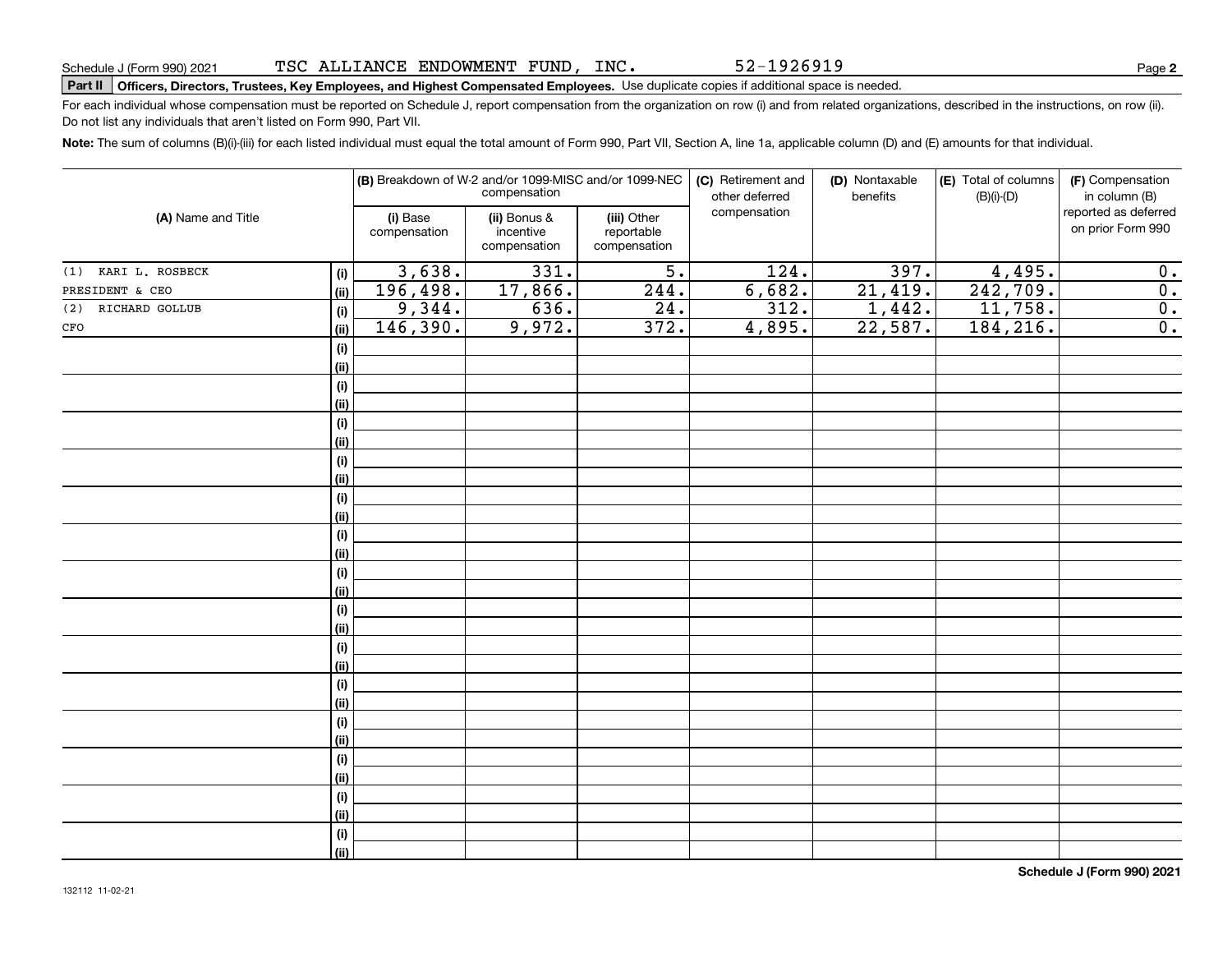52-1926919

# **Part II Officers, Directors, Trustees, Key Employees, and Highest Compensated Employees.**  Schedule J (Form 990) 2021 Page Use duplicate copies if additional space is needed.

For each individual whose compensation must be reported on Schedule J, report compensation from the organization on row (i) and from related organizations, described in the instructions, on row (ii). Do not list any individuals that aren't listed on Form 990, Part VII.

**Note:**  The sum of columns (B)(i)-(iii) for each listed individual must equal the total amount of Form 990, Part VII, Section A, line 1a, applicable column (D) and (E) amounts for that individual.

|                        |                   |                          | (B) Breakdown of W-2 and/or 1099-MISC and/or 1099-NEC<br>compensation |                                           | (C) Retirement and<br>other deferred | (D) Nontaxable<br>benefits | (E) Total of columns<br>$(B)(i)-(D)$ | (F) Compensation<br>in column (B)         |
|------------------------|-------------------|--------------------------|-----------------------------------------------------------------------|-------------------------------------------|--------------------------------------|----------------------------|--------------------------------------|-------------------------------------------|
| (A) Name and Title     |                   | (i) Base<br>compensation | (ii) Bonus &<br>incentive<br>compensation                             | (iii) Other<br>reportable<br>compensation | compensation                         |                            |                                      | reported as deferred<br>on prior Form 990 |
| (1) KARI L. ROSBECK    | (i)               | 3,638.                   | 331.                                                                  | $\overline{5}$ .                          | 124.                                 | 397.                       | 4,495.                               | 0.                                        |
| PRESIDENT & CEO        | (ii)              | 196,498.                 | 17,866.                                                               | 244.                                      | 6,682.                               | 21,419.                    | 242,709.                             | $\overline{\mathbf{0}}$ .                 |
| RICHARD GOLLUB<br>(2)  | (i)               | 9,344.                   | 636.                                                                  | $\overline{24}$ .                         | 312.                                 | 1,442.                     | 11,758.                              | $\overline{\mathbf{0}}$ .                 |
| $_{\mbox{\small CFO}}$ | (ii)              | 146,390.                 | 9,972.                                                                | 372.                                      | 4,895.                               | 22,587.                    | 184, 216.                            | $\overline{\mathbf{0}}$ .                 |
|                        | (i)               |                          |                                                                       |                                           |                                      |                            |                                      |                                           |
|                        | (ii)              |                          |                                                                       |                                           |                                      |                            |                                      |                                           |
|                        | (i)               |                          |                                                                       |                                           |                                      |                            |                                      |                                           |
|                        | (i)               |                          |                                                                       |                                           |                                      |                            |                                      |                                           |
|                        | (i)               |                          |                                                                       |                                           |                                      |                            |                                      |                                           |
|                        | (i)               |                          |                                                                       |                                           |                                      |                            |                                      |                                           |
|                        | (i)               |                          |                                                                       |                                           |                                      |                            |                                      |                                           |
|                        | (i)               |                          |                                                                       |                                           |                                      |                            |                                      |                                           |
|                        | $(\sf{i})$        |                          |                                                                       |                                           |                                      |                            |                                      |                                           |
|                        | (ii)              |                          |                                                                       |                                           |                                      |                            |                                      |                                           |
|                        | $(\sf{i})$        |                          |                                                                       |                                           |                                      |                            |                                      |                                           |
|                        | (i)               |                          |                                                                       |                                           |                                      |                            |                                      |                                           |
|                        | $(\sf{i})$        |                          |                                                                       |                                           |                                      |                            |                                      |                                           |
|                        | (i)               |                          |                                                                       |                                           |                                      |                            |                                      |                                           |
|                        | $(\sf{i})$        |                          |                                                                       |                                           |                                      |                            |                                      |                                           |
|                        | (i)               |                          |                                                                       |                                           |                                      |                            |                                      |                                           |
|                        | $(\sf{i})$        |                          |                                                                       |                                           |                                      |                            |                                      |                                           |
|                        | (i)               |                          |                                                                       |                                           |                                      |                            |                                      |                                           |
|                        | $(\sf{i})$        |                          |                                                                       |                                           |                                      |                            |                                      |                                           |
|                        | (i)               |                          |                                                                       |                                           |                                      |                            |                                      |                                           |
|                        | $(\sf{i})$        |                          |                                                                       |                                           |                                      |                            |                                      |                                           |
|                        | (i)               |                          |                                                                       |                                           |                                      |                            |                                      |                                           |
|                        | $(\sf{i})$<br>(i) |                          |                                                                       |                                           |                                      |                            |                                      |                                           |
|                        | $(\sf{i})$        |                          |                                                                       |                                           |                                      |                            |                                      |                                           |
|                        | (i)               |                          |                                                                       |                                           |                                      |                            |                                      |                                           |
|                        | $(\sf{i})$        |                          |                                                                       |                                           |                                      |                            |                                      |                                           |
|                        | (ii)              |                          |                                                                       |                                           |                                      |                            |                                      |                                           |
|                        |                   |                          |                                                                       |                                           |                                      |                            |                                      |                                           |

**Schedule J (Form 990) 2021**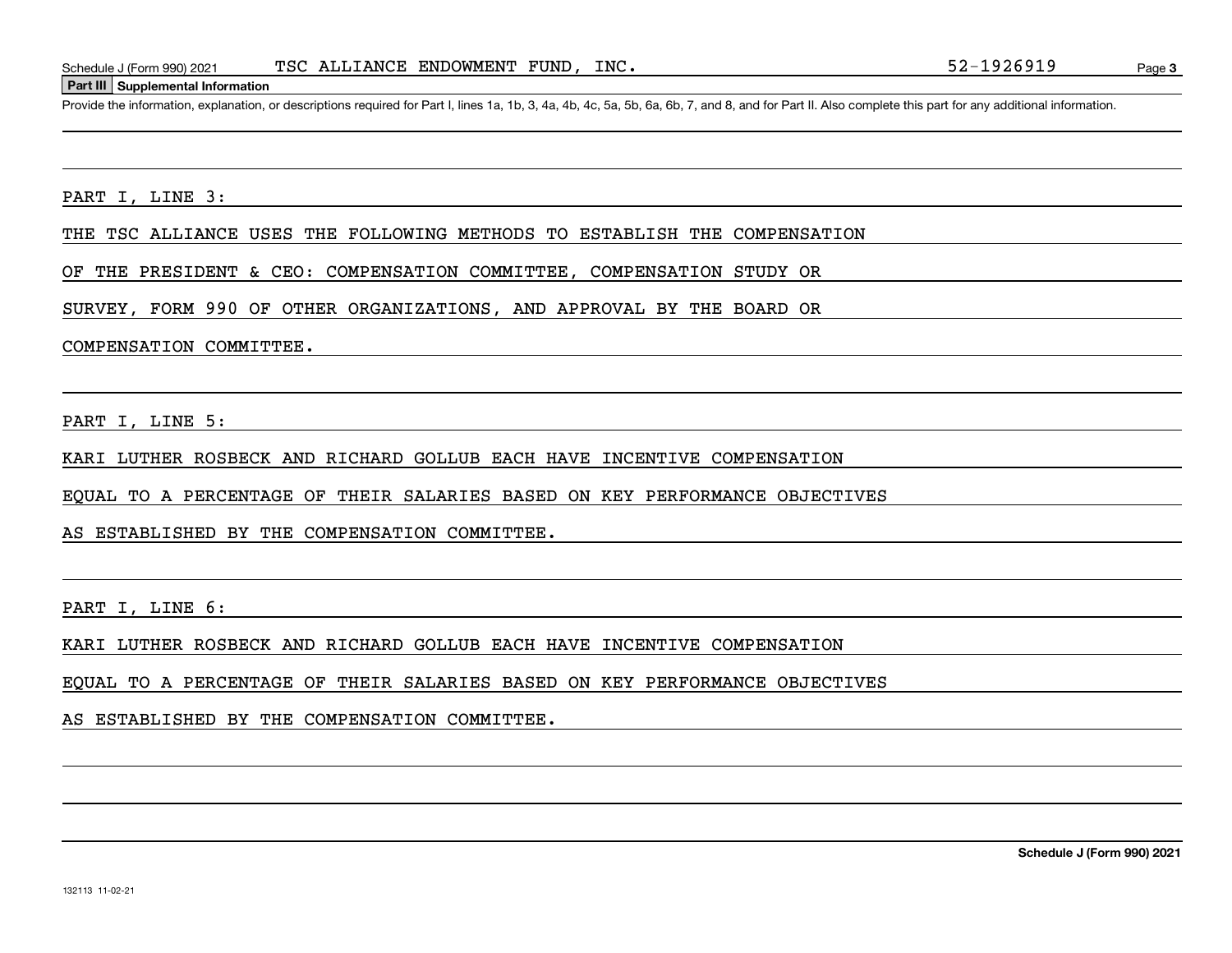#### **Part III Supplemental Information**

Schedule J (Form 990) 2021 TSC ALLIANCE ENDOWMENT FUND, INC.<br>Part III Supplemental Information<br>Provide the information, explanation, or descriptions required for Part I, lines 1a, 1b, 3, 4a, 4b, 4c, 5a, 5b, 6a, 6b, 7, and

#### PART I, LINE 3:

THE TSC ALLIANCE USES THE FOLLOWING METHODS TO ESTABLISH THE COMPENSATION

OF THE PRESIDENT & CEO: COMPENSATION COMMITTEE, COMPENSATION STUDY OR

SURVEY, FORM 990 OF OTHER ORGANIZATIONS, AND APPROVAL BY THE BOARD OR

#### COMPENSATION COMMITTEE.

PART I, LINE 5:

KARI LUTHER ROSBECK AND RICHARD GOLLUB EACH HAVE INCENTIVE COMPENSATION

EQUAL TO A PERCENTAGE OF THEIR SALARIES BASED ON KEY PERFORMANCE OBJECTIVES

AS ESTABLISHED BY THE COMPENSATION COMMITTEE.

PART I, LINE 6:

KARI LUTHER ROSBECK AND RICHARD GOLLUB EACH HAVE INCENTIVE COMPENSATION

EQUAL TO A PERCENTAGE OF THEIR SALARIES BASED ON KEY PERFORMANCE OBJECTIVES

AS ESTABLISHED BY THE COMPENSATION COMMITTEE.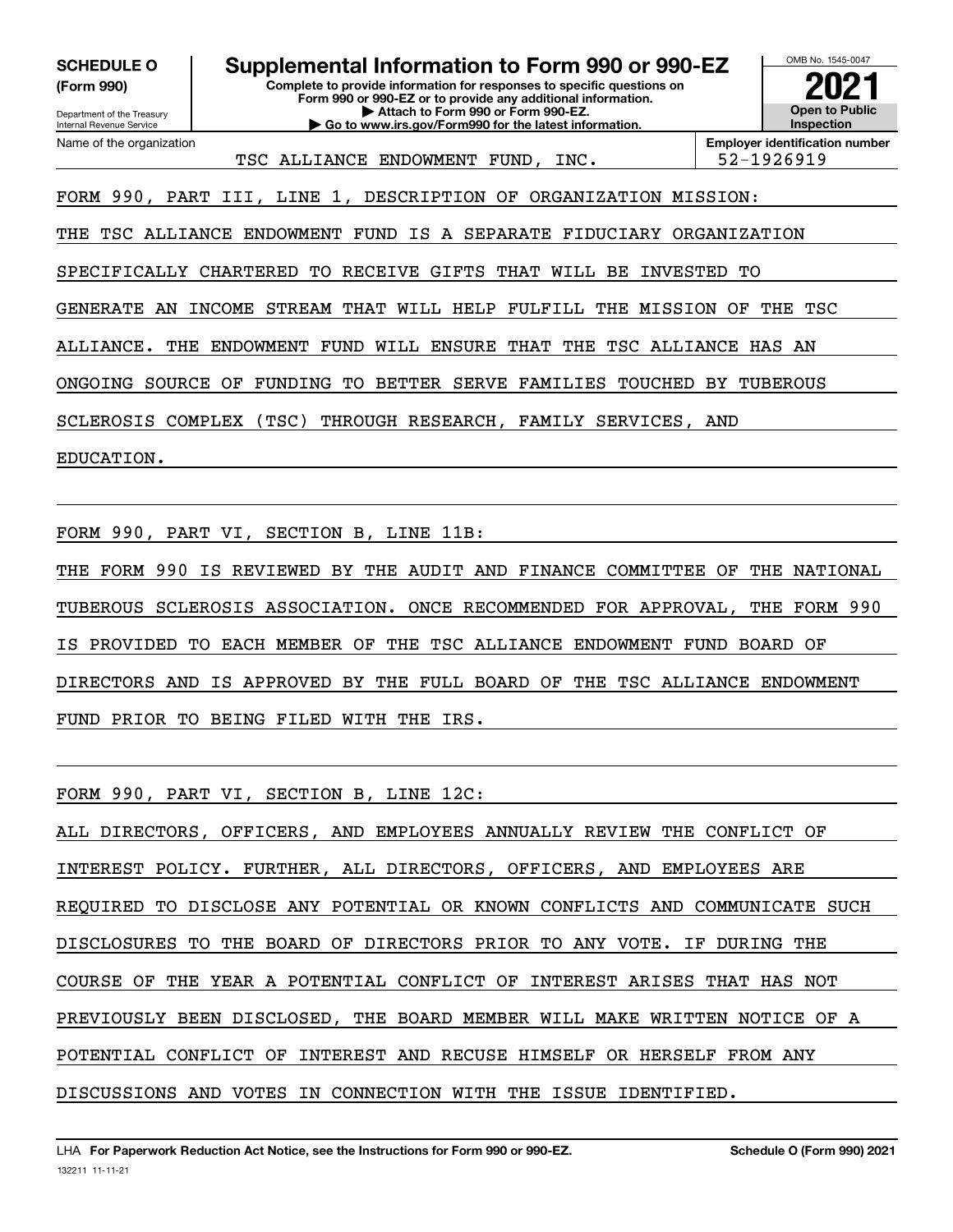**(Form 990)**

Department of the Treasury Internal Revenue Service Name of the organization

**Complete to provide information for responses to specific questions on Form 990 or 990-EZ or to provide any additional information. | Attach to Form 990 or Form 990-EZ. | Go to www.irs.gov/Form990 for the latest information. SCHEDULE O Supplemental Information to Form 990 or 990-EZ**



TSC ALLIANCE ENDOWMENT FUND, INC. 52-1926919

**Employer identification number**

FORM 990, PART III, LINE 1, DESCRIPTION OF ORGANIZATION MISSION:

THE TSC ALLIANCE ENDOWMENT FUND IS A SEPARATE FIDUCIARY ORGANIZATION

SPECIFICALLY CHARTERED TO RECEIVE GIFTS THAT WILL BE INVESTED TO

GENERATE AN INCOME STREAM THAT WILL HELP FULFILL THE MISSION OF THE TSC

ALLIANCE. THE ENDOWMENT FUND WILL ENSURE THAT THE TSC ALLIANCE HAS AN

ONGOING SOURCE OF FUNDING TO BETTER SERVE FAMILIES TOUCHED BY TUBEROUS

SCLEROSIS COMPLEX (TSC) THROUGH RESEARCH, FAMILY SERVICES, AND

EDUCATION.

FORM 990, PART VI, SECTION B, LINE 11B:

THE FORM 990 IS REVIEWED BY THE AUDIT AND FINANCE COMMITTEE OF THE NATIONAL TUBEROUS SCLEROSIS ASSOCIATION. ONCE RECOMMENDED FOR APPROVAL, THE FORM 990 IS PROVIDED TO EACH MEMBER OF THE TSC ALLIANCE ENDOWMENT FUND BOARD OF DIRECTORS AND IS APPROVED BY THE FULL BOARD OF THE TSC ALLIANCE ENDOWMENT FUND PRIOR TO BEING FILED WITH THE IRS.

FORM 990, PART VI, SECTION B, LINE 12C:

ALL DIRECTORS, OFFICERS, AND EMPLOYEES ANNUALLY REVIEW THE CONFLICT OF INTEREST POLICY. FURTHER, ALL DIRECTORS, OFFICERS, AND EMPLOYEES ARE REQUIRED TO DISCLOSE ANY POTENTIAL OR KNOWN CONFLICTS AND COMMUNICATE SUCH DISCLOSURES TO THE BOARD OF DIRECTORS PRIOR TO ANY VOTE. IF DURING THE COURSE OF THE YEAR A POTENTIAL CONFLICT OF INTEREST ARISES THAT HAS NOT PREVIOUSLY BEEN DISCLOSED, THE BOARD MEMBER WILL MAKE WRITTEN NOTICE OF A POTENTIAL CONFLICT OF INTEREST AND RECUSE HIMSELF OR HERSELF FROM ANY DISCUSSIONS AND VOTES IN CONNECTION WITH THE ISSUE IDENTIFIED.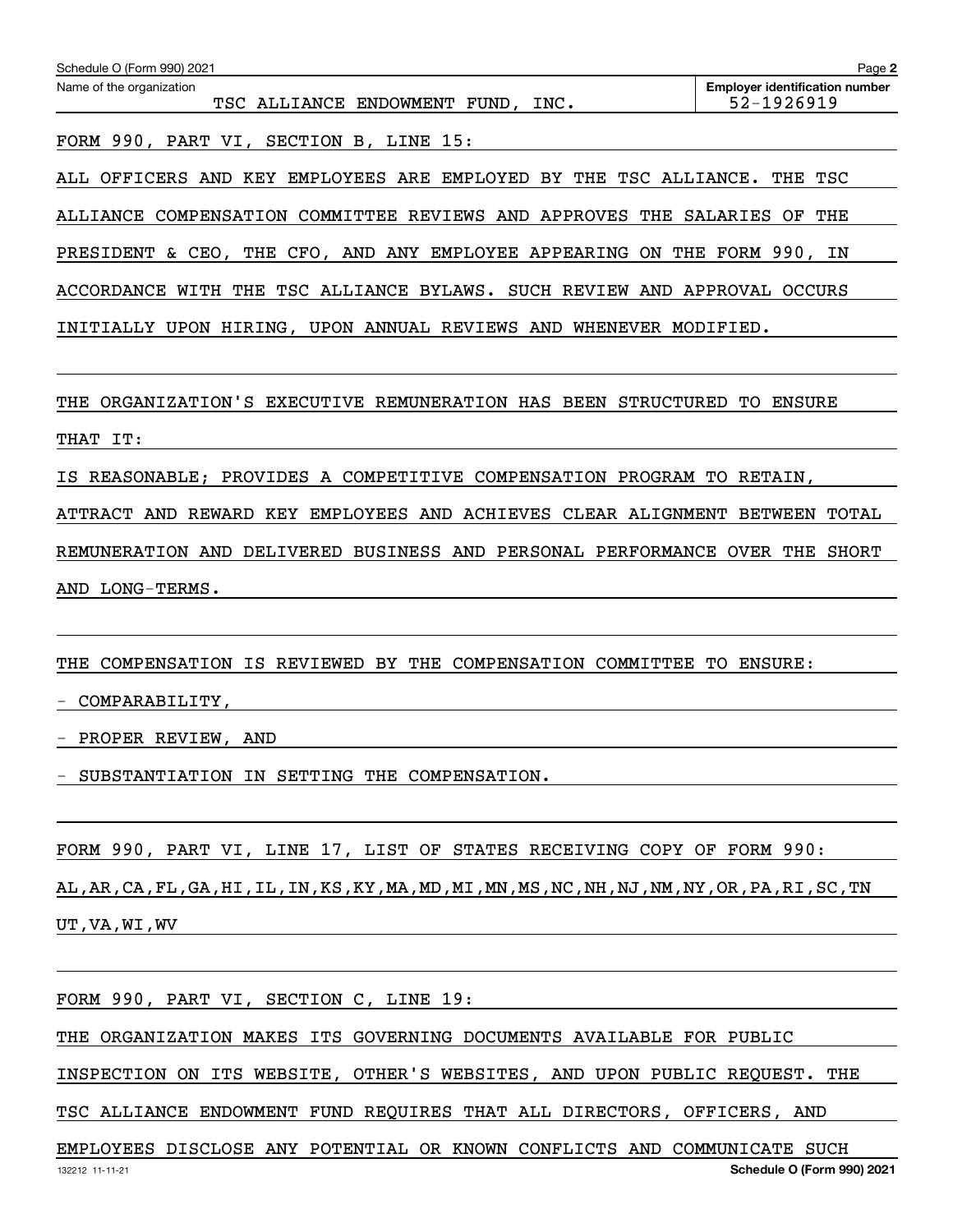| Schedule O (Form 990) 2021<br>Name of the organization                      | Page 2<br><b>Employer identification number</b> |
|-----------------------------------------------------------------------------|-------------------------------------------------|
| TSC ALLIANCE ENDOWMENT FUND, INC.                                           | 52-1926919                                      |
| FORM 990, PART VI, SECTION B, LINE 15:                                      |                                                 |
| ALL OFFICERS AND KEY EMPLOYEES ARE EMPLOYED BY THE TSC ALLIANCE. THE TSC    |                                                 |
| ALLIANCE COMPENSATION COMMITTEE REVIEWS AND APPROVES THE SALARIES OF THE    |                                                 |
| PRESIDENT & CEO, THE CFO, AND ANY EMPLOYEE APPEARING ON THE FORM 990, IN    |                                                 |
| ACCORDANCE WITH THE TSC ALLIANCE BYLAWS. SUCH REVIEW AND APPROVAL OCCURS    |                                                 |
| INITIALLY UPON HIRING, UPON ANNUAL REVIEWS AND WHENEVER MODIFIED.           |                                                 |
|                                                                             |                                                 |
| THE ORGANIZATION'S EXECUTIVE REMUNERATION HAS BEEN STRUCTURED TO ENSURE     |                                                 |
| THAT IT:                                                                    |                                                 |
| IS REASONABLE; PROVIDES A COMPETITIVE COMPENSATION PROGRAM TO RETAIN,       |                                                 |
| ATTRACT AND REWARD KEY EMPLOYEES AND ACHIEVES CLEAR ALIGNMENT BETWEEN TOTAL |                                                 |
| REMUNERATION AND DELIVERED BUSINESS AND PERSONAL PERFORMANCE OVER THE SHORT |                                                 |
| AND LONG-TERMS.                                                             |                                                 |
|                                                                             |                                                 |
| THE COMPENSATION IS REVIEWED BY THE COMPENSATION COMMITTEE TO ENSURE:       |                                                 |
| COMPARABILITY,                                                              |                                                 |
| PROPER REVIEW, AND                                                          |                                                 |
| - SUBSTANTIATION IN SETTING THE COMPENSATION.                               |                                                 |

FORM 990, PART VI, LINE 17, LIST OF STATES RECEIVING COPY OF FORM 990: AL,AR,CA,FL,GA,HI,IL,IN,KS,KY,MA,MD,MI,MN,MS,NC,NH,NJ,NM,NY,OR,PA,RI,SC,TN

UT,VA,WI,WV

FORM 990, PART VI, SECTION C, LINE 19:

THE ORGANIZATION MAKES ITS GOVERNING DOCUMENTS AVAILABLE FOR PUBLIC

INSPECTION ON ITS WEBSITE, OTHER'S WEBSITES, AND UPON PUBLIC REQUEST. THE

TSC ALLIANCE ENDOWMENT FUND REQUIRES THAT ALL DIRECTORS, OFFICERS, AND

132212 11-11-21 **Schedule O (Form 990) 2021** EMPLOYEES DISCLOSE ANY POTENTIAL OR KNOWN CONFLICTS AND COMMUNICATE SUCH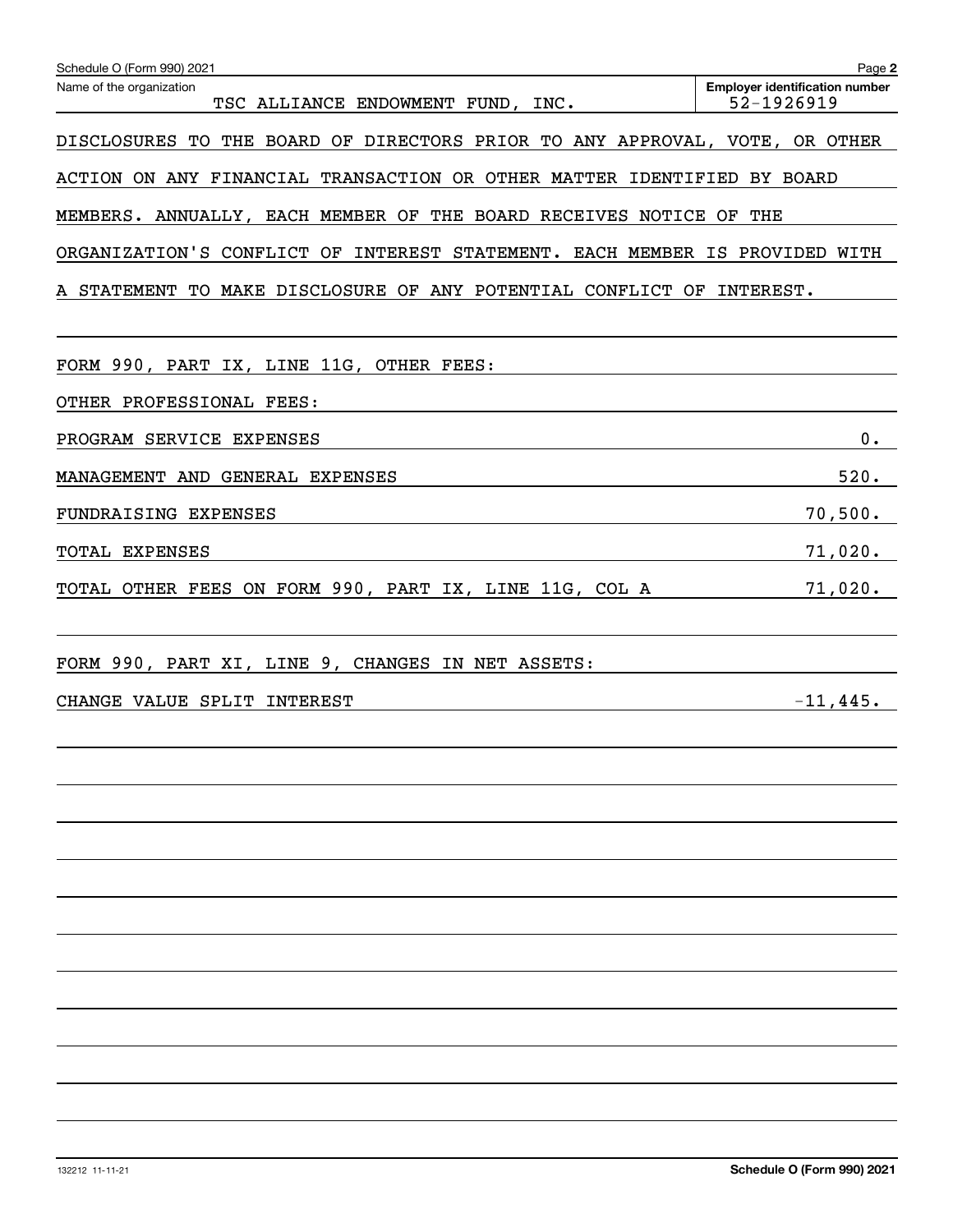| Schedule O (Form 990) 2021                                                  | Page 2                                              |
|-----------------------------------------------------------------------------|-----------------------------------------------------|
| Name of the organization<br>TSC ALLIANCE ENDOWMENT FUND, INC.               | <b>Employer identification number</b><br>52-1926919 |
| DISCLOSURES TO THE BOARD OF DIRECTORS PRIOR TO ANY APPROVAL, VOTE, OR OTHER |                                                     |
| ACTION ON ANY FINANCIAL TRANSACTION OR OTHER MATTER IDENTIFIED BY BOARD     |                                                     |
| MEMBERS. ANNUALLY, EACH MEMBER OF THE BOARD RECEIVES NOTICE OF THE          |                                                     |
| ORGANIZATION'S CONFLICT OF INTEREST STATEMENT. EACH MEMBER IS PROVIDED WITH |                                                     |
| A STATEMENT TO MAKE DISCLOSURE OF ANY POTENTIAL CONFLICT OF INTEREST.       |                                                     |
| FORM 990, PART IX, LINE 11G, OTHER FEES:                                    |                                                     |
| OTHER PROFESSIONAL FEES:                                                    |                                                     |
| PROGRAM SERVICE EXPENSES                                                    | $0$ .                                               |
| MANAGEMENT AND GENERAL EXPENSES                                             | 520.                                                |
| FUNDRAISING EXPENSES                                                        | 70,500.                                             |
| TOTAL EXPENSES                                                              | 71,020.                                             |
| TOTAL OTHER FEES ON FORM 990, PART IX, LINE 11G, COL A                      | 71,020.                                             |
| FORM 990, PART XI, LINE 9, CHANGES IN NET ASSETS:                           |                                                     |
| CHANGE VALUE SPLIT INTEREST                                                 | $-11,445.$                                          |
|                                                                             |                                                     |
|                                                                             |                                                     |
|                                                                             |                                                     |
|                                                                             |                                                     |
|                                                                             |                                                     |
|                                                                             |                                                     |
|                                                                             |                                                     |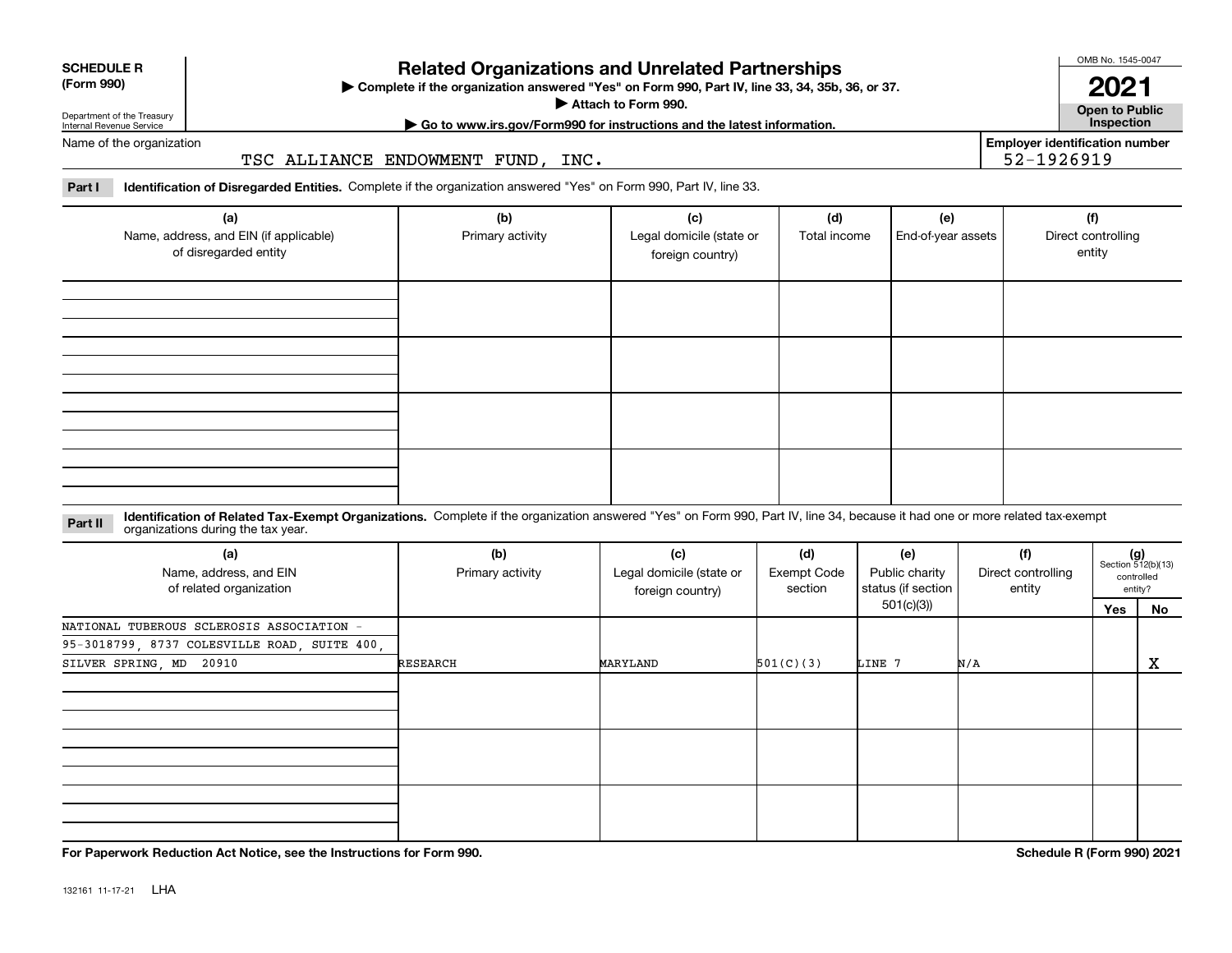| <b>SCHEDULE R</b> |
|-------------------|
| ----              |

#### **(Form 990)**

### **Related Organizations and Unrelated Partnerships**

**Complete if the organization answered "Yes" on Form 990, Part IV, line 33, 34, 35b, 36, or 37.** |

**Attach to Form 990.**  |

OMB No. 1545-0047

**Open to Public | Go to www.irs.gov/Form990 for instructions and the latest information. Inspection 2021**

**Employer identification number**

52-1926919

Department of the Treasury Internal Revenue Service Name of the organization

TSC ALLIANCE ENDOWMENT FUND, INC.

**Part I Identification of Disregarded Entities.**  Complete if the organization answered "Yes" on Form 990, Part IV, line 33.

| (a)<br>Name, address, and EIN (if applicable)<br>of disregarded entity | (b)<br>Primary activity | (c)<br>Legal domicile (state or<br>foreign country) | (d)<br>Total income | (e)<br>End-of-year assets | (f)<br>Direct controlling<br>entity |
|------------------------------------------------------------------------|-------------------------|-----------------------------------------------------|---------------------|---------------------------|-------------------------------------|
|                                                                        |                         |                                                     |                     |                           |                                     |
|                                                                        |                         |                                                     |                     |                           |                                     |
|                                                                        |                         |                                                     |                     |                           |                                     |
|                                                                        |                         |                                                     |                     |                           |                                     |

**Identification of Related Tax-Exempt Organizations.** Complete if the organization answered "Yes" on Form 990, Part IV, line 34, because it had one or more related tax-exempt **Part II** organizations during the tax year.

| (a)<br>Name, address, and EIN<br>of related organization | (b)<br>Primary activity | (c)<br>Legal domicile (state or<br>foreign country) | (d)<br>Exempt Code<br>section | (e)<br>Public charity<br>status (if section | (f)<br>Direct controlling<br>entity |     | $(g)$<br>Section 512(b)(13)<br>controlled<br>entity? |  |
|----------------------------------------------------------|-------------------------|-----------------------------------------------------|-------------------------------|---------------------------------------------|-------------------------------------|-----|------------------------------------------------------|--|
|                                                          |                         |                                                     |                               | 501(c)(3))                                  |                                     | Yes | No                                                   |  |
| NATIONAL TUBEROUS SCLEROSIS ASSOCIATION -                |                         |                                                     |                               |                                             |                                     |     |                                                      |  |
| 95-3018799, 8737 COLESVILLE ROAD, SUITE 400,             |                         |                                                     |                               |                                             |                                     |     |                                                      |  |
| SILVER SPRING, MD 20910                                  | <b>RESEARCH</b>         | MARYLAND                                            | 501(C)(3)                     | LINE 7                                      | N/A                                 |     | X                                                    |  |
|                                                          |                         |                                                     |                               |                                             |                                     |     |                                                      |  |
|                                                          |                         |                                                     |                               |                                             |                                     |     |                                                      |  |
|                                                          |                         |                                                     |                               |                                             |                                     |     |                                                      |  |

**For Paperwork Reduction Act Notice, see the Instructions for Form 990. Schedule R (Form 990) 2021**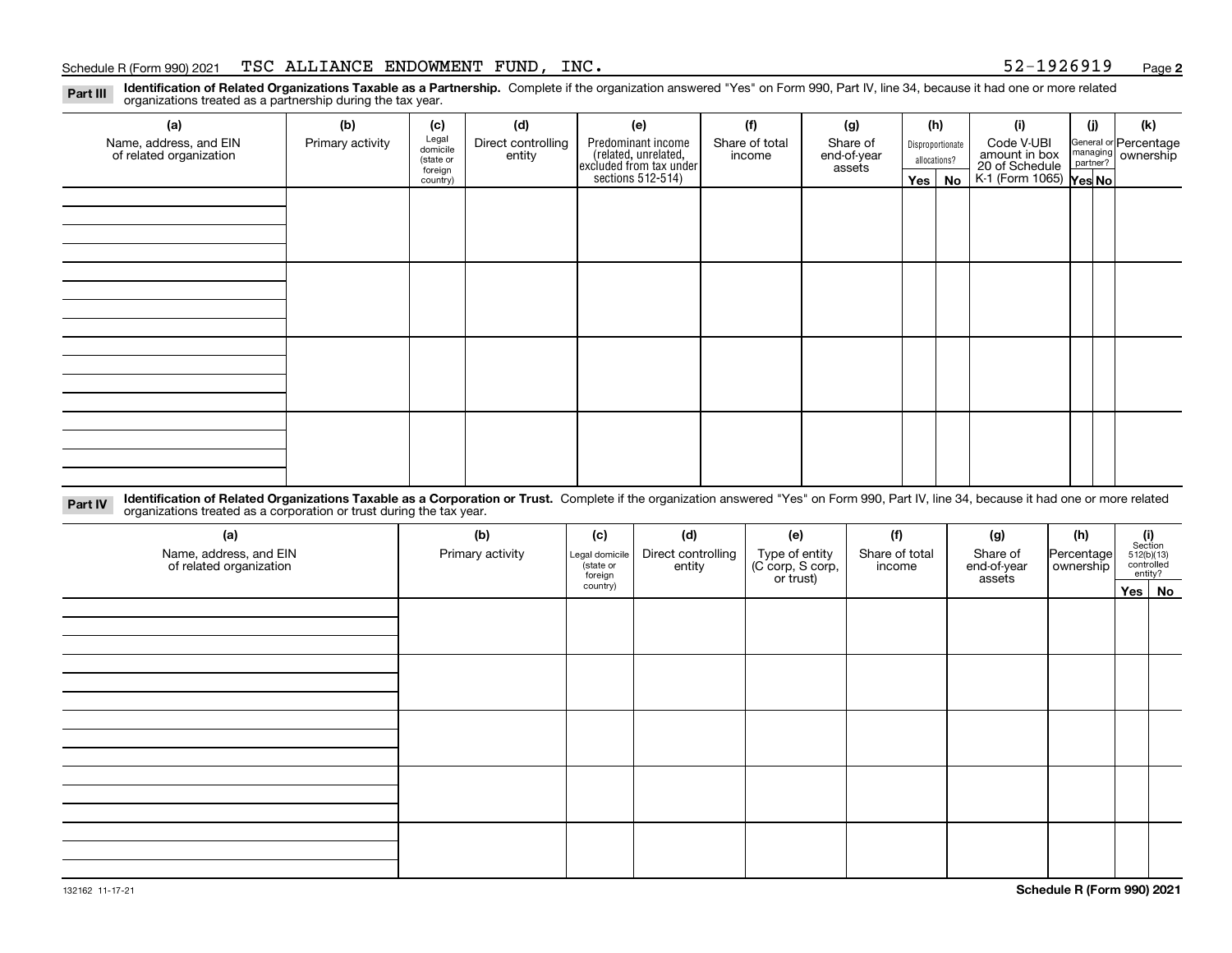#### Schedule R (Form 990) 2021 Page TSC ALLIANCE ENDOWMENT FUND, INC. 52-1926919

**2**

**Identification of Related Organizations Taxable as a Partnership.** Complete if the organization answered "Yes" on Form 990, Part IV, line 34, because it had one or more related **Part III** organizations treated as a partnership during the tax year.

| (a)                     | (b)              | (c)                  | (d)                | (e)                                                                 | (f)            | (g)                   |                                  | (h)      | (i)                                               | (j) | (k)                   |
|-------------------------|------------------|----------------------|--------------------|---------------------------------------------------------------------|----------------|-----------------------|----------------------------------|----------|---------------------------------------------------|-----|-----------------------|
| Name, address, and EIN  | Primary activity | Legal<br>domicile    | Direct controlling | Predominant income                                                  | Share of total | Share of              | Disproportionate<br>allocations? |          | Code V-UBI<br>amount in box                       |     | General or Percentage |
| of related organization |                  | (state or<br>foreign | entity             | related, unrelated,<br>excluded from tax under<br>sections 512-514) | income         | end-of-year<br>assets |                                  |          |                                                   |     | managing ownership    |
|                         |                  | country)             |                    |                                                                     |                |                       |                                  | Yes   No | 20 of Schedule Partner?<br>K-1 (Form 1065) Yes No |     |                       |
|                         |                  |                      |                    |                                                                     |                |                       |                                  |          |                                                   |     |                       |
|                         |                  |                      |                    |                                                                     |                |                       |                                  |          |                                                   |     |                       |
|                         |                  |                      |                    |                                                                     |                |                       |                                  |          |                                                   |     |                       |
|                         |                  |                      |                    |                                                                     |                |                       |                                  |          |                                                   |     |                       |
|                         |                  |                      |                    |                                                                     |                |                       |                                  |          |                                                   |     |                       |
|                         |                  |                      |                    |                                                                     |                |                       |                                  |          |                                                   |     |                       |
|                         |                  |                      |                    |                                                                     |                |                       |                                  |          |                                                   |     |                       |
|                         |                  |                      |                    |                                                                     |                |                       |                                  |          |                                                   |     |                       |
|                         |                  |                      |                    |                                                                     |                |                       |                                  |          |                                                   |     |                       |
|                         |                  |                      |                    |                                                                     |                |                       |                                  |          |                                                   |     |                       |
|                         |                  |                      |                    |                                                                     |                |                       |                                  |          |                                                   |     |                       |
|                         |                  |                      |                    |                                                                     |                |                       |                                  |          |                                                   |     |                       |
|                         |                  |                      |                    |                                                                     |                |                       |                                  |          |                                                   |     |                       |
|                         |                  |                      |                    |                                                                     |                |                       |                                  |          |                                                   |     |                       |
|                         |                  |                      |                    |                                                                     |                |                       |                                  |          |                                                   |     |                       |
|                         |                  |                      |                    |                                                                     |                |                       |                                  |          |                                                   |     |                       |
|                         |                  |                      |                    |                                                                     |                |                       |                                  |          |                                                   |     |                       |

**Identification of Related Organizations Taxable as a Corporation or Trust.** Complete if the organization answered "Yes" on Form 990, Part IV, line 34, because it had one or more related **Part IV** organizations treated as a corporation or trust during the tax year.

| (a)<br>Name, address, and EIN<br>of related organization | (b)<br>Primary activity | (c)<br>Legal domicile<br>(state or<br>foreign | (d)<br>Direct controlling<br>entity | (e)<br>Type of entity<br>(C corp, S corp,<br>or trust) | (f)<br>Share of total<br>income | (g)<br>Share of<br>end-of-year<br>assets | (h)<br>Percentage<br>ownership | $(i)$ Section<br>512(b)(13)<br>controlled<br>entity? |
|----------------------------------------------------------|-------------------------|-----------------------------------------------|-------------------------------------|--------------------------------------------------------|---------------------------------|------------------------------------------|--------------------------------|------------------------------------------------------|
|                                                          |                         | country)                                      |                                     |                                                        |                                 |                                          |                                | Yes No                                               |
|                                                          |                         |                                               |                                     |                                                        |                                 |                                          |                                |                                                      |
|                                                          |                         |                                               |                                     |                                                        |                                 |                                          |                                |                                                      |
|                                                          |                         |                                               |                                     |                                                        |                                 |                                          |                                |                                                      |
|                                                          |                         |                                               |                                     |                                                        |                                 |                                          |                                |                                                      |
|                                                          |                         |                                               |                                     |                                                        |                                 |                                          |                                |                                                      |
|                                                          |                         |                                               |                                     |                                                        |                                 |                                          |                                |                                                      |
|                                                          |                         |                                               |                                     |                                                        |                                 |                                          |                                |                                                      |
|                                                          |                         |                                               |                                     |                                                        |                                 |                                          |                                |                                                      |
|                                                          |                         |                                               |                                     |                                                        |                                 |                                          |                                |                                                      |
|                                                          |                         |                                               |                                     |                                                        |                                 |                                          |                                |                                                      |
|                                                          |                         |                                               |                                     |                                                        |                                 |                                          |                                |                                                      |
|                                                          |                         |                                               |                                     |                                                        |                                 |                                          |                                |                                                      |
|                                                          |                         |                                               |                                     |                                                        |                                 |                                          |                                |                                                      |
|                                                          |                         |                                               |                                     |                                                        |                                 |                                          |                                |                                                      |
|                                                          |                         |                                               |                                     |                                                        |                                 |                                          |                                |                                                      |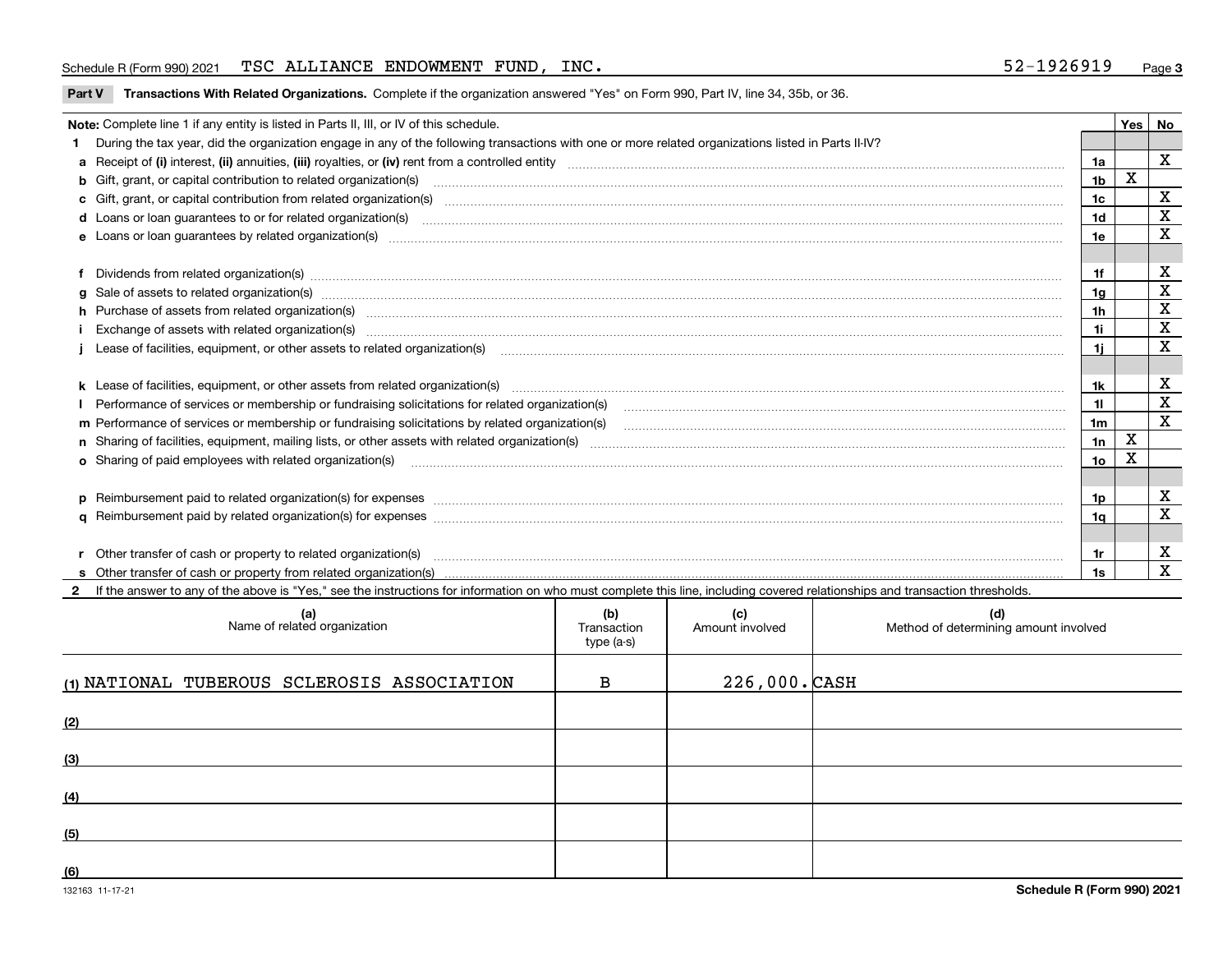#### Schedule R (Form 990) 2021 Page TSC ALLIANCE ENDOWMENT FUND, INC. 52-1926919

**Part V** T**ransactions With Related Organizations.** Complete if the organization answered "Yes" on Form 990, Part IV, line 34, 35b, or 36.

| Note: Complete line 1 if any entity is listed in Parts II, III, or IV of this schedule.                                                                                                                                        |                | Yes | <b>No</b>    |
|--------------------------------------------------------------------------------------------------------------------------------------------------------------------------------------------------------------------------------|----------------|-----|--------------|
| 1 During the tax year, did the organization engage in any of the following transactions with one or more related organizations listed in Parts II-IV?                                                                          |                |     |              |
|                                                                                                                                                                                                                                | 1a             |     | $\mathbf X$  |
| b Gift, grant, or capital contribution to related organization(s) matches and contained and contribution to related organization(s)                                                                                            | 1 <sub>b</sub> | X   |              |
| c Gift, grant, or capital contribution from related organization(s) material content and contribution from related organization(s) material content and content and contribution from related organization(s) material content | 1c             |     | X            |
| d Loans or loan guarantees to or for related organization(s) material contents and content to content the content of the content of the content of the content of the content of the content of the content of the content of  | 1d             |     | $\mathbf X$  |
|                                                                                                                                                                                                                                | 1e             |     | $\mathbf X$  |
|                                                                                                                                                                                                                                |                |     |              |
| f Dividends from related organization(s) manufactured contains and contained and contained contained and contained and contained and contained and contained and contained and contained and contained and contained and conta | 1f             |     | х            |
|                                                                                                                                                                                                                                | 1a             |     | $\mathbf X$  |
| h Purchase of assets from related organization(s) www.assettion.com/www.assettion.com/www.assettion.com/www.assettion.com/www.assettion.com/www.assettion.com/www.assettion.com/www.assettion.com/www.assettion.com/www.assett | 1h             |     | X            |
| Exchange of assets with related organization(s) enconversement contracts and account of the contract of assets with related organization(s)                                                                                    | 1i.            |     | $\mathbf X$  |
|                                                                                                                                                                                                                                | 11             |     | $\mathbf x$  |
|                                                                                                                                                                                                                                |                |     |              |
|                                                                                                                                                                                                                                | 1k             |     | X            |
|                                                                                                                                                                                                                                | 11.            |     | $\mathbf X$  |
| m Performance of services or membership or fundraising solicitations by related organization(s)                                                                                                                                | 1m             |     | X            |
|                                                                                                                                                                                                                                | 1n             | X   |              |
| <b>o</b> Sharing of paid employees with related organization(s)                                                                                                                                                                | 10             | Χ   |              |
|                                                                                                                                                                                                                                |                |     |              |
| p Reimbursement paid to related organization(s) for expenses [11111] [12] reasonal content of the separation (s) for expenses [11111] [12] reasonal content of the separation (s) for expenses [1111] [12] reasonal content of | 1p.            |     | х            |
|                                                                                                                                                                                                                                | 1q             |     | X            |
|                                                                                                                                                                                                                                |                |     |              |
| r Other transfer of cash or property to related organization(s)                                                                                                                                                                | 1r             |     | X            |
| r Other transfer of cash or property to related organization(s) www.communities.communities content transfer of cash or property from related organization(s) www.communities.communities content transfer of cash or property | 1s             |     | $\mathbf{x}$ |
| 2 If the answer to any of the above is "Yes," see the instructions for information on who must complete this line, including covered relationships and transaction thresholds.                                                 |                |     |              |

| (a)<br>Name of related organization         | (b)<br>Transaction<br>type (a-s) | (c)<br>Amount involved | (d)<br>Method of determining amount involved |
|---------------------------------------------|----------------------------------|------------------------|----------------------------------------------|
| (1) NATIONAL TUBEROUS SCLEROSIS ASSOCIATION | в                                | $226,000.$ CASH        |                                              |
| (2)                                         |                                  |                        |                                              |
| (3)                                         |                                  |                        |                                              |
| (4)                                         |                                  |                        |                                              |
| (5)                                         |                                  |                        |                                              |
| (6)                                         |                                  |                        |                                              |

 $\overline{\phantom{a}}$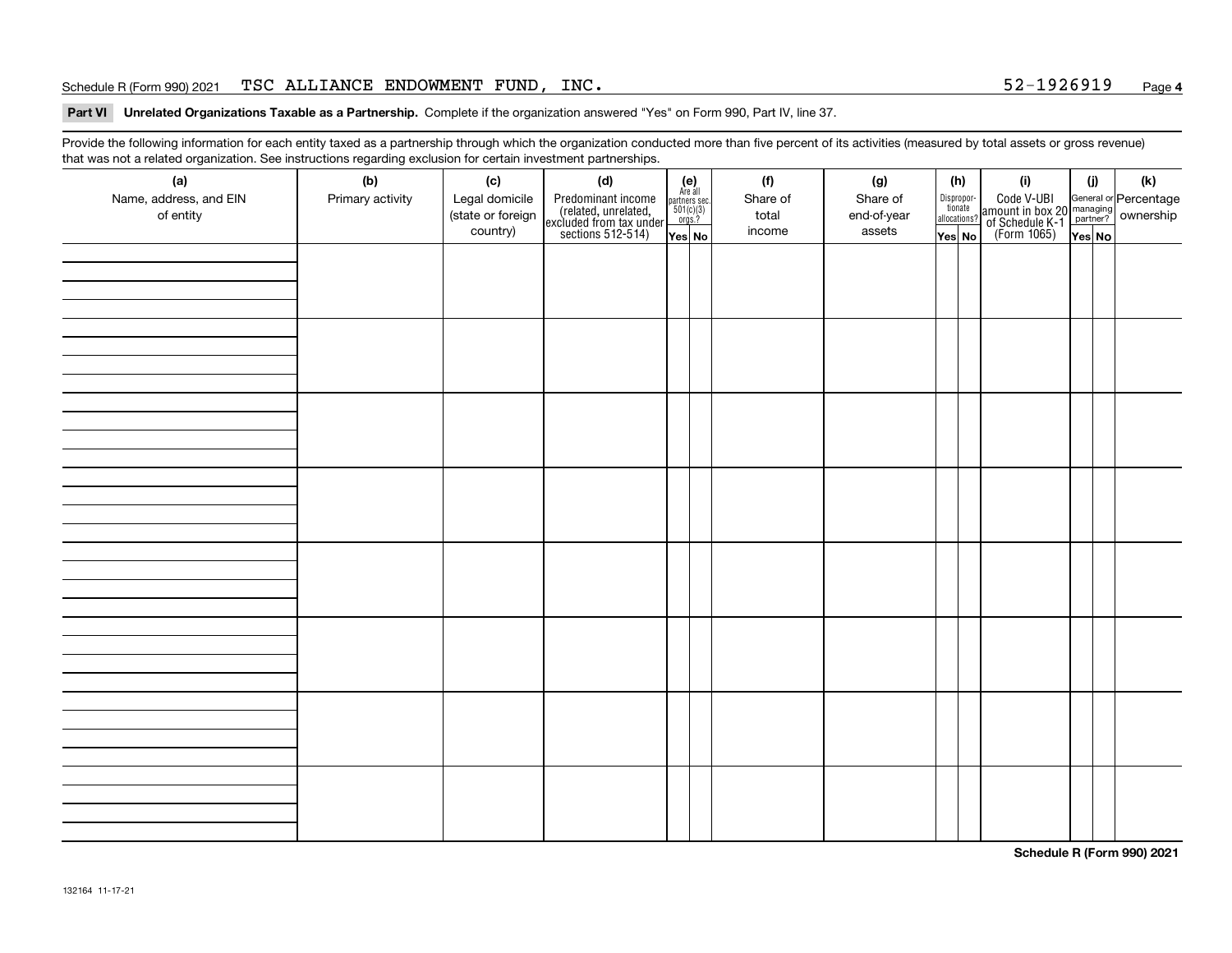#### Schedule R (Form 990) 2021 Page TSC ALLIANCE ENDOWMENT FUND, INC. 52-1926919

#### **4**

**Part VI Unrelated Organizations Taxable as a Partnership. Complete if the organization answered "Yes" on Form 990, Part IV, line 37.** 

Provide the following information for each entity taxed as a partnership through which the organization conducted more than five percent of its activities (measured by total assets or gross revenue) that was not a related organization. See instructions regarding exclusion for certain investment partnerships.

| ີ<br>(a)<br>Name, address, and EIN<br>of entity | $\tilde{}$<br>(b)<br>Primary activity | (c)<br>Legal domicile<br>(state or foreign<br>country) | (d)<br>Predominant income<br>(related, unrelated,<br>excluded from tax under<br>sections 512-514) | $(e)$<br>Are all<br>partners sec.<br>$501(c)(3)$<br>$orgs.?$<br>Yes No | (f)<br>Share of<br>total<br>income | (g)<br>Share of<br>end-of-year<br>assets | (h)<br>Dispropor-<br>tionate<br>allocations?<br>Yes No | (i)<br>Code V-UBI<br>amount in box 20 managing<br>of Schedule K-1 partner? ownership<br>(Form 1065)<br>ves No | (i)<br>Yes No | (k) |
|-------------------------------------------------|---------------------------------------|--------------------------------------------------------|---------------------------------------------------------------------------------------------------|------------------------------------------------------------------------|------------------------------------|------------------------------------------|--------------------------------------------------------|---------------------------------------------------------------------------------------------------------------|---------------|-----|
|                                                 |                                       |                                                        |                                                                                                   |                                                                        |                                    |                                          |                                                        |                                                                                                               |               |     |
|                                                 |                                       |                                                        |                                                                                                   |                                                                        |                                    |                                          |                                                        |                                                                                                               |               |     |
|                                                 |                                       |                                                        |                                                                                                   |                                                                        |                                    |                                          |                                                        |                                                                                                               |               |     |
|                                                 |                                       |                                                        |                                                                                                   |                                                                        |                                    |                                          |                                                        |                                                                                                               |               |     |
|                                                 |                                       |                                                        |                                                                                                   |                                                                        |                                    |                                          |                                                        |                                                                                                               |               |     |
|                                                 |                                       |                                                        |                                                                                                   |                                                                        |                                    |                                          |                                                        |                                                                                                               |               |     |
|                                                 |                                       |                                                        |                                                                                                   |                                                                        |                                    |                                          |                                                        |                                                                                                               |               |     |
|                                                 |                                       |                                                        |                                                                                                   |                                                                        |                                    |                                          |                                                        |                                                                                                               |               |     |

**Schedule R (Form 990) 2021**